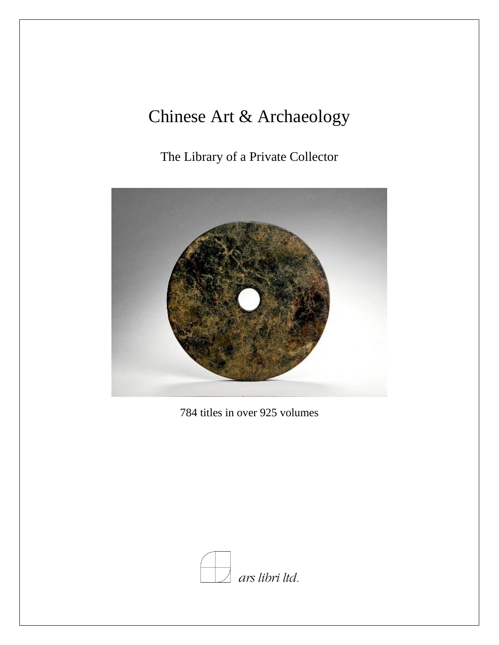# Chinese Art & Archaeology

The Library of a Private Collector



784 titles in over 925 volumes

![](_page_0_Picture_4.jpeg)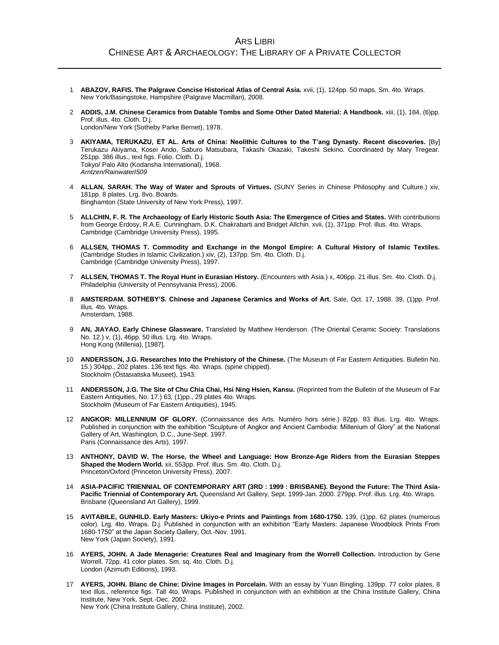- 1 **ABAZOV, RAFIS. The Palgrave Concise Historical Atlas of Central Asia.** xvii, (1), 124pp. 50 maps. Sm. 4to. Wraps. New York/Basingstoke, Hampshire (Palgrave Macmillan), 2008.
- 2 **ADDIS, J.M. Chinese Ceramics from Datable Tombs and Some Other Dated Material: A Handbook.** xiii, (1), 184, (6)pp. Prof. illus. 4to. Cloth. D.j. London/New York (Sotheby Parke Bernet), 1978.
- 3 **AKIYAMA, TERUKAZU, ET AL. Arts of China: Neolithic Cultures to the T'ang Dynasty. Recent discoveries.** [By] Terukazu Akiyama, Kosei Ando, Saburo Matsubara, Takashi Okazaki, Takeshi Sekino. Coordinated by Mary Tregear. 251pp. 386 illus., text figs. Folio. Cloth. D.j. Tokyo/ Palo Alto (Kodansha International), 1968. *Arntzen/RainwaterI509*
- 4 **ALLAN, SARAH. The Way of Water and Sprouts of Virtues.** (SUNY Series in Chinese Philosophy and Culture.) xiv, 181pp. 8 plates. Lrg. 8vo. Boards. Binghamton (State University of New York Press), 1997.
- 5 **ALLCHIN, F. R. The Archaeology of Early Historic South Asia: The Emergence of Cities and States.** With contributions from George Erdosy, R.A.E. Cunningham, D.K. Chakrabarti and Bridget Allchin. xvii, (1), 371pp. Prof. illus. 4to. Wraps. Cambridge (Cambridge University Press), 1995.
- 6 **ALLSEN, THOMAS T. Commodity and Exchange in the Mongol Empire: A Cultural History of Islamic Textiles.** (Cambridge Studies in Islamic Civilization.) xiv, (2), 137pp. Sm. 4to. Cloth. D.j. Cambridge (Cambridge University Press), 1997.
- 7 **ALLSEN, THOMAS T. The Royal Hunt in Eurasian History.** (Encounters with Asia.) x, 406pp. 21 illus. Sm. 4to. Cloth. D.j. Philadelphia (University of Pennsylvania Press), 2006.
- 8 **AMSTERDAM. SOTHEBY'S. Chinese and Japanese Ceramics and Works of Art.** Sale, Oct. 17, 1988. 39, (1)pp. Prof. illus. 4to. Wraps. Amsterdam, 1988.
- 9 **AN, JIAYAO. Early Chinese Glassware.** Translated by Matthew Henderson. (The Oriental Ceramic Society: Translations No. 12.) v, (1), 46pp. 50 illus. Lrg. 4to. Wraps. Hong Kong (Millenia), [1987].
- 10 **ANDERSSON, J.G. Researches Into the Prehistory of the Chinese.** (The Museum of Far Eastern Antiquities. Bulletin No. 15.) 304pp., 202 plates. 136 text figs. 4to. Wraps. (spine chipped). Stockholm (Östasiatiska Museet), 1943.
- 11 **ANDERSSON, J.G. The Site of Chu Chia Chai, Hsi Ning Hsien, Kansu.** (Reprinted from the Bulletin of the Museum of Far Eastern Antiquities, No. 17.) 63, (1)pp., 29 plates 4to. Wraps. Stockholm (Museum of Far Eastern Antiquities), 1945.
- 12 **ANGKOR: MILLENNIUM OF GLORY.** (Connaissance des Arts. Numéro hors série.) 82pp. 83 illus. Lrg. 4to. Wraps. Published in conjunction with the exhibition "Sculpture of Angkor and Ancient Cambodia: Millenium of Glory" at the National Gallery of Art, Washington, D.C., June-Sept. 1997. Paris (Connaissance des Arts), 1997.
- 13 **ANTHONY, DAVID W. The Horse, the Wheel and Language: How Bronze-Age Riders from the Eurasian Steppes Shaped the Modern World.** xii, 553pp. Prof. illus. Sm. 4to. Cloth. D.j. Princeton/Oxford (Princeton University Press), 2007.
- 14 **ASIA-PACIFIC TRIENNIAL OF CONTEMPORARY ART (3RD : 1999 : BRISBANE). Beyond the Future: The Third Asia-Pacific Triennial of Contemporary Art.** Queensland Art Gallery, Sept. 1999-Jan. 2000. 279pp. Prof. illus. Lrg. 4to. Wraps. Brisbane (Queensland Art Gallery), 1999.
- 15 **AVITABILE, GUNHILD. Early Masters: Ukiyo-e Prints and Paintings from 1680-1750.** 139, (1)pp. 62 plates (numerous color). Lrg. 4to. Wraps. D.j. Published in conjunction with an exhibition "Early Masters: Japanese Woodblock Prints From 1680-1750" at the Japan Society Gallery, Oct.-Nov. 1991. New York (Japan Society), 1991.
- 16 **AYERS, JOHN. A Jade Menagerie: Creatures Real and Imaginary from the Worrell Collection.** Introduction by Gene Worrell. 72pp. 41 color plates. Sm. sq. 4to. Cloth. D.j. London (Azimuth Editions), 1993.
- 17 **AYERS, JOHN. Blanc de Chine: Divine Images in Porcelain.** With an essay by Yuan Bingling. 139pp. 77 color plates, 8 text illus., reference figs. Tall 4to. Wraps. Published in conjunction with an exhibition at the China Institute Gallery, China Institute, New York, Sept.-Dec. 2002. New York (China Institute Gallery, China Institute), 2002.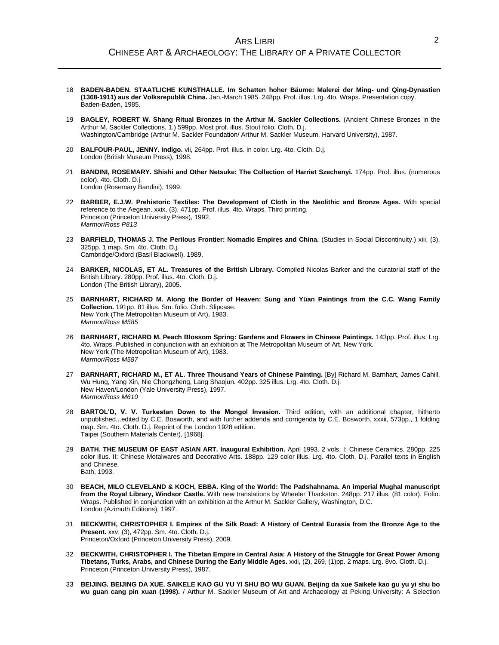- 18 **BADEN-BADEN. STAATLICHE KUNSTHALLE. Im Schatten hoher Bäume: Malerei der Ming- und Qing-Dynastien (1368-1911) aus der Volksrepublik China.** Jan.-March 1985. 248pp. Prof. illus. Lrg. 4to. Wraps. Presentation copy. Baden-Baden, 1985.
- 19 **BAGLEY, ROBERT W. Shang Ritual Bronzes in the Arthur M. Sackler Collections.** (Ancient Chinese Bronzes in the Arthur M. Sackler Collections. 1.) 599pp. Most prof. illus. Stout folio. Cloth. D.j. Washington/Cambridge (Arthur M. Sackler Foundation/ Arthur M. Sackler Museum, Harvard University), 1987.
- 20 **BALFOUR-PAUL, JENNY. Indigo.** vii, 264pp. Prof. illus. in color. Lrg. 4to. Cloth. D.j. London (British Museum Press), 1998.
- 21 **BANDINI, ROSEMARY. Shishi and Other Netsuke: The Collection of Harriet Szechenyi.** 174pp. Prof. illus. (numerous color). 4to. Cloth. D.j. London (Rosemary Bandini), 1999.
- 22 **BARBER, E.J.W. Prehistoric Textiles: The Development of Cloth in the Neolithic and Bronze Ages.** With special reference to the Aegean. xxix, (3), 471pp. Prof. illus. 4to. Wraps. Third printing. Princeton (Princeton University Press), 1992. *Marmor/Ross P813*
- 23 **BARFIELD, THOMAS J. The Perilous Frontier: Nomadic Empires and China.** (Studies in Social Discontinuity.) xiii, (3), 325pp. 1 map. Sm. 4to. Cloth. D.j. Cambridge/Oxford (Basil Blackwell), 1989.
- 24 **BARKER, NICOLAS, ET AL. Treasures of the British Library.** Compiled Nicolas Barker and the curatorial staff of the British Library. 280pp. Prof. illus. 4to. Cloth. D.j. London (The British Library), 2005.
- 25 **BARNHART, RICHARD M. Along the Border of Heaven: Sung and Yüan Paintings from the C.C. Wang Family Collection.** 191pp. 81 illus. Sm. folio. Cloth. Slipcase. New York (The Metropolitan Museum of Art), 1983. *Marmor/Ross M585*
- 26 **BARNHART, RICHARD M. Peach Blossom Spring: Gardens and Flowers in Chinese Paintings.** 143pp. Prof. illus. Lrg. 4to. Wraps. Published in conjunction with an exhibition at The Metropolitan Museum of Art, New York. New York (The Metropolitan Museum of Art), 1983. *Marmor/Ross M587*
- 27 **BARNHART, RICHARD M., ET AL. Three Thousand Years of Chinese Painting.** [By] Richard M. Barnhart, James Cahill, Wu Hung, Yang Xin, Nie Chongzheng, Lang Shaojun. 402pp. 325 illus. Lrg. 4to. Cloth. D.j. New Haven/London (Yale University Press), 1997. *Marmor/Ross M610*
- 28 **BARTOL'D, V. V. Turkestan Down to the Mongol Invasion.** Third edition, with an additional chapter, hitherto unpublished...edited by C.E. Bosworth, and with further addenda and corrigenda by C.E. Bosworth. xxxii, 573pp., 1 folding map. Sm. 4to. Cloth. D.j. Reprint of the London 1928 edition. Taipei (Southern Materials Center), [1968].
- 29 **BATH. THE MUSEUM OF EAST ASIAN ART. Inaugural Exhibition.** April 1993. 2 vols. I: Chinese Ceramics. 280pp. 225 color illus. II: Chinese Metalwares and Decorative Arts. 188pp. 129 color illus. Lrg. 4to. Cloth. D.j. Parallel texts in English and Chinese. Bath, 1993.
- 30 **BEACH, MILO CLEVELAND & KOCH, EBBA. King of the World: The Padshahnama. An imperial Mughal manuscript from the Royal Library, Windsor Castle.** With new translations by Wheeler Thackston. 248pp. 217 illus. (81 color). Folio. Wraps. Published in conjunction with an exhibition at the Arthur M. Sackler Gallery, Washington, D.C. London (Azimuth Editions), 1997.
- 31 **BECKWITH, CHRISTOPHER I. Empires of the Silk Road: A History of Central Eurasia from the Bronze Age to the Present.** xxv, (3), 472pp. Sm. 4to. Cloth. D.j. Princeton/Oxford (Princeton University Press), 2009.
- 32 **BECKWITH, CHRISTOPHER I. The Tibetan Empire in Central Asia: A History of the Struggle for Great Power Among Tibetans, Turks, Arabs, and Chinese During the Early Middle Ages.** xxii, (2), 269, (1)pp. 2 maps. Lrg. 8vo. Cloth. D.j. Princeton (Princeton University Press), 1987.
- 33 **BEIJING. BEIJING DA XUE. SAIKELE KAO GU YU YI SHU BO WU GUAN. Beijing da xue Saikele kao gu yu yi shu bo wu guan cang pin xuan (1998).** / Arthur M. Sackler Museum of Art and Archaeology at Peking University: A Selection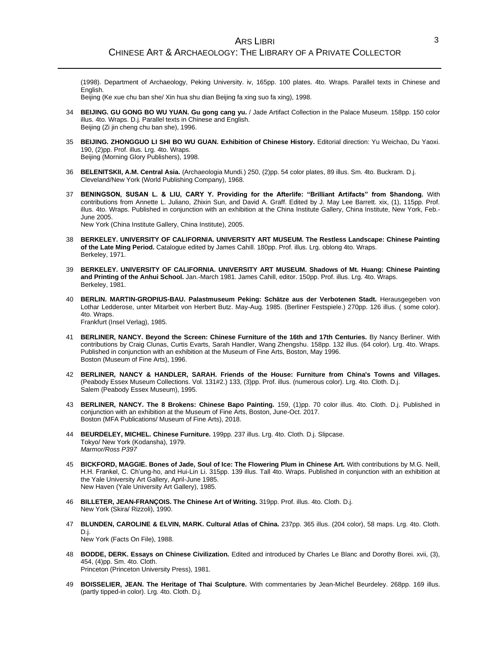(1998). Department of Archaeology, Peking University. iv, 165pp. 100 plates. 4to. Wraps. Parallel texts in Chinese and English.

Beijing (Ke xue chu ban she/ Xin hua shu dian Beijing fa xing suo fa xing), 1998.

- 34 **BEIJING. GU GONG BO WU YUAN. Gu gong cang yu.** / Jade Artifact Collection in the Palace Museum. 158pp. 150 color illus. 4to. Wraps. D.j. Parallel texts in Chinese and English. Beijing (Zi jin cheng chu ban she), 1996.
- 35 **BEIJING. ZHONGGUO LI SHI BO WU GUAN. Exhibition of Chinese History.** Editorial direction: Yu Weichao, Du Yaoxi. 190, (2)pp. Prof. illus. Lrg. 4to. Wraps. Beijing (Morning Glory Publishers), 1998.
- 36 **BELENITSKII, A.M. Central Asia.** (Archaeologia Mundi.) 250, (2)pp. 54 color plates, 89 illus. Sm. 4to. Buckram. D.j. Cleveland/New York (World Publishing Company), 1968.
- 37 **BENINGSON, SUSAN L. & LIU, CARY Y. Providing for the Afterlife: "Brilliant Artifacts" from Shandong.** With contributions from Annette L. Juliano, Zhixin Sun, and David A. Graff. Edited by J. May Lee Barrett. xix, (1), 115pp. Prof. illus. 4to. Wraps. Published in conjunction with an exhibition at the China Institute Gallery, China Institute, New York, Feb.-June 2005.

New York (China Institute Gallery, China Institute), 2005.

- 38 **BERKELEY. UNIVERSITY OF CALIFORNIA. UNIVERSITY ART MUSEUM. The Restless Landscape: Chinese Painting of the Late Ming Period.** Catalogue edited by James Cahill. 180pp. Prof. illus. Lrg. oblong 4to. Wraps. Berkeley, 1971.
- 39 **BERKELEY. UNIVERSITY OF CALIFORNIA. UNIVERSITY ART MUSEUM. Shadows of Mt. Huang: Chinese Painting and Printing of the Anhui School.** Jan.-March 1981. James Cahill, editor. 150pp. Prof. illus. Lrg. 4to. Wraps. Berkeley, 1981.
- 40 **BERLIN. MARTIN-GROPIUS-BAU. Palastmuseum Peking: Schätze aus der Verbotenen Stadt.** Herausgegeben von Lothar Ledderose, unter Mitarbeit von Herbert Butz. May-Aug. 1985. (Berliner Festspiele.) 270pp. 126 illus. ( some color). 4to. Wraps. Frankfurt (Insel Verlag), 1985.
- 41 **BERLINER, NANCY. Beyond the Screen: Chinese Furniture of the 16th and 17th Centuries.** By Nancy Berliner. With contributions by Craig Clunas, Curtis Evarts, Sarah Handler, Wang Zhengshu. 158pp. 132 illus. (64 color). Lrg. 4to. Wraps. Published in conjunction with an exhibition at the Museum of Fine Arts, Boston, May 1996. Boston (Museum of Fine Arts), 1996.
- 42 **BERLINER, NANCY & HANDLER, SARAH. Friends of the House: Furniture from China's Towns and Villages.** (Peabody Essex Museum Collections. Vol. 131#2.) 133, (3)pp. Prof. illus. (numerous color). Lrg. 4to. Cloth. D.j. Salem (Peabody Essex Museum), 1995.
- 43 **BERLINER, NANCY. The 8 Brokens: Chinese Bapo Painting.** 159, (1)pp. 70 color illus. 4to. Cloth. D.j. Published in conjunction with an exhibition at the Museum of Fine Arts, Boston, June-Oct. 2017. Boston (MFA Publications/ Museum of Fine Arts), 2018.
- 44 **BEURDELEY, MICHEL. Chinese Furniture.** 199pp. 237 illus. Lrg. 4to. Cloth. D.j. Slipcase. Tokyo/ New York (Kodansha), 1979. *Marmor/Ross P397*
- 45 **BICKFORD, MAGGIE. Bones of Jade, Soul of Ice: The Flowering Plum in Chinese Art.** With contributions by M.G. Neill, H.H. Frankel, C. Ch'ung-ho, and Hui-Lin Li. 315pp. 139 illus. Tall 4to. Wraps. Published in conjunction with an exhibition at the Yale University Art Gallery, April-June 1985. New Haven (Yale University Art Gallery), 1985.
- 46 **BILLETER, JEAN-FRANÇOIS. The Chinese Art of Writing.** 319pp. Prof. illus. 4to. Cloth. D.j. New York (Skira/ Rizzoli), 1990.
- 47 **BLUNDEN, CAROLINE & ELVIN, MARK. Cultural Atlas of China.** 237pp. 365 illus. (204 color), 58 maps. Lrg. 4to. Cloth. D.j. New York (Facts On File), 1988.
- 48 **BODDE, DERK. Essays on Chinese Civilization.** Edited and introduced by Charles Le Blanc and Dorothy Borei. xvii, (3), 454, (4)pp. Sm. 4to. Cloth. Princeton (Princeton University Press), 1981.
- 49 **BOISSELIER, JEAN. The Heritage of Thai Sculpture.** With commentaries by Jean-Michel Beurdeley. 268pp. 169 illus. (partly tipped-in color). Lrg. 4to. Cloth. D.j.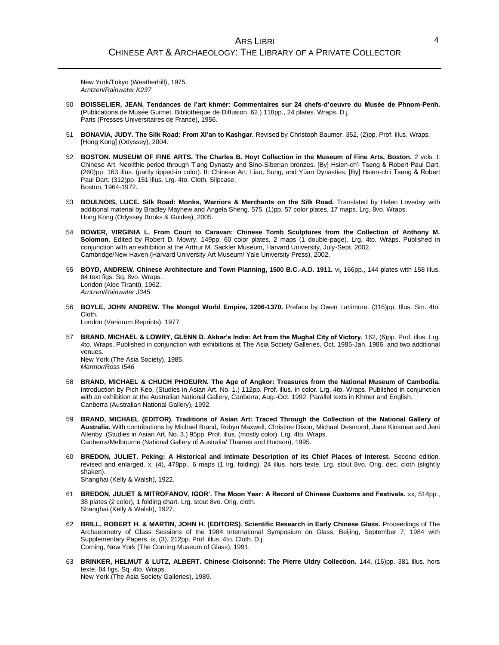New York/Tokyo (Weatherhill), 1975. *Arntzen/Rainwater K237*

- 50 **BOISSELIER, JEAN. Tendances de l'art khmér: Commentaires sur 24 chefs-d'oeuvre du Musée de Phnom-Penh.** (Publications de Musée Guimet. Bibliothèque de Diffusion. 62.) 118pp., 24 plates. Wraps. D.j. Paris (Presses Universitaires de France), 1956.
- 51 **BONAVIA, JUDY. The Silk Road: From Xi'an to Kashgar.** Revised by Christoph Baumer. 352, (2)pp. Prof. illus. Wraps. [Hong Kong] (Odyssey), 2004.
- 52 **BOSTON. MUSEUM OF FINE ARTS. The Charles B. Hoyt Collection in the Museum of Fine Arts, Boston.** 2 vols. I: Chinese Art. Neolithic period through T'ang Dynasty and Sino-Siberian bronzes. [By] Hsien-ch'i Tseng & Robert Paul Dart. (260)pp. 163 illus. (partly tipped-in color). II: Chinese Art: Liao, Sung, and Yüan Dynasties. [By] Hsien-ch'i Tseng & Robert Paul Dart. (312)pp. 151 illus. Lrg. 4to. Cloth. Slipcase. Boston, 1964-1972.
- 53 **BOULNOIS, LUCE. Silk Road: Monks, Warriors & Merchants on the Silk Road.** Translated by Helen Loveday with additional material by Bradley Mayhew and Angela Sheng. 575, (1)pp. 57 color plates, 17 maps. Lrg. 8vo. Wraps. Hong Kong (Odyssey Books & Guides), 2005.
- 54 **BOWER, VIRGINIA L. From Court to Caravan: Chinese Tomb Sculptures from the Collection of Anthony M. Solomon.** Edited by Robert D. Mowry. 149pp. 60 color plates, 2 maps (1 double-page). Lrg. 4to. Wraps. Published in conjunction with an exhibition at the Arthur M. Sackler Museum, Harvard University, July-Sept. 2002. Cambridge/New Haven (Harvard University Art Museum/ Yale University Press), 2002.
- 55 **BOYD, ANDREW. Chinese Architecture and Town Planning, 1500 B.C.-A.D. 1911.** vi, 166pp., 144 plates with 158 illus. 84 text figs. Sq. 8vo. Wraps. London (Alec Tiranti), 1962. *Arntzen/Rainwater J345*
- 56 **BOYLE, JOHN ANDREW. The Mongol World Empire, 1206-1370.** Preface by Owen Lattimore. (316)pp. Illus. Sm. 4to. Cloth. London (Variorum Reprints), 1977.
- 57 **BRAND, MICHAEL & LOWRY, GLENN D. Akbar's India: Art from the Mughal City of Victory.** 162, (6)pp. Prof. illus. Lrg. 4to. Wraps. Published in conjunction with exhibitions at The Asia Society Galleries, Oct. 1985-Jan. 1986, and two additional venues. New York (The Asia Society), 1985. *Marmor/Ross I546*
- 58 **BRAND, MICHAEL & CHUCH PHOEURN. The Age of Angkor: Treasures from the National Museum of Cambodia.** Introduction by Pich Keo. (Studies in Asian Art. No. 1.) 112pp. Prof. illus. in color. Lrg. 4to. Wraps. Published in conjunction with an exhibition at the Australian National Gallery, Canberra, Aug.-Oct. 1992. Parallel texts in Khmer and English. Canberra (Australian National Gallery), 1992.
- 59 **BRAND, MICHAEL (EDITOR). Traditions of Asian Art: Traced Through the Collection of the National Gallery of Australia.** With contributions by Michael Brand, Robyn Maxwell, Christine Dixon, Michael Desmond, Jane Kinsman and Jeni Allenby. (Studies in Asian Art. No. 3.) 95pp. Prof. illus. (mostly color). Lrg. 4to. Wraps. Canberra/Melbourne (National Gallery of Australia/ Thames and Hudson), 1995.
- 60 **BREDON, JULIET. Peking: A Historical and Intimate Description of Its Chief Places of Interest.** Second edition, revised and enlarged. x, (4), 478pp., 6 maps (1 lrg. folding). 24 illus. hors texte. Lrg. stout 8vo. Orig. dec. cloth (slightly shaken). Shanghai (Kelly & Walsh), 1922.
- 61 **BREDON, JULIET & MITROFANOV, IGOR'. The Moon Year: A Record of Chinese Customs and Festivals.** xx, 514pp., 38 plates (2 color), 1 folding chart. Lrg. stout 8vo. Orig. cloth. Shanghai (Kelly & Walsh), 1927.
- 62 **BRILL, ROBERT H. & MARTIN, JOHN H. (EDITORS). Scientific Research in Early Chinese Glass.** Proceedings of The Archaeometry of Glass Sessions of the 1984 International Symposium on Glass, Beijing, September 7, 1984 with Supplementary Papers. ix, (3), 212pp. Prof. illus. 4to. Cloth. D.j. Corning, New York (The Corning Museum of Glass), 1991.
- 63 **BRINKER, HELMUT & LUTZ, ALBERT. Chinese Cloisonné: The Pierre Uldry Collection.** 144, (16)pp. 381 illus. hors texte. 84 figs. Sq. 4to. Wraps. New York (The Asia Society Galleries), 1989.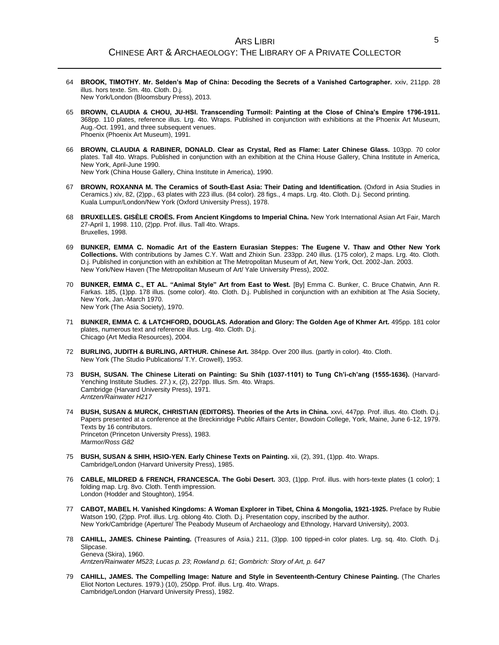- 64 **BROOK, TIMOTHY. Mr. Selden's Map of China: Decoding the Secrets of a Vanished Cartographer.** xxiv, 211pp. 28 illus. hors texte. Sm. 4to. Cloth. D.j. New York/London (Bloomsbury Press), 2013.
- 65 **BROWN, CLAUDIA & CHOU, JU-HSI. Transcending Turmoil: Painting at the Close of China's Empire 1796-1911.** 368pp. 110 plates, reference illus. Lrg. 4to. Wraps. Published in conjunction with exhibitions at the Phoenix Art Museum, Aug.-Oct. 1991, and three subsequent venues. Phoenix (Phoenix Art Museum), 1991.
- 66 **BROWN, CLAUDIA & RABINER, DONALD. Clear as Crystal, Red as Flame: Later Chinese Glass.** 103pp. 70 color plates. Tall 4to. Wraps. Published in conjunction with an exhibition at the China House Gallery, China Institute in America, New York, April-June 1990. New York (China House Gallery, China Institute in America), 1990.
- 67 **BROWN, ROXANNA M. The Ceramics of South-East Asia: Their Dating and Identification.** (Oxford in Asia Studies in Ceramics.) xiv, 82, (2)pp., 63 plates with 223 illus. (84 color). 28 figs., 4 maps. Lrg. 4to. Cloth. D.j. Second printing. Kuala Lumpur/London/New York (Oxford University Press), 1978.
- 68 **BRUXELLES. GISÈLE CROËS. From Ancient Kingdoms to Imperial China.** New York International Asian Art Fair, March 27-April 1, 1998. 110, (2)pp. Prof. illus. Tall 4to. Wraps. Bruxelles, 1998.
- 69 **BUNKER, EMMA C. Nomadic Art of the Eastern Eurasian Steppes: The Eugene V. Thaw and Other New York Collections.** With contributions by James C.Y. Watt and Zhixin Sun. 233pp. 240 illus. (175 color), 2 maps. Lrg. 4to. Cloth. D.j. Published in conjunction with an exhibition at The Metropolitan Museum of Art, New York, Oct. 2002-Jan. 2003. New York/New Haven (The Metropolitan Museum of Art/ Yale University Press), 2002.
- 70 **BUNKER, EMMA C., ET AL. "Animal Style" Art from East to West.** [By] Emma C. Bunker, C. Bruce Chatwin, Ann R. Farkas. 185, (1)pp. 178 illus. (some color). 4to. Cloth. D.j. Published in conjunction with an exhibition at The Asia Society, New York, Jan.-March 1970. New York (The Asia Society), 1970.
- 71 **BUNKER, EMMA C. & LATCHFORD, DOUGLAS. Adoration and Glory: The Golden Age of Khmer Art.** 495pp. 181 color plates, numerous text and reference illus. Lrg. 4to. Cloth. D.j. Chicago (Art Media Resources), 2004.
- 72 **BURLING, JUDITH & BURLING, ARTHUR. Chinese Art.** 384pp. Over 200 illus. (partly in color). 4to. Cloth. New York (The Studio Publications/ T.Y. Crowell), 1953.
- 73 **BUSH, SUSAN. The Chinese Literati on Painting: Su Shih (1037-1101) to Tung Ch'i-ch'ang (1555-1636).** (Harvard-Yenching Institute Studies. 27.) x, (2), 227pp. Illus. Sm. 4to. Wraps. Cambridge (Harvard University Press), 1971. *Arntzen/Rainwater H217*
- 74 **BUSH, SUSAN & MURCK, CHRISTIAN (EDITORS). Theories of the Arts in China.** xxvi, 447pp. Prof. illus. 4to. Cloth. D.j. Papers presented at a conference at the Breckinridge Public Affairs Center, Bowdoin College, York, Maine, June 6-12, 1979. Texts by 16 contributors. Princeton (Princeton University Press), 1983. *Marmor/Ross G82*
- 75 **BUSH, SUSAN & SHIH, HSIO-YEN. Early Chinese Texts on Painting.** xii, (2), 391, (1)pp. 4to. Wraps. Cambridge/London (Harvard University Press), 1985.
- 76 **CABLE, MILDRED & FRENCH, FRANCESCA. The Gobi Desert.** 303, (1)pp. Prof. illus. with hors-texte plates (1 color); 1 folding map. Lrg. 8vo. Cloth. Tenth impression. London (Hodder and Stoughton), 1954.
- 77 **CABOT, MABEL H. Vanished Kingdoms: A Woman Explorer in Tibet, China & Mongolia, 1921-1925.** Preface by Rubie Watson 190, (2)pp. Prof. illus. Lrg. oblong 4to. Cloth. D.j. Presentation copy, inscribed by the author. New York/Cambridge (Aperture/ The Peabody Museum of Archaeology and Ethnology, Harvard University), 2003.
- 78 **CAHILL, JAMES. Chinese Painting.** (Treasures of Asia.) 211, (3)pp. 100 tipped-in color plates. Lrg. sq. 4to. Cloth. D.j. Slipcase. Geneva (Skira), 1960. *Arntzen/Rainwater M523*; *Lucas p. 23*; *Rowland p. 61*; *Gombrich: Story of Art, p. 647*
- 79 **CAHILL, JAMES. The Compelling Image: Nature and Style in Seventeenth-Century Chinese Painting.** (The Charles Eliot Norton Lectures. 1979.) (10), 250pp. Prof. illus. Lrg. 4to. Wraps. Cambridge/London (Harvard University Press), 1982.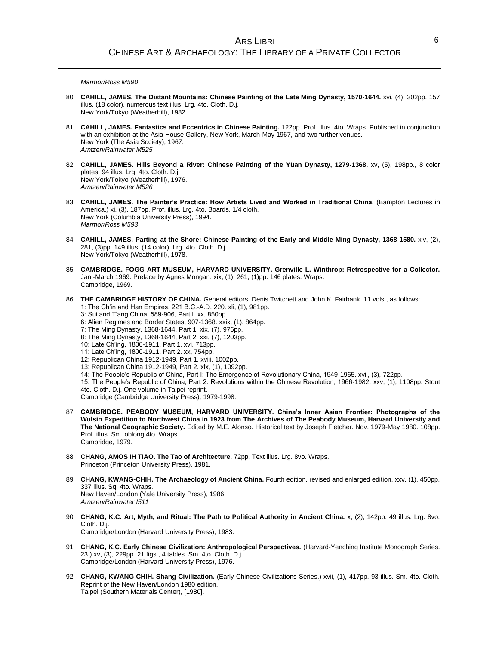#### *Marmor/Ross M590*

- 80 **CAHILL, JAMES. The Distant Mountains: Chinese Painting of the Late Ming Dynasty, 1570-1644.** xvi, (4), 302pp. 157 illus. (18 color), numerous text illus. Lrg. 4to. Cloth. D.j. New York/Tokyo (Weatherhill), 1982.
- 81 **CAHILL, JAMES. Fantastics and Eccentrics in Chinese Painting.** 122pp. Prof. illus. 4to. Wraps. Published in conjunction with an exhibition at the Asia House Gallery, New York, March-May 1967, and two further venues. New York (The Asia Society), 1967. *Arntzen/Rainwater M525*
- 82 **CAHILL, JAMES. Hills Beyond a River: Chinese Painting of the Yüan Dynasty, 1279-1368.** xv, (5), 198pp., 8 color plates. 94 illus. Lrg. 4to. Cloth. D.j. New York/Tokyo (Weatherhill), 1976. *Arntzen/Rainwater M526*
- 83 **CAHILL, JAMES. The Painter's Practice: How Artists Lived and Worked in Traditional China.** (Bampton Lectures in America.) xi, (3), 187pp. Prof. illus. Lrg. 4to. Boards, 1/4 cloth. New York (Columbia University Press), 1994. *Marmor/Ross M593*
- 84 **CAHILL, JAMES. Parting at the Shore: Chinese Painting of the Early and Middle Ming Dynasty, 1368-1580.** xiv, (2), 281, (3)pp. 149 illus. (14 color). Lrg. 4to. Cloth. D.j. New York/Tokyo (Weatherhill), 1978.
- 85 **CAMBRIDGE. FOGG ART MUSEUM, HARVARD UNIVERSITY. Grenville L. Winthrop: Retrospective for a Collector.** Jan.-March 1969. Preface by Agnes Mongan. xix, (1), 261, (1)pp. 146 plates. Wraps. Cambridge, 1969.
- 86 **THE CAMBRIDGE HISTORY OF CHINA.** General editors: Denis Twitchett and John K. Fairbank. 11 vols., as follows: 1: The Ch'in and Han Empires, 221 B.C.-A.D. 220. xli, (1), 981pp.
	- 3: Sui and T'ang China, 589-906, Part I. xx, 850pp.
	- 6: Alien Regimes and Border States, 907-1368. xxix, (1), 864pp.
	- 7: The Ming Dynasty, 1368-1644, Part 1. xix, (7), 976pp.
	- 8: The Ming Dynasty, 1368-1644, Part 2. xxi, (7), 1203pp.
	- 10: Late Ch'ing, 1800-1911, Part 1. xvi, 713pp.
	- 11: Late Ch'ing, 1800-1911, Part 2. xx, 754pp.
	- 12: Republican China 1912-1949, Part 1. xviii, 1002pp.
	- 13: Republican China 1912-1949, Part 2. xix, (1), 1092pp.
	- 14: The People's Republic of China, Part I: The Emergence of Revolutionary China, 1949-1965. xvii, (3), 722pp.

15: The People's Republic of China, Part 2: Revolutions within the Chinese Revolution, 1966-1982. xxv, (1), 1108pp. Stout 4to. Cloth. D.j. One volume in Taipei reprint.

Cambridge (Cambridge University Press), 1979-1998.

- 87 **CAMBRIDGE. PEABODY MUSEUM, HARVARD UNIVERSITY. China's Inner Asian Frontier: Photographs of the Wulsin Expedition to Northwest China in 1923 from The Archives of The Peabody Museum, Harvard University and The National Geographic Society.** Edited by M.E. Alonso. Historical text by Joseph Fletcher. Nov. 1979-May 1980. 108pp. Prof. illus. Sm. oblong 4to. Wraps. Cambridge, 1979.
- 88 **CHANG, AMOS IH TIAO. The Tao of Architecture.** 72pp. Text illus. Lrg. 8vo. Wraps. Princeton (Princeton University Press), 1981.
- 89 **CHANG, KWANG-CHIH. The Archaeology of Ancient China.** Fourth edition, revised and enlarged edition. xxv, (1), 450pp. 337 illus. Sq. 4to. Wraps. New Haven/London (Yale University Press), 1986. *Arntzen/Rainwater I511*
- 90 **CHANG, K.C. Art, Myth, and Ritual: The Path to Political Authority in Ancient China.** x, (2), 142pp. 49 illus. Lrg. 8vo. Cloth. D.j. Cambridge/London (Harvard University Press), 1983.
- 91 **CHANG, K.C. Early Chinese Civilization: Anthropological Perspectives.** (Harvard-Yenching Institute Monograph Series. 23.) xv, (3), 229pp. 21 figs., 4 tables. Sm. 4to. Cloth. D.j. Cambridge/London (Harvard University Press), 1976.
- 92 **CHANG, KWANG-CHIH. Shang Civilization.** (Early Chinese Civilizations Series.) xvii, (1), 417pp. 93 illus. Sm. 4to. Cloth. Reprint of the New Haven/London 1980 edition. Taipei (Southern Materials Center), [1980].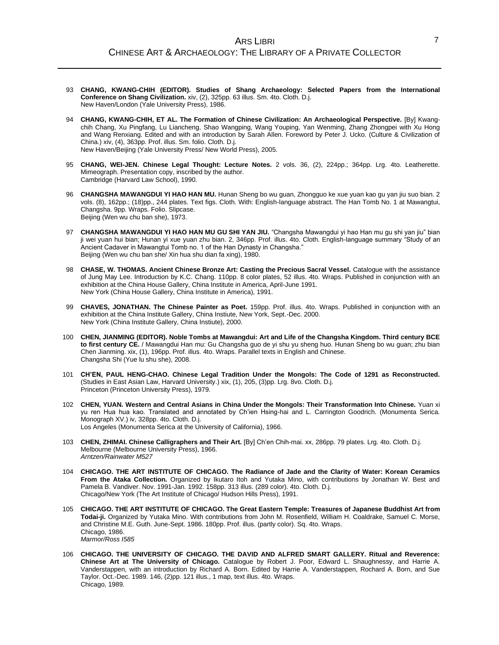- 93 **CHANG, KWANG-CHIH (EDITOR). Studies of Shang Archaeology: Selected Papers from the International Conference on Shang Civilization.** xiv, (2), 325pp. 63 illus. Sm. 4to. Cloth. D.j. New Haven/London (Yale University Press), 1986.
- 94 **CHANG, KWANG-CHIH, ET AL. The Formation of Chinese Civilization: An Archaeological Perspective.** [By] Kwangchih Chang, Xu Pingfang, Lu Liancheng, Shao Wangping, Wang Youping, Yan Wenming, Zhang Zhongpei with Xu Hong and Wang Renxiang. Edited and with an introduction by Sarah Allen. Foreword by Peter J. Ucko. (Culture & Civilization of China.) xiv, (4), 363pp. Prof. illus. Sm. folio. Cloth. D.j. New Haven/Beijing (Yale University Press/ New World Press), 2005.
- 95 **CHANG, WEI-JEN. Chinese Legal Thought: Lecture Notes.** 2 vols. 36, (2), 224pp.; 364pp. Lrg. 4to. Leatherette. Mimeograph. Presentation copy, inscribed by the author. Cambridge (Harvard Law School), 1990.
- 96 **CHANGSHA MAWANGDUI YI HAO HAN MU.** Hunan Sheng bo wu guan, Zhongguo ke xue yuan kao gu yan jiu suo bian. 2 vols. (8), 162pp.; (18)pp., 244 plates. Text figs. Cloth. With: English-language abstract. The Han Tomb No. 1 at Mawangtui, Changsha. 9pp. Wraps. Folio. Slipcase. Beijing (Wen wu chu ban she), 1973.
- 97 **CHANGSHA MAWANGDUI YI HAO HAN MU GU SHI YAN JIU.** "Changsha Mawangdui yi hao Han mu gu shi yan jiu" bian ji wei yuan hui bian; Hunan yi xue yuan zhu bian. 2, 346pp. Prof. illus. 4to. Cloth. English-language summary "Study of an Ancient Cadaver in Mawangtui Tomb no. 1 of the Han Dynasty in Changsha." Beijing (Wen wu chu ban she/ Xin hua shu dian fa xing), 1980.
- 98 **CHASE, W. THOMAS. Ancient Chinese Bronze Art: Casting the Precious Sacral Vessel.** Catalogue with the assistance of Jung May Lee. Introduction by K.C. Chang. 110pp. 8 color plates, 52 illus. 4to. Wraps. Published in conjunction with an exhibition at the China House Gallery, China Institute in America, April-June 1991. New York (China House Gallery, China Institute in America), 1991.
- 99 **CHAVES, JONATHAN. The Chinese Painter as Poet.** 159pp. Prof. illus. 4to. Wraps. Published in conjunction with an exhibition at the China Institute Gallery, China Instiute, New York, Sept.-Dec. 2000. New York (China Institute Gallery, China Instiute), 2000.
- 100 **CHEN, JIANMING (EDITOR). Noble Tombs at Mawangdui: Art and Life of the Changsha Kingdom. Third century BCE to first century CE.** / Mawangdui Han mu: Gu Changsha guo de yi shu yu sheng huo. Hunan Sheng bo wu guan; zhu bian Chen Jianming. xix, (1), 196pp. Prof. illus. 4to. Wraps. Parallel texts in English and Chinese. Changsha Shi (Yue lu shu she), 2008.
- 101 **CH'EN, PAUL HENG-CHAO. Chinese Legal Tradition Under the Mongols: The Code of 1291 as Reconstructed.** (Studies in East Asian Law, Harvard University.) xix, (1), 205, (3)pp. Lrg. 8vo. Cloth. D.j. Princeton (Princeton University Press), 1979.
- 102 **CHEN, YUAN. Western and Central Asians in China Under the Mongols: Their Transformation Into Chinese.** Yuan xi yu ren Hua hua kao. Translated and annotated by Ch'ien Hsing-hai and L. Carrington Goodrich. (Monumenta Serica. Monograph XV.) iv, 328pp. 4to. Cloth. D.j. Los Angeles (Monumenta Serica at the University of California), 1966.
- 103 **CHEN, ZHIMAI. Chinese Calligraphers and Their Art.** [By] Ch'en Chih-mai. xx, 286pp. 79 plates. Lrg. 4to. Cloth. D.j. Melbourne (Melbourne University Press), 1966. *Arntzen/Rainwater M527*
- 104 **CHICAGO. THE ART INSTITUTE OF CHICAGO. The Radiance of Jade and the Clarity of Water: Korean Ceramics From the Ataka Collection.** Organized by Ikutaro Itoh and Yutaka Mino, with contributions by Jonathan W. Best and Pamela B. Vandiver. Nov. 1991-Jan. 1992. 158pp. 313 illus. (289 color). 4to. Cloth. D.j. Chicago/New York (The Art Institute of Chicago/ Hudson Hills Press), 1991.
- 105 **CHICAGO. THE ART INSTITUTE OF CHICAGO. The Great Eastern Temple: Treasures of Japanese Buddhist Art from Todai-ji.** Organized by Yutaka Mino. With contributions from John M. Rosenfield, William H. Coaldrake, Samuel C. Morse, and Christine M.E. Guth. June-Sept. 1986. 180pp. Prof. illus. (partly color). Sq. 4to. Wraps. Chicago, 1986. *Marmor/Ross I585*
- 106 **CHICAGO. THE UNIVERSITY OF CHICAGO. THE DAVID AND ALFRED SMART GALLERY. Ritual and Reverence: Chinese Art at The University of Chicago.** Catalogue by Robert J. Poor, Edward L. Shaughnessy, and Harrie A. Vanderstappen, with an introduction by Richard A. Born. Edited by Harrie A. Vanderstappen, Rochard A. Born, and Sue Taylor. Oct.-Dec. 1989. 146, (2)pp. 121 illus., 1 map, text illus. 4to. Wraps. Chicago, 1989.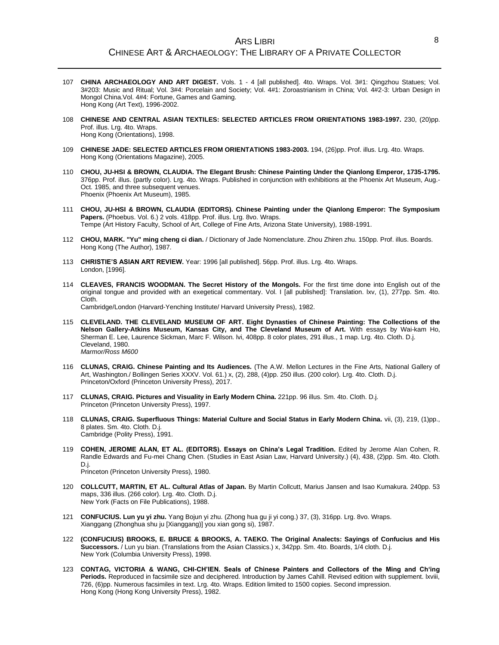#### ARS LIBRI CHINESE ART & ARCHAEOLOGY: THE LIBRARY OF A PRIVATE COLLECTOR

- 107 **CHINA ARCHAEOLOGY AND ART DIGEST.** Vols. 1 4 [all published]. 4to. Wraps. Vol. 3#1: Qingzhou Statues; Vol. 3#203: Music and Ritual; Vol. 3#4: Porcelain and Society; Vol. 4#1: Zoroastrianism in China; Vol. 4#2-3: Urban Design in Mongol China.Vol. 4#4: Fortune, Games and Gaming. Hong Kong (Art Text), 1996-2002.
- 108 **CHINESE AND CENTRAL ASIAN TEXTILES: SELECTED ARTICLES FROM ORIENTATIONS 1983-1997.** 230, (20)pp. Prof. illus. Lrg. 4to. Wraps. Hong Kong (Orientations), 1998.
- 109 **CHINESE JADE: SELECTED ARTICLES FROM ORIENTATIONS 1983-2003.** 194, (26)pp. Prof. illus. Lrg. 4to. Wraps. Hong Kong (Orientations Magazine), 2005.
- 110 **CHOU, JU-HSI & BROWN, CLAUDIA. The Elegant Brush: Chinese Painting Under the Qianlong Emperor, 1735-1795.** 376pp. Prof. illus. (partly color). Lrg. 4to. Wraps. Published in conjunction with exhibitions at the Phoenix Art Museum, Aug.- Oct. 1985, and three subsequent venues. Phoenix (Phoenix Art Museum), 1985.
- 111 **CHOU, JU-HSI & BROWN, CLAUDIA (EDITORS). Chinese Painting under the Qianlong Emperor: The Symposium Papers.** (Phoebus. Vol. 6.) 2 vols. 418pp. Prof. illus. Lrg. 8vo. Wraps. Tempe (Art History Faculty, School of Art, College of Fine Arts, Arizona State University), 1988-1991.
- 112 **CHOU, MARK. "Yu" ming cheng ci dian.** / Dictionary of Jade Nomenclature. Zhou Zhiren zhu. 150pp. Prof. illus. Boards. Hong Kong (The Author), 1987.
- 113 **CHRISTIE'S ASIAN ART REVIEW.** Year: 1996 [all published]. 56pp. Prof. illus. Lrg. 4to. Wraps. London, [1996].
- 114 **CLEAVES, FRANCIS WOODMAN. The Secret History of the Mongols.** For the first time done into English out of the original tongue and provided with an exegetical commentary. Vol. I [all published]: Translation. lxv, (1), 277pp. Sm. 4to. Cloth. Cambridge/London (Harvard-Yenching Institute/ Harvard University Press), 1982.

- 115 **CLEVELAND. THE CLEVELAND MUSEUM OF ART. Eight Dynasties of Chinese Painting: The Collections of the Nelson Gallery-Atkins Museum, Kansas City, and The Cleveland Museum of Art.** With essays by Wai-kam Ho, Sherman E. Lee, Laurence Sickman, Marc F. Wilson. lvi, 408pp. 8 color plates, 291 illus., 1 map. Lrg. 4to. Cloth. D.j. Cleveland, 1980. *Marmor/Ross M600*
- 116 **CLUNAS, CRAIG. Chinese Painting and Its Audiences.** (The A.W. Mellon Lectures in the Fine Arts, National Gallery of Art, Washington./ Bollingen Series XXXV. Vol. 61.) x, (2), 288, (4)pp. 250 illus. (200 color). Lrg. 4to. Cloth. D.j. Princeton/Oxford (Princeton University Press), 2017.
- 117 **CLUNAS, CRAIG. Pictures and Visuality in Early Modern China.** 221pp. 96 illus. Sm. 4to. Cloth. D.j. Princeton (Princeton University Press), 1997.
- 118 **CLUNAS, CRAIG. Superfluous Things: Material Culture and Social Status in Early Modern China.** vii, (3), 219, (1)pp., 8 plates. Sm. 4to. Cloth. D.j. Cambridge (Polity Press), 1991.
- 119 **COHEN, JEROME ALAN, ET AL. (EDITORS). Essays on China's Legal Tradition.** Edited by Jerome Alan Cohen, R. Randle Edwards and Fu-mei Chang Chen. (Studies in East Asian Law, Harvard University.) (4), 438, (2)pp. Sm. 4to. Cloth. D.j. Princeton (Princeton University Press), 1980.
- 120 **COLLCUTT, MARTIN, ET AL. Cultural Atlas of Japan.** By Martin Collcutt, Marius Jansen and Isao Kumakura. 240pp. 53 maps, 336 illus. (266 color). Lrg. 4to. Cloth. D.j. New York (Facts on File Publications), 1988.
- 121 **CONFUCIUS. Lun yu yi zhu.** Yang Bojun yi zhu. (Zhong hua gu ji yi cong.) 37, (3), 316pp. Lrg. 8vo. Wraps. Xianggang (Zhonghua shu ju [Xianggang)] you xian gong si), 1987.
- 122 **(CONFUCIUS) BROOKS, E. BRUCE & BROOKS, A. TAEKO. The Original Analects: Sayings of Confucius and His Successors.** / Lun yu bian. (Translations from the Asian Classics.) x, 342pp. Sm. 4to. Boards, 1/4 cloth. D.j. New York (Columbia University Press), 1998.
- 123 **CONTAG, VICTORIA & WANG, CHI-CH'IEN. Seals of Chinese Painters and Collectors of the Ming and Ch'ing**  Periods. Reproduced in facsimile size and deciphered. Introduction by James Cahill. Revised edition with supplement. Ixviii, 726, (6)pp. Numerous facsimiles in text. Lrg. 4to. Wraps. Edition limited to 1500 copies. Second impression. Hong Kong (Hong Kong University Press), 1982.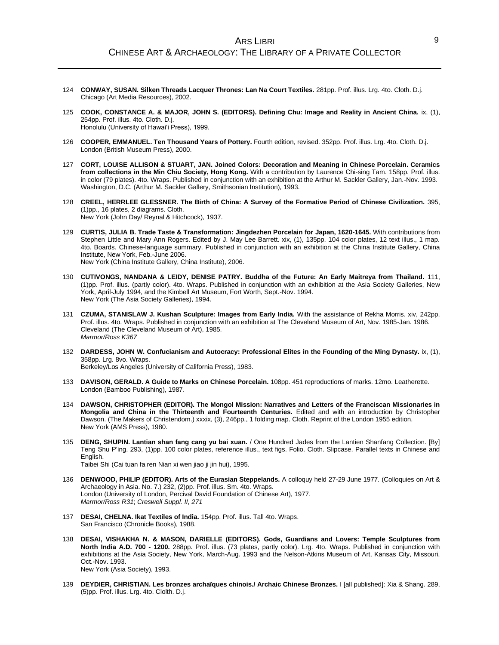- 124 **CONWAY, SUSAN. Silken Threads Lacquer Thrones: Lan Na Court Textiles.** 281pp. Prof. illus. Lrg. 4to. Cloth. D.j. Chicago (Art Media Resources), 2002.
- 125 **COOK, CONSTANCE A. & MAJOR, JOHN S. (EDITORS). Defining Chu: Image and Reality in Ancient China.** ix, (1), 254pp. Prof. illus. 4to. Cloth. D.j. Honolulu (University of Hawai'i Press), 1999.
- 126 **COOPER, EMMANUEL. Ten Thousand Years of Pottery.** Fourth edition, revised. 352pp. Prof. illus. Lrg. 4to. Cloth. D.j. London (British Museum Press), 2000.
- 127 **CORT, LOUISE ALLISON & STUART, JAN. Joined Colors: Decoration and Meaning in Chinese Porcelain. Ceramics from collections in the Min Chiu Society, Hong Kong.** With a contribution by Laurence Chi-sing Tam. 158pp. Prof. illus. in color (79 plates). 4to. Wraps. Published in conjunction with an exhibition at the Arthur M. Sackler Gallery, Jan.-Nov. 1993. Washington, D.C. (Arthur M. Sackler Gallery, Smithsonian Institution), 1993.
- 128 **CREEL, HERRLEE GLESSNER. The Birth of China: A Survey of the Formative Period of Chinese Civilization.** 395, (1)pp., 16 plates, 2 diagrams. Cloth. New York (John Day/ Reynal & Hitchcock), 1937.
- 129 **CURTIS, JULIA B. Trade Taste & Transformation: Jingdezhen Porcelain for Japan, 1620-1645.** With contributions from Stephen Little and Mary Ann Rogers. Edited by J. May Lee Barrett. xix, (1), 135pp. 104 color plates, 12 text illus., 1 map. 4to. Boards. Chinese-language summary. Published in conjunction with an exhibition at the China Institute Gallery, China Institute, New York, Feb.-June 2006. New York (China Institute Gallery, China Institute), 2006.
- 130 **CUTIVONGS, NANDANA & LEIDY, DENISE PATRY. Buddha of the Future: An Early Maitreya from Thailand.** 111, (1)pp. Prof. illus. (partly color). 4to. Wraps. Published in conjunction with an exhibition at the Asia Society Galleries, New York, April-July 1994, and the Kimbell Art Museum, Fort Worth, Sept.-Nov. 1994. New York (The Asia Society Galleries), 1994.
- 131 **CZUMA, STANISLAW J. Kushan Sculpture: Images from Early India.** With the assistance of Rekha Morris. xiv, 242pp. Prof. illus. 4to. Wraps. Published in conjunction with an exhibition at The Cleveland Museum of Art, Nov. 1985-Jan. 1986. Cleveland (The Cleveland Museum of Art), 1985. *Marmor/Ross K367*
- 132 **DARDESS, JOHN W. Confucianism and Autocracy: Professional Elites in the Founding of the Ming Dynasty.** ix, (1), 358pp. Lrg. 8vo. Wraps.

Berkeley/Los Angeles (University of California Press), 1983.

- 133 **DAVISON, GERALD. A Guide to Marks on Chinese Porcelain.** 108pp. 451 reproductions of marks. 12mo. Leatherette. London (Bamboo Publishing), 1987.
- 134 **DAWSON, CHRISTOPHER (EDITOR). The Mongol Mission: Narratives and Letters of the Franciscan Missionaries in Mongolia and China in the Thirteenth and Fourteenth Centuries.** Edited and with an introduction by Christopher Dawson. (The Makers of Christendom.) xxxix, (3), 246pp., 1 folding map. Cloth. Reprint of the London 1955 edition. New York (AMS Press), 1980.
- 135 **DENG, SHUPIN. Lantian shan fang cang yu bai xuan.** / One Hundred Jades from the Lantien Shanfang Collection. [By] Teng Shu P'ing. 293, (1)pp. 100 color plates, reference illus., text figs. Folio. Cloth. Slipcase. Parallel texts in Chinese and English.

Taibei Shi (Cai tuan fa ren Nian xi wen jiao ji jin hui), 1995.

- 136 **DENWOOD, PHILIP (EDITOR). Arts of the Eurasian Steppelands.** A colloquy held 27-29 June 1977. (Colloquies on Art & Archaeology in Asia. No. 7.) 232, (2)pp. Prof. illus. Sm. 4to. Wraps. London (University of London, Percival David Foundation of Chinese Art), 1977. *Marmor/Ross R31*; *Creswell Suppl. II, 271*
- 137 **DESAI, CHELNA. Ikat Textiles of India.** 154pp. Prof. illus. Tall 4to. Wraps. San Francisco (Chronicle Books), 1988.
- 138 **DESAI, VISHAKHA N. & MASON, DARIELLE (EDITORS). Gods, Guardians and Lovers: Temple Sculptures from North India A.D. 700 - 1200.** 288pp. Prof. illus. (73 plates, partly color). Lrg. 4to. Wraps. Published in conjunction with exhibitions at the Asia Society, New York, March-Aug. 1993 and the Nelson-Atkins Museum of Art, Kansas City, Missouri, Oct.-Nov. 1993. New York (Asia Society), 1993.
- 139 **DEYDIER, CHRISTIAN. Les bronzes archaïques chinois./ Archaic Chinese Bronzes.** I [all published]: Xia & Shang. 289, (5)pp. Prof. illus. Lrg. 4to. Clolth. D.j.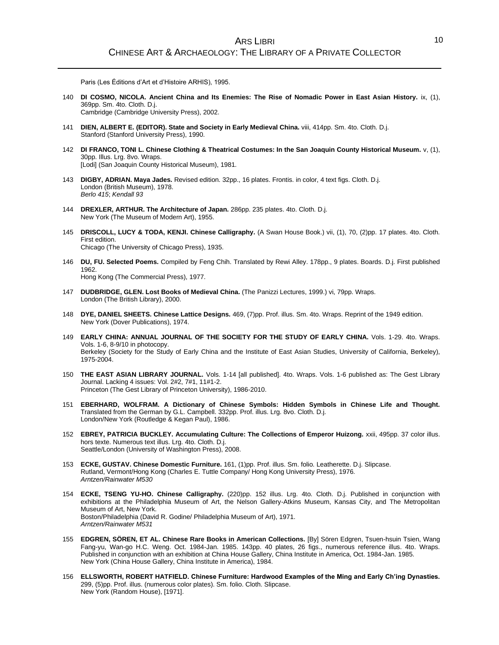Paris (Les Éditions d'Art et d'Histoire ARHIS), 1995.

- 140 **DI COSMO, NICOLA. Ancient China and Its Enemies: The Rise of Nomadic Power in East Asian History.** ix, (1), 369pp. Sm. 4to. Cloth. D.j. Cambridge (Cambridge University Press), 2002.
- 141 **DIEN, ALBERT E. (EDITOR). State and Society in Early Medieval China.** viii, 414pp. Sm. 4to. Cloth. D.j. Stanford (Stanford University Press), 1990.
- 142 **DI FRANCO, TONI L. Chinese Clothing & Theatrical Costumes: In the San Joaquin County Historical Museum.** v, (1), 30pp. Illus. Lrg. 8vo. Wraps. [Lodi] (San Joaquin County Historical Museum), 1981.
- 143 **DIGBY, ADRIAN. Maya Jades.** Revised edition. 32pp., 16 plates. Frontis. in color, 4 text figs. Cloth. D.j. London (British Museum), 1978. *Berlo 415*; *Kendall 93*
- 144 **DREXLER, ARTHUR. The Architecture of Japan.** 286pp. 235 plates. 4to. Cloth. D.j. New York (The Museum of Modern Art), 1955.
- 145 **DRISCOLL, LUCY & TODA, KENJI. Chinese Calligraphy.** (A Swan House Book.) vii, (1), 70, (2)pp. 17 plates. 4to. Cloth. First edition. Chicago (The University of Chicago Press), 1935.
- 146 **DU, FU. Selected Poems.** Compiled by Feng Chih. Translated by Rewi Alley. 178pp., 9 plates. Boards. D.j. First published 1962. Hong Kong (The Commercial Press), 1977.
- 147 **DUDBRIDGE, GLEN. Lost Books of Medieval China.** (The Panizzi Lectures, 1999.) vi, 79pp. Wraps. London (The British Library), 2000.
- 148 **DYE, DANIEL SHEETS. Chinese Lattice Designs.** 469, (7)pp. Prof. illus. Sm. 4to. Wraps. Reprint of the 1949 edition. New York (Dover Publications), 1974.
- 149 **EARLY CHINA: ANNUAL JOURNAL OF THE SOCIETY FOR THE STUDY OF EARLY CHINA.** Vols. 1-29. 4to. Wraps. Vols. 1-6, 8-9/10 in photocopy. Berkeley (Society for the Study of Early China and the Institute of East Asian Studies, University of California, Berkeley), 1975-2004.
- 150 **THE EAST ASIAN LIBRARY JOURNAL.** Vols. 1-14 [all published]. 4to. Wraps. Vols. 1-6 published as: The Gest Library Journal. Lacking 4 issues: Vol. 2#2, 7#1, 11#1-2. Princeton (The Gest Library of Princeton University), 1986-2010.
- 151 **EBERHARD, WOLFRAM. A Dictionary of Chinese Symbols: Hidden Symbols in Chinese Life and Thought.** Translated from the German by G.L. Campbell. 332pp. Prof. illus. Lrg. 8vo. Cloth. D.j. London/New York (Routledge & Kegan Paul), 1986.
- 152 **EBREY, PATRICIA BUCKLEY. Accumulating Culture: The Collections of Emperor Huizong.** xxii, 495pp. 37 color illus. hors texte. Numerous text illus. Lrg. 4to. Cloth. D.j. Seattle/London (University of Washington Press), 2008.
- 153 **ECKE, GUSTAV. Chinese Domestic Furniture.** 161, (1)pp. Prof. illus. Sm. folio. Leatherette. D.j. Slipcase. Rutland, Vermont/Hong Kong (Charles E. Tuttle Company/ Hong Kong University Press), 1976. *Arntzen/Rainwater M530*
- 154 **ECKE, TSENG YU-HO. Chinese Calligraphy.** (220)pp. 152 illus. Lrg. 4to. Cloth. D.j. Published in conjunction with exhibitions at the Philadelphia Museum of Art, the Nelson Gallery-Atkins Museum, Kansas City, and The Metropolitan Museum of Art, New York. Boston/Philadelphia (David R. Godine/ Philadelphia Museum of Art), 1971. *Arntzen/Rainwater M531*
- 155 **EDGREN, SÖREN, ET AL. Chinese Rare Books in American Collections.** [By] Sören Edgren, Tsuen-hsuin Tsien, Wang Fang-yu, Wan-go H.C. Weng. Oct. 1984-Jan. 1985. 143pp. 40 plates, 26 figs., numerous reference illus. 4to. Wraps. Published in conjunction with an exhibition at China House Gallery, China Institute in America, Oct. 1984-Jan. 1985. New York (China House Gallery, China Institute in America), 1984.
- 156 **ELLSWORTH, ROBERT HATFIELD. Chinese Furniture: Hardwood Examples of the Ming and Early Ch'ing Dynasties.** 299, (5)pp. Prof. illus. (numerous color plates). Sm. folio. Cloth. Slipcase. New York (Random House), [1971].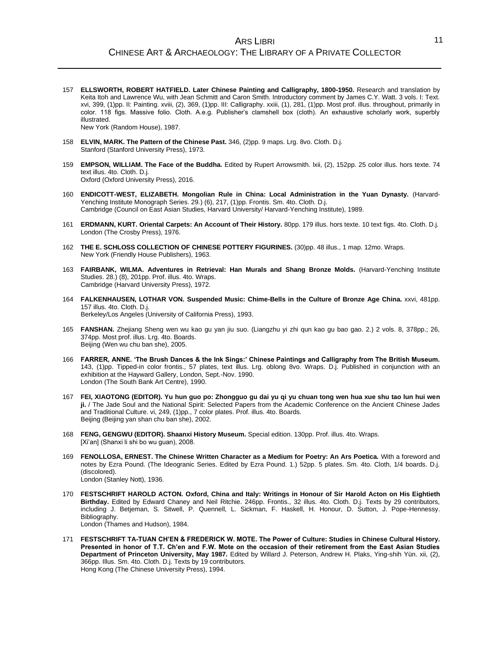- 157 **ELLSWORTH, ROBERT HATFIELD. Later Chinese Painting and Calligraphy, 1800-1950.** Research and translation by Keita Itoh and Lawrence Wu, with Jean Schmitt and Caron Smith. Introductory comment by James C.Y. Watt. 3 vols. I: Text. xvi, 399, (1)pp. II: Painting. xviii, (2), 369, (1)pp. III: Calligraphy. xxiii, (1), 281, (1)pp. Most prof. illus. throughout, primarily in color. 118 figs. Massive folio. Cloth. A.e.g. Publisher's clamshell box (cloth). An exhaustive scholarly work, superbly illustrated. New York (Random House), 1987.
- 158 **ELVIN, MARK. The Pattern of the Chinese Past.** 346, (2)pp. 9 maps. Lrg. 8vo. Cloth. D.j. Stanford (Stanford University Press), 1973.
- 159 **EMPSON, WILLIAM. The Face of the Buddha.** Edited by Rupert Arrowsmith. lxii, (2), 152pp. 25 color illus. hors texte. 74 text illus. 4to. Cloth. D.j. Oxford (Oxford University Press), 2016.
- 160 **ENDICOTT-WEST, ELIZABETH. Mongolian Rule in China: Local Administration in the Yuan Dynasty.** (Harvard-Yenching Institute Monograph Series. 29.) (6), 217, (1)pp. Frontis. Sm. 4to. Cloth. D.j. Cambridge (Council on East Asian Studies, Harvard University/ Harvard-Yenching Institute), 1989.
- 161 **ERDMANN, KURT. Oriental Carpets: An Account of Their History.** 80pp. 179 illus. hors texte. 10 text figs. 4to. Cloth. D.j. London (The Crosby Press), 1976.
- 162 **THE E. SCHLOSS COLLECTION OF CHINESE POTTERY FIGURINES.** (30)pp. 48 illus., 1 map. 12mo. Wraps. New York (Friendly House Publishers), 1963.
- 163 **FAIRBANK, WILMA. Adventures in Retrieval: Han Murals and Shang Bronze Molds.** (Harvard-Yenching Institute Studies. 28.) (8), 201pp. Prof. illus. 4to. Wraps. Cambridge (Harvard University Press), 1972.
- 164 **FALKENHAUSEN, LOTHAR VON. Suspended Music: Chime-Bells in the Culture of Bronze Age China.** xxvi, 481pp. 157 illus. 4to. Cloth. D.j. Berkeley/Los Angeles (University of California Press), 1993.
- 165 **FANSHAN.** Zhejiang Sheng wen wu kao gu yan jiu suo. (Liangzhu yi zhi qun kao gu bao gao. 2.) 2 vols. 8, 378pp.; 26, 374pp. Most prof. illus. Lrg. 4to. Boards. Beijing (Wen wu chu ban she), 2005.
- 166 **FARRER, ANNE. 'The Brush Dances & the Ink Sings:' Chinese Paintings and Calligraphy from The British Museum.** 143, (1)pp. Tipped-in color frontis., 57 plates, text illus. Lrg. oblong 8vo. Wraps. D.j. Published in conjunction with an exhibition at the Hayward Gallery, London, Sept.-Nov. 1990. London (The South Bank Art Centre), 1990.
- 167 **FEI, XIAOTONG (EDITOR). Yu hun guo po: Zhongguo gu dai yu qi yu chuan tong wen hua xue shu tao lun hui wen ji.** / The Jade Soul and the National Spirit: Selected Papers from the Academic Conference on the Ancient Chinese Jades and Traditional Culture. vi, 249, (1)pp., 7 color plates. Prof. illus. 4to. Boards. Beijing (Beijing yan shan chu ban she), 2002.
- 168 **FENG, GENGWU (EDITOR). Shaanxi History Museum.** Special edition. 130pp. Prof. illus. 4to. Wraps. [Xi'an] (Shanxi li shi bo wu guan), 2008.
- 169 **FENOLLOSA, ERNEST. The Chinese Written Character as a Medium for Poetry: An Ars Poetica.** With a foreword and notes by Ezra Pound. (The Ideogranic Series. Edited by Ezra Pound. 1.) 52pp. 5 plates. Sm. 4to. Cloth, 1/4 boards. D.j. (discolored). London (Stanley Nott), 1936.
- 170 **FESTSCHRIFT HAROLD ACTON. Oxford, China and Italy: Writings in Honour of Sir Harold Acton on His Eightieth Birthday.** Edited by Edward Chaney and Neil Ritchie. 246pp. Frontis., 32 illus. 4to. Cloth. D.j. Texts by 29 contributors, including J. Betjeman, S. Sitwell, P. Quennell, L. Sickman, F. Haskell, H. Honour, D. Sutton, J. Pope-Hennessy. Bibliography. London (Thames and Hudson), 1984.
- 171 **FESTSCHRIFT TA-TUAN CH'EN & FREDERICK W. MOTE. The Power of Culture: Studies in Chinese Cultural History. Presented in honor of T.T. Ch'en and F.W. Mote on the occasion of their retirement from the East Asian Studies Department of Princeton University, May 1987.** Edited by Willard J. Peterson, Andrew H. Plaks, Ying-shih Yün. xii, (2), 366pp. Illus. Sm. 4to. Cloth. D.j. Texts by 19 contributors. Hong Kong (The Chinese University Press), 1994.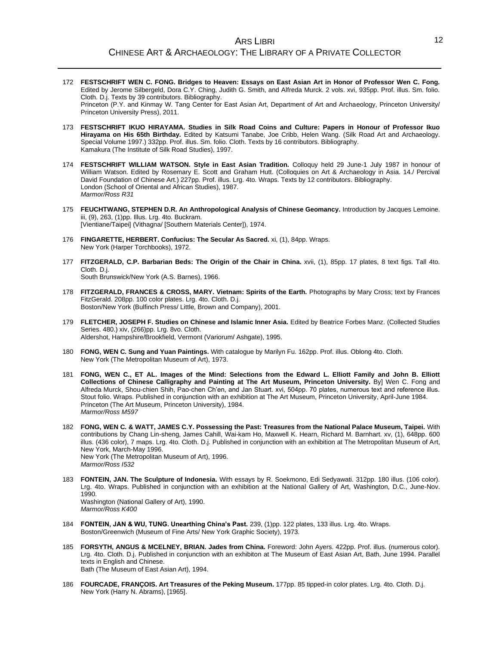- 172 **FESTSCHRIFT WEN C. FONG. Bridges to Heaven: Essays on East Asian Art in Honor of Professor Wen C. Fong.** Edited by Jerome Silbergeld, Dora C.Y. Ching, Judith G. Smith, and Alfreda Murck. 2 vols. xvi, 935pp. Prof. illus. Sm. folio. Cloth. D.j. Texts by 39 contributors. Bibliography. Princeton (P.Y. and Kinmay W. Tang Center for East Asian Art, Department of Art and Archaeology, Princeton University/ Princeton University Press), 2011.
- 173 **FESTSCHRIFT IKUO HIRAYAMA. Studies in Silk Road Coins and Culture: Papers in Honour of Professor Ikuo Hirayama on His 65th Birthday.** Edited by Katsumi Tanabe, Joe Cribb, Helen Wang. (Silk Road Art and Archaeology. Special Volume 1997.) 332pp. Prof. illus. Sm. folio. Cloth. Texts by 16 contributors. Bibliography. Kamakura (The Institute of Silk Road Studies), 1997.
- 174 **FESTSCHRIFT WILLIAM WATSON. Style in East Asian Tradition.** Colloquy held 29 June-1 July 1987 in honour of William Watson. Edited by Rosemary E. Scott and Graham Hutt. (Colloquies on Art & Archaeology in Asia. 14./ Percival David Foundation of Chinese Art.) 227pp. Prof. illus. Lrg. 4to. Wraps. Texts by 12 contributors. Bibliography. London (School of Oriental and African Studies), 1987. *Marmor/Ross R31*
- 175 **FEUCHTWANG, STEPHEN D.R. An Anthropological Analysis of Chinese Geomancy.** Introduction by Jacques Lemoine. iii, (9), 263, (1)pp. Illus. Lrg. 4to. Buckram. [Vientiane/Taipei] (Vithagna/ [Southern Materials Center]), 1974.
- 176 **FINGARETTE, HERBERT. Confucius: The Secular As Sacred.** xi, (1), 84pp. Wraps. New York (Harper Torchbooks), 1972.
- 177 **FITZGERALD, C.P. Barbarian Beds: The Origin of the Chair in China.** xvii, (1), 85pp. 17 plates, 8 text figs. Tall 4to. Cloth. D.j.

South Brunswick/New York (A.S. Barnes), 1966.

- 178 **FITZGERALD, FRANCES & CROSS, MARY. Vietnam: Spirits of the Earth.** Photographs by Mary Cross; text by Frances FitzGerald. 208pp. 100 color plates. Lrg. 4to. Cloth. D.j. Boston/New York (Bulfinch Press/ Little, Brown and Company), 2001.
- 179 **FLETCHER, JOSEPH F. Studies on Chinese and Islamic Inner Asia.** Edited by Beatrice Forbes Manz. (Collected Studies Series. 480.) xiv, (266)pp. Lrg. 8vo. Cloth. Aldershot, Hampshire/Brookfield, Vermont (Variorum/ Ashgate), 1995.
- 180 **FONG, WEN C. Sung and Yuan Paintings.** With catalogue by Marilyn Fu. 162pp. Prof. illus. Oblong 4to. Cloth. New York (The Metropolitan Museum of Art), 1973.
- 181 **FONG, WEN C., ET AL. Images of the Mind: Selections from the Edward L. Elliott Family and John B. Elliott Collections of Chinese Calligraphy and Painting at The Art Museum, Princeton University.** By] Wen C. Fong and Alfreda Murck, Shou-chien Shih, Pao-chen Ch'en, and Jan Stuart. xvi, 504pp. 70 plates, numerous text and reference illus. Stout folio. Wraps. Published in conjunction with an exhibition at The Art Museum, Princeton University, April-June 1984. Princeton (The Art Museum, Princeton University), 1984. *Marmor/Ross M597*
- 182 **FONG, WEN C. & WATT, JAMES C.Y. Possessing the Past: Treasures from the National Palace Museum, Taipei.** With contributions by Chang Lin-sheng, James Cahill, Wai-kam Ho, Maxwell K. Hearn, Richard M. Barnhart. xv, (1), 648pp. 600 illus. (436 color), 7 maps. Lrg. 4to. Cloth. D.j. Published in conjunction with an exhibition at The Metropolitan Museum of Art, New York, March-May 1996. New York (The Metropolitan Museum of Art), 1996. *Marmor/Ross I532*
- 183 **FONTEIN, JAN. The Sculpture of Indonesia.** With essays by R. Soekmono, Edi Sedyawati. 312pp. 180 illus. (106 color). Lrg. 4to. Wraps. Published in conjunction with an exhibition at the National Gallery of Art, Washington, D.C., June-Nov. 1990. Washington (National Gallery of Art), 1990. *Marmor/Ross K400*
- 184 **FONTEIN, JAN & WU, TUNG. Unearthing China's Past.** 239, (1)pp. 122 plates, 133 illus. Lrg. 4to. Wraps. Boston/Greenwich (Museum of Fine Arts/ New York Graphic Society), 1973.
- 185 **FORSYTH, ANGUS & MCELNEY, BRIAN. Jades from China.** Foreword: John Ayers. 422pp. Prof. illus. (numerous color). Lrg. 4to. Cloth. D.j. Published in conjunction with an exhibiton at The Museum of East Asian Art, Bath, June 1994. Parallel texts in English and Chinese. Bath (The Museum of East Asian Art), 1994.
- 186 **FOURCADE, FRANÇOIS. Art Treasures of the Peking Museum.** 177pp. 85 tipped-in color plates. Lrg. 4to. Cloth. D.j. New York (Harry N. Abrams), [1965].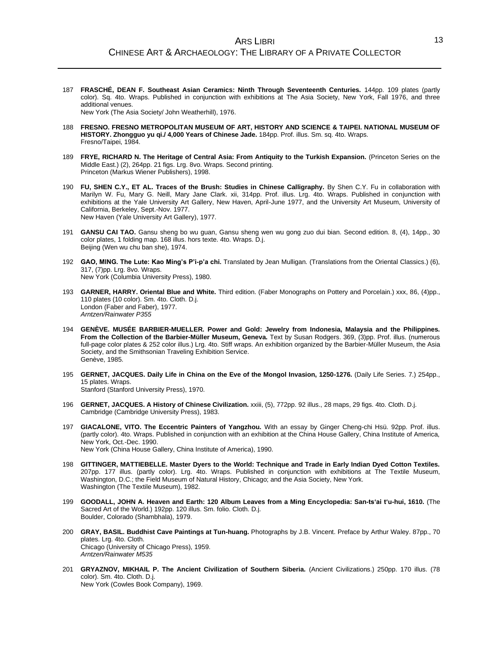187 **FRASCHÉ, DEAN F. Southeast Asian Ceramics: Ninth Through Seventeenth Centuries.** 144pp. 109 plates (partly color). Sq. 4to. Wraps. Published in conjunction with exhibitions at The Asia Society, New York, Fall 1976, and three additional venues.

New York (The Asia Society/ John Weatherhill), 1976.

- 188 **FRESNO. FRESNO METROPOLITAN MUSEUM OF ART, HISTORY AND SCIENCE & TAIPEI. NATIONAL MUSEUM OF HISTORY. Zhongguo yu qi./ 4,000 Years of Chinese Jade.** 184pp. Prof. illus. Sm. sq. 4to. Wraps. Fresno/Taipei, 1984.
- 189 **FRYE, RICHARD N. The Heritage of Central Asia: From Antiquity to the Turkish Expansion.** (Princeton Series on the Middle East.) (2), 264pp. 21 figs. Lrg. 8vo. Wraps. Second printing. Princeton (Markus Wiener Publishers), 1998.
- 190 **FU, SHEN C.Y., ET AL. Traces of the Brush: Studies in Chinese Calligraphy.** By Shen C.Y. Fu in collaboration with Marilyn W. Fu, Mary G. Neill, Mary Jane Clark. xii, 314pp. Prof. illus. Lrg. 4to. Wraps. Published in conjunction with exhibitions at the Yale University Art Gallery, New Haven, April-June 1977, and the University Art Museum, University of California, Berkeley, Sept.-Nov. 1977. New Haven (Yale University Art Gallery), 1977.
- 191 **GANSU CAI TAO.** Gansu sheng bo wu guan, Gansu sheng wen wu gong zuo dui bian. Second edition. 8, (4), 14pp., 30 color plates, 1 folding map. 168 illus. hors texte. 4to. Wraps. D.j. Beijing (Wen wu chu ban she), 1974.
- 192 **GAO, MING. The Lute: Kao Ming's P'i-p'a chi.** Translated by Jean Mulligan. (Translations from the Oriental Classics.) (6), 317, (7)pp. Lrg. 8vo. Wraps. New York (Columbia University Press), 1980.
- 193 **GARNER, HARRY. Oriental Blue and White.** Third edition. (Faber Monographs on Pottery and Porcelain.) xxx, 86, (4)pp., 110 plates (10 color). Sm. 4to. Cloth. D.j. London (Faber and Faber), 1977. *Arntzen/Rainwater P355*
- 194 **GENÈVE. MUSÉE BARBIER-MUELLER. Power and Gold: Jewelry from Indonesia, Malaysia and the Philippines. From the Collection of the Barbier-Müller Museum, Geneva.** Text by Susan Rodgers. 369, (3)pp. Prof. illus. (numerous full-page color plates & 252 color illus.) Lrg. 4to. Stiff wraps. An exhibition organized by the Barbier-Müller Museum, the Asia Society, and the Smithsonian Traveling Exhibition Service. Genève, 1985.
- 195 **GERNET, JACQUES. Daily Life in China on the Eve of the Mongol Invasion, 1250-1276.** (Daily Life Series. 7.) 254pp., 15 plates. Wraps. Stanford (Stanford University Press), 1970.
- 196 **GERNET, JACQUES. A History of Chinese Civilization.** xxiii, (5), 772pp. 92 illus., 28 maps, 29 figs. 4to. Cloth. D.j. Cambridge (Cambridge University Press), 1983.
- 197 **GIACALONE, VITO. The Eccentric Painters of Yangzhou.** With an essay by Ginger Cheng-chi Hsü. 92pp. Prof. illus. (partly color). 4to. Wraps. Published in conjunction with an exhibition at the China House Gallery, China Institute of America, New York, Oct.-Dec. 1990. New York (China House Gallery, China Institute of America), 1990.
- 198 **GITTINGER, MATTIEBELLE. Master Dyers to the World: Technique and Trade in Early Indian Dyed Cotton Textiles.** 207pp. 177 illus. (partly color). Lrg. 4to. Wraps. Published in conjunction with exhibitions at The Textile Museum, Washington, D.C.; the Field Museum of Natural History, Chicago; and the Asia Society, New York. Washington (The Textile Museum), 1982.
- 199 **GOODALL, JOHN A. Heaven and Earth: 120 Album Leaves from a Ming Encyclopedia: San-ts'ai t'u-hui, 1610.** (The Sacred Art of the World.) 192pp. 120 illus. Sm. folio. Cloth. D.j. Boulder, Colorado (Shambhala), 1979.
- 200 **GRAY, BASIL. Buddhist Cave Paintings at Tun-huang.** Photographs by J.B. Vincent. Preface by Arthur Waley. 87pp., 70 plates. Lrg. 4to. Cloth. Chicago (University of Chicago Press), 1959. *Arntzen/Rainwater M535*
- 201 **GRYAZNOV, MIKHAIL P. The Ancient Civilization of Southern Siberia.** (Ancient Civilizations.) 250pp. 170 illus. (78 color). Sm. 4to. Cloth. D.j. New York (Cowles Book Company), 1969.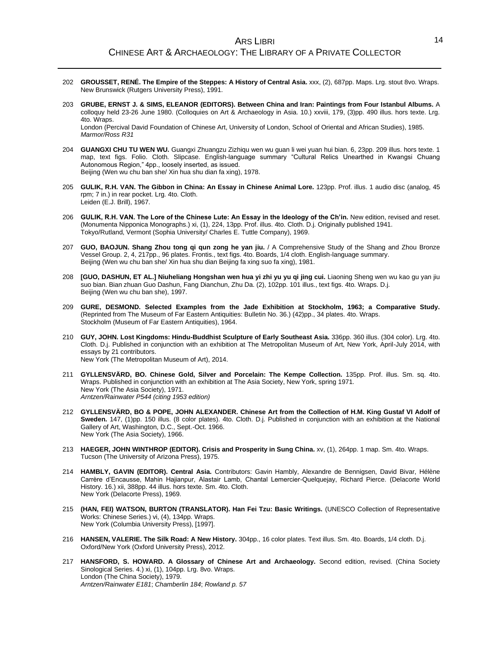- 202 **GROUSSET, RENÉ. The Empire of the Steppes: A History of Central Asia.** xxx, (2), 687pp. Maps. Lrg. stout 8vo. Wraps. New Brunswick (Rutgers University Press), 1991.
- 203 **GRUBE, ERNST J. & SIMS, ELEANOR (EDITORS). Between China and Iran: Paintings from Four Istanbul Albums.** A colloquy held 23-26 June 1980. (Colloquies on Art & Archaeology in Asia. 10.) xxviii, 179, (3)pp. 490 illus. hors texte. Lrg. 4to. Wraps. London (Percival David Foundation of Chinese Art, University of London, School of Oriental and African Studies), 1985.

*Marmor/Ross R31*

- 204 **GUANGXI CHU TU WEN WU.** Guangxi Zhuangzu Zizhiqu wen wu guan li wei yuan hui bian. 6, 23pp. 209 illus. hors texte. 1 map, text figs. Folio. Cloth. Slipcase. English-language summary "Cultural Relics Unearthed in Kwangsi Chuang Autonomous Region," 4pp., loosely inserted, as issued. Beijing (Wen wu chu ban she/ Xin hua shu dian fa xing), 1978.
- 205 **GULIK, R.H. VAN. The Gibbon in China: An Essay in Chinese Animal Lore.** 123pp. Prof. illus. 1 audio disc (analog, 45 rpm; 7 in.) in rear pocket. Lrg. 4to. Cloth. Leiden (E.J. Brill), 1967.
- 206 **GULIK, R.H. VAN. The Lore of the Chinese Lute: An Essay in the Ideology of the Ch'in.** New edition, revised and reset. (Monumenta Nipponica Monographs.) xi, (1), 224, 13pp. Prof. illus. 4to. Cloth. D.j. Originally published 1941. Tokyo/Rutland, Vermont (Sophia University/ Charles E. Tuttle Company), 1969.
- 207 **GUO, BAOJUN. Shang Zhou tong qi qun zong he yan jiu.** / A Comprehensive Study of the Shang and Zhou Bronze Vessel Group. 2, 4, 217pp., 96 plates. Frontis., text figs. 4to. Boards, 1/4 cloth. English-language summary. Beijing (Wen wu chu ban she/ Xin hua shu dian Beijing fa xing suo fa xing), 1981.
- 208 **[GUO, DASHUN, ET AL.] Niuheliang Hongshan wen hua yi zhi yu yu qi jing cui.** Liaoning Sheng wen wu kao gu yan jiu suo bian. Bian zhuan Guo Dashun, Fang Dianchun, Zhu Da. (2), 102pp. 101 illus., text figs. 4to. Wraps. D.j. Beijing (Wen wu chu ban she), 1997.
- 209 **GURE, DESMOND. Selected Examples from the Jade Exhibition at Stockholm, 1963; a Comparative Study.** (Reprinted from The Museum of Far Eastern Antiquities: Bulletin No. 36.) (42)pp., 34 plates. 4to. Wraps. Stockholm (Museum of Far Eastern Antiquities), 1964.
- 210 **GUY, JOHN. Lost Kingdoms: Hindu-Buddhist Sculpture of Early Southeast Asia.** 336pp. 360 illus. (304 color). Lrg. 4to. Cloth. D.j. Published in conjunction with an exhibition at The Metropolitan Museum of Art, New York, April-July 2014, with essays by 21 contributors. New York (The Metropolitan Museum of Art), 2014.
- 211 **GYLLENSVÄRD, BO. Chinese Gold, Silver and Porcelain: The Kempe Collection.** 135pp. Prof. illus. Sm. sq. 4to. Wraps. Published in conjunction with an exhibition at The Asia Society, New York, spring 1971. New York (The Asia Society), 1971. *Arntzen/Rainwater P544 (citing 1953 edition)*
- 212 **GYLLENSVÄRD, BO & POPE, JOHN ALEXANDER. Chinese Art from the Collection of H.M. King Gustaf VI Adolf of Sweden.** 147, (1)pp. 150 illus. (8 color plates). 4to. Cloth. D.j. Published in conjunction with an exhibition at the National Gallery of Art, Washington, D.C., Sept.-Oct. 1966. New York (The Asia Society), 1966.
- 213 **HAEGER, JOHN WINTHROP (EDITOR). Crisis and Prosperity in Sung China.** xv, (1), 264pp. 1 map. Sm. 4to. Wraps. Tucson (The University of Arizona Press), 1975.
- 214 **HAMBLY, GAVIN (EDITOR). Central Asia.** Contributors: Gavin Hambly, Alexandre de Bennigsen, David Bivar, Hélène Carrère d'Encausse, Mahin Hajianpur, Alastair Lamb, Chantal Lemercier-Quelquejay, Richard Pierce. (Delacorte World History. 16.) xii, 388pp. 44 illus. hors texte. Sm. 4to. Cloth. New York (Delacorte Press), 1969.
- 215 **(HAN, FEI) WATSON, BURTON (TRANSLATOR). Han Fei Tzu: Basic Writings.** (UNESCO Collection of Representative Works: Chinese Series.) vi, (4), 134pp. Wraps. New York (Columbia University Press), [1997].
- 216 **HANSEN, VALERIE. The Silk Road: A New History.** 304pp., 16 color plates. Text illus. Sm. 4to. Boards, 1/4 cloth. D.j. Oxford/New York (Oxford University Press), 2012.
- 217 **HANSFORD, S. HOWARD. A Glossary of Chinese Art and Archaeology.** Second edition, revised. (China Society Sinological Series. 4.) xi, (1), 104pp. Lrg. 8vo. Wraps. London (The China Society), 1979. *Arntzen/Rainwater E181*; *Chamberlin 184*; *Rowland p. 57*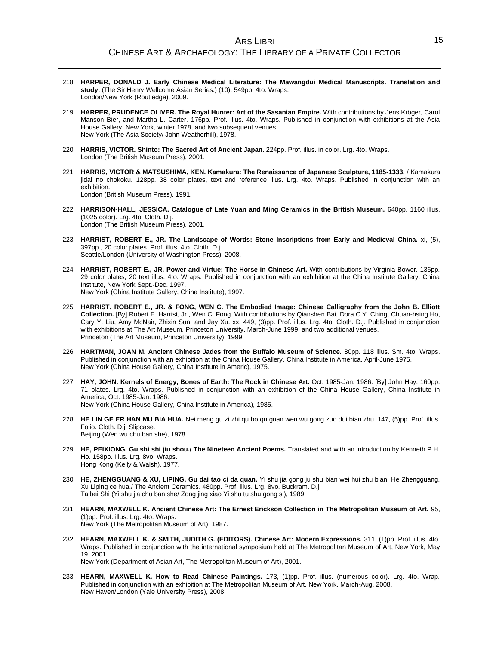- 218 **HARPER, DONALD J. Early Chinese Medical Literature: The Mawangdui Medical Manuscripts. Translation and study.** (The Sir Henry Wellcome Asian Series.) (10), 549pp. 4to. Wraps. London/New York (Routledge), 2009.
- 219 **HARPER, PRUDENCE OLIVER. The Royal Hunter: Art of the Sasanian Empire.** With contributions by Jens Kröger, Carol Manson Bier, and Martha L. Carter. 176pp. Prof. illus. 4to. Wraps. Published in conjunction with exhibitions at the Asia House Gallery, New York, winter 1978, and two subsequent venues. New York (The Asia Society/ John Weatherhill), 1978.
- 220 **HARRIS, VICTOR. Shinto: The Sacred Art of Ancient Japan.** 224pp. Prof. illus. in color. Lrg. 4to. Wraps. London (The British Museum Press), 2001.
- 221 **HARRIS, VICTOR & MATSUSHIMA, KEN. Kamakura: The Renaissance of Japanese Sculpture, 1185-1333.** / Kamakura jidai no chokoku. 128pp. 38 color plates, text and reference illus. Lrg. 4to. Wraps. Published in conjunction with an exhibition. London (British Museum Press), 1991.
- 222 **HARRISON-HALL, JESSICA. Catalogue of Late Yuan and Ming Ceramics in the British Museum.** 640pp. 1160 illus. (1025 color). Lrg. 4to. Cloth. D.j. London (The British Museum Press), 2001.
- 223 **HARRIST, ROBERT E., JR. The Landscape of Words: Stone Inscriptions from Early and Medieval China.** xi, (5), 397pp., 20 color plates. Prof. illus. 4to. Cloth. D.j. Seattle/London (University of Washington Press), 2008.
- 224 **HARRIST, ROBERT E., JR. Power and Virtue: The Horse in Chinese Art.** With contributions by Virginia Bower. 136pp. 29 color plates, 20 text illus. 4to. Wraps. Published in conjunction with an exhibition at the China Institute Gallery, China Institute, New York Sept.-Dec. 1997. New York (China Institute Gallery, China Institute), 1997.
- 225 **HARRIST, ROBERT E., JR. & FONG, WEN C. The Embodied Image: Chinese Calligraphy from the John B. Elliott Collection.** [By] Robert E. Harrist, Jr., Wen C. Fong. With contributions by Qianshen Bai, Dora C.Y. Ching, Chuan-hsing Ho, Cary Y. Liu, Amy McNair, Zhixin Sun, and Jay Xu. xx, 449, (3)pp. Prof. illus. Lrg. 4to. Cloth. D.j. Published in conjunction with exhibitions at The Art Museum, Princeton University, March-June 1999, and two additional venues. Princeton (The Art Museum, Princeton University), 1999.
- 226 **HARTMAN, JOAN M. Ancient Chinese Jades from the Buffalo Museum of Science.** 80pp. 118 illus. Sm. 4to. Wraps. Published in conjunction with an exhibition at the China House Gallery, China Institute in America, April-June 1975. New York (China House Gallery, China Institute in Americ), 1975.
- 227 **HAY, JOHN. Kernels of Energy, Bones of Earth: The Rock in Chinese Art.** Oct. 1985-Jan. 1986. [By] John Hay. 160pp. 71 plates. Lrg. 4to. Wraps. Published in conjunction with an exhibition of the China House Gallery, China Institute in America, Oct. 1985-Jan. 1986. New York (China House Gallery, China Institute in America), 1985.
- 228 **HE LIN GE ER HAN MU BIA HUA.** Nei meng gu zi zhi qu bo qu guan wen wu gong zuo dui bian zhu. 147, (5)pp. Prof. illus. Folio. Cloth. D.j. Slipcase. Beijing (Wen wu chu ban she), 1978.
- 229 **HE, PEIXIONG. Gu shi shi jiu shou./ The Nineteen Ancient Poems.** Translated and with an introduction by Kenneth P.H. Ho. 158pp. Illus. Lrg. 8vo. Wraps. Hong Kong (Kelly & Walsh), 1977.
- 230 **HE, ZHENGGUANG & XU, LIPING. Gu dai tao ci da quan.** Yi shu jia gong ju shu bian wei hui zhu bian; He Zhengguang, Xu Liping ce hua./ The Ancient Ceramics. 480pp. Prof. illus. Lrg. 8vo. Buckram. D.j. Taibei Shi (Yi shu jia chu ban she/ Zong jing xiao Yi shu tu shu gong si), 1989.
- 231 **HEARN, MAXWELL K. Ancient Chinese Art: The Ernest Erickson Collection in The Metropolitan Museum of Art.** 95, (1)pp. Prof. illus. Lrg. 4to. Wraps. New York (The Metropolitan Museum of Art), 1987.
- 232 **HEARN, MAXWELL K. & SMITH, JUDITH G. (EDITORS). Chinese Art: Modern Expressions.** 311, (1)pp. Prof. illus. 4to. Wraps. Published in conjunction with the international symposium held at The Metropolitan Museum of Art, New York, May 19, 2001. New York (Department of Asian Art, The Metropolitan Museum of Art), 2001.
- 233 **HEARN, MAXWELL K. How to Read Chinese Paintings.** 173, (1)pp. Prof. illus. (numerous color). Lrg. 4to. Wrap. Published in conjunction with an exhibition at The Metropolitan Museum of Art, New York, March-Aug. 2008. New Haven/London (Yale University Press), 2008.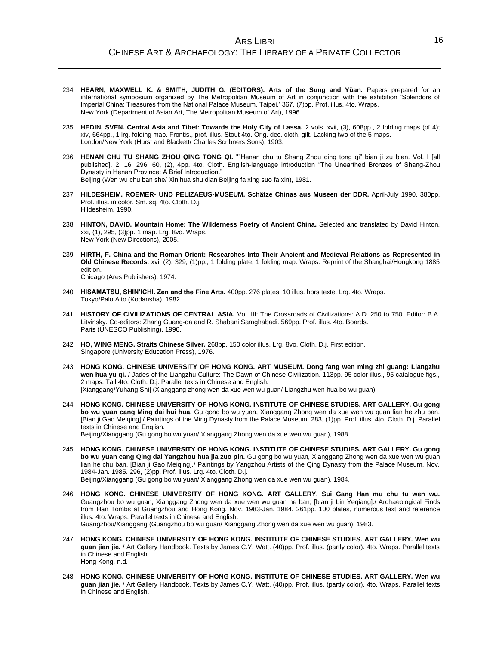- 234 **HEARN, MAXWELL K. & SMITH, JUDITH G. (EDITORS). Arts of the Sung and Yüan.** Papers prepared for an international symposium organized by The Metropolitan Museum of Art in conjunction with the exhibition 'Splendors of Imperial China: Treasures from the National Palace Museum, Taipei.' 367, (7)pp. Prof. illus. 4to. Wraps. New York (Department of Asian Art, The Metropolitan Museum of Art), 1996.
- 235 **HEDIN, SVEN. Central Asia and Tibet: Towards the Holy City of Lassa.** 2 vols. xvii, (3), 608pp., 2 folding maps (of 4); xiv, 664pp., 1 lrg. folding map. Frontis., prof. illus. Stout 4to. Orig. dec. cloth, gilt. Lacking two of the 5 maps. London/New York (Hurst and Blackett/ Charles Scribners Sons), 1903.
- 236 **HENAN CHU TU SHANG ZHOU QING TONG QI.** ""Henan chu tu Shang Zhou qing tong qi" bian ji zu bian. Vol. I [all published]. 2, 16, 296, 60, (2), 4pp. 4to. Cloth. English-language introduction "The Unearthed Bronzes of Shang-Zhou Dynasty in Henan Province: A Brief Introduction." Beijing (Wen wu chu ban she/ Xin hua shu dian Beijing fa xing suo fa xin), 1981.
- 237 **HILDESHEIM. ROEMER- UND PELIZAEUS-MUSEUM. Schätze Chinas aus Museen der DDR.** April-July 1990. 380pp. Prof. illus. in color. Sm. sq. 4to. Cloth. D.j. Hildesheim, 1990.
- 238 **HINTON, DAVID. Mountain Home: The Wilderness Poetry of Ancient China.** Selected and translated by David Hinton. xxi, (1), 295, (3)pp. 1 map. Lrg. 8vo. Wraps. New York (New Directions), 2005.
- 239 **HIRTH, F. China and the Roman Orient: Researches Into Their Ancient and Medieval Relations as Represented in Old Chinese Records.** xvi, (2), 329, (1)pp., 1 folding plate, 1 folding map. Wraps. Reprint of the Shanghai/Hongkong 1885 edition.

Chicago (Ares Publishers), 1974.

- 240 **HISAMATSU, SHIN'ICHI. Zen and the Fine Arts.** 400pp. 276 plates. 10 illus. hors texte. Lrg. 4to. Wraps. Tokyo/Palo Alto (Kodansha), 1982.
- 241 **HISTORY OF CIVILIZATIONS OF CENTRAL ASIA.** Vol. III: The Crossroads of Civilizations: A.D. 250 to 750. Editor: B.A. Litvinsky. Co-editors: Zhang Guang-da and R. Shabani Samghabadi. 569pp. Prof. illus. 4to. Boards. Paris (UNESCO Publishing), 1996.
- 242 **HO, WING MENG. Straits Chinese Silver.** 268pp. 150 color illus. Lrg. 8vo. Cloth. D.j. First edition. Singapore (University Education Press), 1976.
- 243 **HONG KONG. CHINESE UNIVERSITY OF HONG KONG. ART MUSEUM. Dong fang wen ming zhi guang: Liangzhu wen hua yu qi.** / Jades of the Liangzhu Culture: The Dawn of Chinese Civilization. 113pp. 95 color illus., 95 catalogue figs., 2 maps. Tall 4to. Cloth. D.j. Parallel texts in Chinese and English. [Xianggang/Yuhang Shi] (Xianggang zhong wen da xue wen wu guan/ Liangzhu wen hua bo wu guan).
- 244 **HONG KONG. CHINESE UNIVERSITY OF HONG KONG. INSTITUTE OF CHINESE STUDIES. ART GALLERY. Gu gong bo wu yuan cang Ming dai hui hua.** Gu gong bo wu yuan, Xianggang Zhong wen da xue wen wu guan lian he zhu ban. [Bian ji Gao Meiqing]./ Paintings of the Ming Dynasty from the Palace Museum. 283, (1)pp. Prof. illus. 4to. Cloth. D.j. Parallel texts in Chinese and English. Beijing/Xianggang (Gu gong bo wu yuan/ Xianggang Zhong wen da xue wen wu guan), 1988.

- 245 **HONG KONG. CHINESE UNIVERSITY OF HONG KONG. INSTITUTE OF CHINESE STUDIES. ART GALLERY. Gu gong bo wu yuan cang Qing dai Yangzhou hua jia zuo pin.** Gu gong bo wu yuan, Xianggang Zhong wen da xue wen wu guan lian he chu ban. [Bian ji Gao Meiqing]./ Paintings by Yangzhou Artists of the Qing Dynasty from the Palace Museum. Nov. 1984-Jan. 1985. 296, (2)pp. Prof. illus. Lrg. 4to. Cloth. D.j. Beijing/Xianggang (Gu gong bo wu yuan/ Xianggang Zhong wen da xue wen wu guan), 1984.
- 246 **HONG KONG. CHINESE UNIVERSITY OF HONG KONG. ART GALLERY. Sui Gang Han mu chu tu wen wu.** Guangzhou bo wu guan, Xianggang Zhong wen da xue wen wu guan he ban; [bian ji Lin Yeqiang]./ Archaeological Finds from Han Tombs at Guangzhou and Hong Kong. Nov. 1983-Jan. 1984. 261pp. 100 plates, numerous text and reference illus. 4to. Wraps. Parallel texts in Chinese and English. Guangzhou/Xianggang (Guangzhou bo wu guan/ Xianggang Zhong wen da xue wen wu guan), 1983.
- 247 **HONG KONG. CHINESE UNIVERSITY OF HONG KONG. INSTITUTE OF CHINESE STUDIES. ART GALLERY. Wen wu guan jian jie.** / Art Gallery Handbook. Texts by James C.Y. Watt. (40)pp. Prof. illus. (partly color). 4to. Wraps. Parallel texts in Chinese and English. Hong Kong, n.d.
- 248 **HONG KONG. CHINESE UNIVERSITY OF HONG KONG. INSTITUTE OF CHINESE STUDIES. ART GALLERY. Wen wu guan jian jie.** / Art Gallery Handbook. Texts by James C.Y. Watt. (40)pp. Prof. illus. (partly color). 4to. Wraps. Parallel texts in Chinese and English.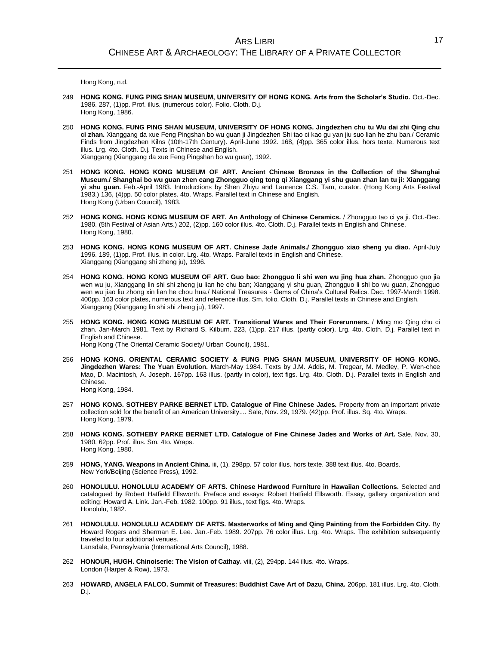Hong Kong, n.d.

- 249 **HONG KONG. FUNG PING SHAN MUSEUM, UNIVERSITY OF HONG KONG. Arts from the Scholar's Studio.** Oct.-Dec. 1986. 287, (1)pp. Prof. illus. (numerous color). Folio. Cloth. D.j. Hong Kong, 1986.
- 250 **HONG KONG. FUNG PING SHAN MUSEUM, UNIVERSITY OF HONG KONG. Jingdezhen chu tu Wu dai zhi Qing chu ci zhan.** Xianggang da xue Feng Pingshan bo wu guan ji Jingdezhen Shi tao ci kao gu yan jiu suo lian he zhu ban./ Ceramic Finds from Jingdezhen Kilns (10th-17th Century). April-June 1992. 168, (4)pp. 365 color illus. hors texte. Numerous text illus. Lrg. 4to. Cloth. D.j. Texts in Chinese and English. Xianggang (Xianggang da xue Feng Pingshan bo wu guan), 1992.
- 251 **HONG KONG. HONG KONG MUSEUM OF ART. Ancient Chinese Bronzes in the Collection of the Shanghai Museum./ Shanghai bo wu guan zhen cang Zhongguo qing tong qi Xianggang yi shu guan zhan lan tu ji: Xianggang yi shu guan.** Feb.-April 1983. Introductions by Shen Zhiyu and Laurence C.S. Tam, curator. (Hong Kong Arts Festival 1983.) 136, (4)pp. 50 color plates. 4to. Wraps. Parallel text in Chinese and English. Hong Kong (Urban Council), 1983.
- 252 **HONG KONG. HONG KONG MUSEUM OF ART. An Anthology of Chinese Ceramics.** / Zhongguo tao ci ya ji. Oct.-Dec. 1980. (5th Festival of Asian Arts.) 202, (2)pp. 160 color illus. 4to. Cloth. D.j. Parallel texts in English and Chinese. Hong Kong, 1980.
- 253 **HONG KONG. HONG KONG MUSEUM OF ART. Chinese Jade Animals./ Zhongguo xiao sheng yu diao.** April-July 1996. 189, (1)pp. Prof. illus. in color. Lrg. 4to. Wraps. Parallel texts in English and Chinese. Xianggang (Xianggang shi zheng ju), 1996.
- 254 **HONG KONG. HONG KONG MUSEUM OF ART. Guo bao: Zhongguo li shi wen wu jing hua zhan.** Zhongguo guo jia wen wu ju, Xianggang lin shi shi zheng ju lian he chu ban; Xianggang yi shu guan, Zhongguo li shi bo wu guan, Zhongguo wen wu jiao liu zhong xin lian he chou hua./ National Treasures - Gems of China's Cultural Relics. Dec. 1997-March 1998. 400pp. 163 color plates, numerous text and reference illus. Sm. folio. Cloth. D.j. Parallel texts in Chinese and English. Xianggang (Xianggang lin shi shi zheng ju), 1997.
- 255 **HONG KONG. HONG KONG MUSEUM OF ART. Transitional Wares and Their Forerunners.** / Ming mo Qing chu ci zhan. Jan-March 1981. Text by Richard S. Kilburn. 223, (1)pp. 217 illus. (partly color). Lrg. 4to. Cloth. D.j. Parallel text in English and Chinese. Hong Kong (The Oriental Ceramic Society/ Urban Council), 1981.
- 256 **HONG KONG. ORIENTAL CERAMIC SOCIETY & FUNG PING SHAN MUSEUM, UNIVERSITY OF HONG KONG. Jingdezhen Wares: The Yuan Evolution.** March-May 1984. Texts by J.M. Addis, M. Tregear, M. Medley, P. Wen-chee Mao, D. Macintosh, A. Joseph. 167pp. 163 illus. (partly in color), text figs. Lrg. 4to. Cloth. D.j. Parallel texts in English and Chinese. Hong Kong, 1984.
- 257 **HONG KONG. SOTHEBY PARKE BERNET LTD. Catalogue of Fine Chinese Jades.** Property from an important private collection sold for the benefit of an American University.... Sale, Nov. 29, 1979. (42)pp. Prof. illus. Sq. 4to. Wraps. Hong Kong, 1979.
- 258 **HONG KONG. SOTHEBY PARKE BERNET LTD. Catalogue of Fine Chinese Jades and Works of Art.** Sale, Nov. 30, 1980. 62pp. Prof. illus. Sm. 4to. Wraps. Hong Kong, 1980.
- 259 **HONG, YANG. Weapons in Ancient China.** iii, (1), 298pp. 57 color illus. hors texte. 388 text illus. 4to. Boards. New York/Beijing (Science Press), 1992.
- 260 **HONOLULU. HONOLULU ACADEMY OF ARTS. Chinese Hardwood Furniture in Hawaiian Collections.** Selected and catalogued by Robert Hatfield Ellsworth. Preface and essays: Robert Hatfield Ellsworth. Essay, gallery organization and editing: Howard A. Link. Jan.-Feb. 1982. 100pp. 91 illus., text figs. 4to. Wraps. Honolulu, 1982.
- 261 **HONOLULU. HONOLULU ACADEMY OF ARTS. Masterworks of Ming and Qing Painting from the Forbidden City.** By Howard Rogers and Sherman E. Lee. Jan.-Feb. 1989. 207pp. 76 color illus. Lrg. 4to. Wraps. The exhibition subsequently traveled to four additional venues. Lansdale, Pennsylvania (International Arts Council), 1988.
- 262 **HONOUR, HUGH. Chinoiserie: The Vision of Cathay.** viii, (2), 294pp. 144 illus. 4to. Wraps. London (Harper & Row), 1973.
- 263 **HOWARD, ANGELA FALCO. Summit of Treasures: Buddhist Cave Art of Dazu, China.** 206pp. 181 illus. Lrg. 4to. Cloth. D.j.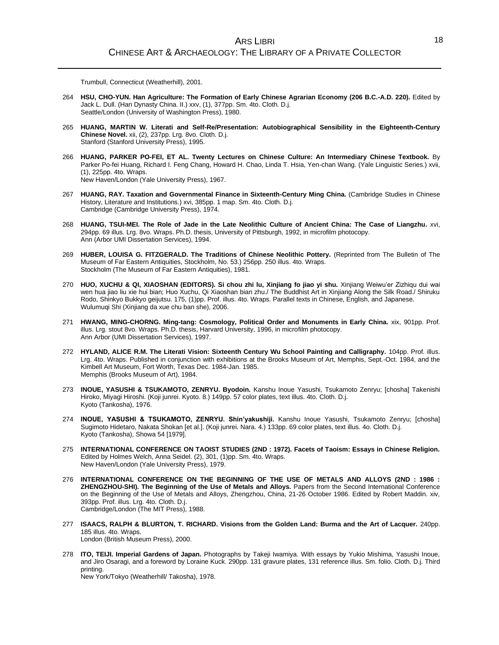Trumbull, Connecticut (Weatherhill), 2001.

- 264 **HSU, CHO-YUN. Han Agriculture: The Formation of Early Chinese Agrarian Economy (206 B.C.-A.D. 220).** Edited by Jack L. Dull. (Han Dynasty China. II.) xxv, (1), 377pp. Sm. 4to. Cloth. D.j. Seattle/London (University of Washington Press), 1980.
- 265 **HUANG, MARTIN W. Literati and Self-Re/Presentation: Autobiographical Sensibility in the Eighteenth-Century Chinese Novel.** xii, (2), 237pp. Lrg. 8vo. Cloth. D.j. Stanford (Stanford University Press), 1995.
- 266 **HUANG, PARKER PO-FEI, ET AL. Twenty Lectures on Chinese Culture: An Intermediary Chinese Textbook.** By Parker Po-fei Huang, Richard I. Feng Chang, Howard H. Chao, Linda T. Hsia, Yen-chan Wang. (Yale Linguistic Series.) xvii, (1), 225pp. 4to. Wraps. New Haven/London (Yale University Press), 1967.
- 267 **HUANG, RAY. Taxation and Governmental Finance in Sixteenth-Century Ming China.** (Cambridge Studies in Chinese History, Literature and Institutions.) xvi, 385pp. 1 map. Sm. 4to. Cloth. D.j. Cambridge (Cambridge University Press), 1974.
- 268 **HUANG, TSUI-MEI. The Role of Jade in the Late Neolithic Culture of Ancient China: The Case of Liangzhu.** xvi, 294pp. 69 illus. Lrg. 8vo. Wraps. Ph.D. thesis, University of Pittsburgh, 1992, in microfilm photocopy. Ann (Arbor UMI Dissertation Services), 1994.
- 269 **HUBER, LOUISA G. FITZGERALD. The Traditions of Chinese Neolithic Pottery.** (Reprinted from The Bulletin of The Museum of Far Eastern Antiquities, Stockholm, No. 53.) 256pp. 250 illus. 4to. Wraps. Stockholm (The Museum of Far Eastern Antiquities), 1981.
- 270 **HUO, XUCHU & QI, XIAOSHAN (EDITORS). Si chou zhi lu, Xinjiang fo jiao yi shu.** Xinjiang Weiwu'er Zizhiqu dui wai wen hua jiao liu xie hui bian; Huo Xuchu, Qi Xiaoshan bian zhu./ The Buddhist Art in Xinjiang Along the Silk Road./ Shiruku Rodo, Shinkyo Bukkyo geijutsu. 175, (1)pp. Prof. illus. 4to. Wraps. Parallel texts in Chinese, English, and Japanese. Wulumuqi Shi (Xinjiang da xue chu ban she), 2006.
- 271 **HWANG, MING-CHORNG. Ming-tang: Cosmology, Political Order and Monuments in Early China.** xix, 901pp. Prof. illus. Lrg. stout 8vo. Wraps. Ph.D. thesis, Harvard University, 1996, in microfilm photocopy. Ann Arbor (UMI Dissertation Services), 1997.
- 272 **HYLAND, ALICE R.M. The Literati Vision: Sixteenth Century Wu School Painting and Calligraphy.** 104pp. Prof. illus. Lrg. 4to. Wraps. Published in conjunction with exhibitions at the Brooks Museum of Art, Memphis, Sept.-Oct. 1984, and the Kimbell Art Museum, Fort Worth, Texas Dec. 1984-Jan. 1985. Memphis (Brooks Museum of Art), 1984.
- 273 **INOUE, YASUSHI & TSUKAMOTO, ZENRYU. Byodoin.** Kanshu Inoue Yasushi, Tsukamoto Zenryu; [chosha] Takenishi Hiroko, Miyagi Hiroshi. (Koji junrei. Kyoto. 8.) 149pp. 57 color plates, text illus. 4to. Cloth. D.j. Kyoto (Tankosha), 1976.
- 274 **INOUE, YASUSHI & TSUKAMOTO, ZENRYU. Shin'yakushiji.** Kanshu Inoue Yasushi, Tsukamoto Zenryu; [chosha] Sugimoto Hidetaro, Nakata Shokan [et al.]. (Koji junrei. Nara. 4.) 133pp. 69 color plates, text illus. 4o. Cloth. D.j. Kyoto (Tankosha), Showa 54 [1979].
- 275 **INTERNATIONAL CONFERENCE ON TAOIST STUDIES (2ND : 1972). Facets of Taoism: Essays in Chinese Religion.** Edited by Holmes Welch, Anna Seidel. (2), 301, (1)pp. Sm. 4to. Wraps. New Haven/London (Yale University Press), 1979.
- 276 **INTERNATIONAL CONFERENCE ON THE BEGINNING OF THE USE OF METALS AND ALLOYS (2ND : 1986 : ZHENGZHOU-SHI). The Beginning of the Use of Metals and Alloys.** Papers from the Second International Conference on the Beginning of the Use of Metals and Alloys, Zhengzhou, China, 21-26 October 1986. Edited by Robert Maddin. xiv, 393pp. Prof. illus. Lrg. 4to. Cloth. D.j. Cambridge/London (The MIT Press), 1988.
- 277 **ISAACS, RALPH & BLURTON, T. RICHARD. Visions from the Golden Land: Burma and the Art of Lacquer.** 240pp. 185 illus. 4to. Wraps. London (British Museum Press), 2000.
- 278 **ITO, TEIJI. Imperial Gardens of Japan.** Photographs by Takeji Iwamiya. With essays by Yukio Mishima, Yasushi Inoue, and Jiro Osaragi, and a foreword by Loraine Kuck. 290pp. 131 gravure plates, 131 reference illus. Sm. folio. Cloth. D.j. Third printing.

New York/Tokyo (Weatherhill/ Takosha), 1978.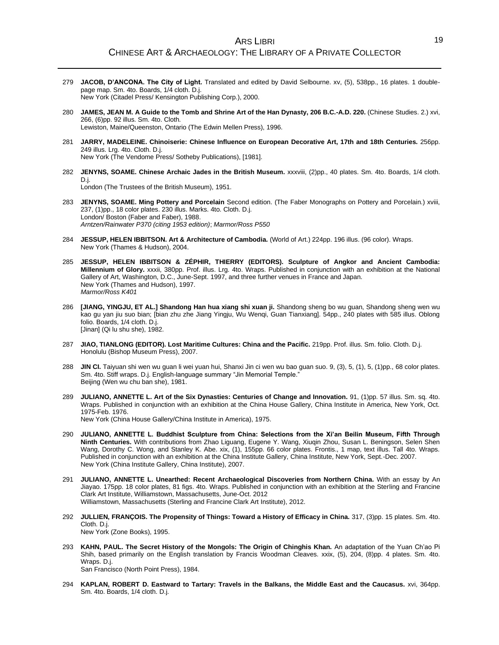## ARS LIBRI CHINESE ART & ARCHAEOLOGY: THE LIBRARY OF A PRIVATE COLLECTOR

- 279 **JACOB, D'ANCONA. The City of Light.** Translated and edited by David Selbourne. xv, (5), 538pp., 16 plates. 1 doublepage map. Sm. 4to. Boards, 1/4 cloth. D.j. New York (Citadel Press/ Kensington Publishing Corp.), 2000.
- 280 **JAMES, JEAN M. A Guide to the Tomb and Shrine Art of the Han Dynasty, 206 B.C.-A.D. 220.** (Chinese Studies. 2.) xvi, 266, (6)pp. 92 illus. Sm. 4to. Cloth. Lewiston, Maine/Queenston, Ontario (The Edwin Mellen Press), 1996.
- 281 **JARRY, MADELEINE. Chinoiserie: Chinese Influence on European Decorative Art, 17th and 18th Centuries.** 256pp. 249 illus. Lrg. 4to. Cloth. D.j. New York (The Vendome Press/ Sotheby Publications), [1981].
- 282 **JENYNS, SOAME. Chinese Archaic Jades in the British Museum.** xxxviii, (2)pp., 40 plates. Sm. 4to. Boards, 1/4 cloth. D.j. London (The Trustees of the British Museum), 1951.
- 283 **JENYNS, SOAME. Ming Pottery and Porcelain** Second edition. (The Faber Monographs on Pottery and Porcelain.) xviii, 237, (1)pp., 18 color plates. 230 illus. Marks. 4to. Cloth. D.j. London/ Boston (Faber and Faber), 1988. *Arntzen/Rainwater P370 (citing 1953 edition)*; *Marmor/Ross P550*
- 284 **JESSUP, HELEN IBBITSON. Art & Architecture of Cambodia.** (World of Art.) 224pp. 196 illus. (96 color). Wraps. New York (Thames & Hudson), 2004.
- 285 **JESSUP, HELEN IBBITSON & ZÉPHIR, THIERRY (EDITORS). Sculpture of Angkor and Ancient Cambodia: Millennium of Glory.** xxxii, 380pp. Prof. illus. Lrg. 4to. Wraps. Published in conjunction with an exhibition at the National Gallery of Art, Washington, D.C., June-Sept. 1997, and three further venues in France and Japan. New York (Thames and Hudson), 1997. *Marmor/Ross K401*
- 286 **[JIANG, YINGJU, ET AL.] Shandong Han hua xiang shi xuan ji.** Shandong sheng bo wu guan, Shandong sheng wen wu kao gu yan jiu suo bian; [bian zhu zhe Jiang Yingju, Wu Wenqi, Guan Tianxiang]. 54pp., 240 plates with 585 illus. Oblong folio. Boards, 1/4 cloth. D.j. [Jinan] (Qi lu shu she), 1982.
- 287 **JIAO, TIANLONG (EDITOR). Lost Maritime Cultures: China and the Pacific.** 219pp. Prof. illus. Sm. folio. Cloth. D.j. Honolulu (Bishop Museum Press), 2007.
- 288 **JIN CI.** Taiyuan shi wen wu guan li wei yuan hui, Shanxi Jin ci wen wu bao guan suo. 9, (3), 5, (1), 5, (1)pp., 68 color plates. Sm. 4to. Stiff wraps. D.j. English-language summary "Jin Memorial Temple." Beijing (Wen wu chu ban she), 1981.
- 289 **JULIANO, ANNETTE L. Art of the Six Dynasties: Centuries of Change and Innovation.** 91, (1)pp. 57 illus. Sm. sq. 4to. Wraps. Published in conjunction with an exhibition at the China House Gallery, China Institute in America, New York, Oct. 1975-Feb. 1976.

New York (China House Gallery/China Institute in America), 1975.

- 290 **JULIANO, ANNETTE L. Buddhist Sculpture from China: Selections from the Xi'an Beilin Museum, Fifth Through Ninth Centuries.** With contributions from Zhao Liguang, Eugene Y. Wang, Xiuqin Zhou, Susan L. Beningson, Selen Shen Wang, Dorothy C. Wong, and Stanley K. Abe. xix, (1), 155pp. 66 color plates. Frontis., 1 map, text illus. Tall 4to. Wraps. Published in conjunction with an exhibition at the China Institute Gallery, China Institute, New York, Sept.-Dec. 2007. New York (China Institute Gallery, China Institute), 2007.
- 291 **JULIANO, ANNETTE L. Unearthed: Recent Archaeological Discoveries from Northern China.** With an essay by An Jiayao. 175pp. 18 color plates, 81 figs. 4to. Wraps. Published in conjunction with an exhibition at the Sterling and Francine Clark Art Institute, Williamstown, Massachusetts, June-Oct. 2012 Williamstown, Massachusetts (Sterling and Francine Clark Art Institute), 2012.
- 292 **JULLIEN, FRANÇOIS. The Propensity of Things: Toward a History of Efficacy in China.** 317, (3)pp. 15 plates. Sm. 4to. Cloth. D.j. New York (Zone Books), 1995.
- 293 **KAHN, PAUL. The Secret History of the Mongols: The Origin of Chinghis Khan.** An adaptation of the Yuan Ch'ao Pi Shih, based primarily on the English translation by Francis Woodman Cleaves. xxix, (5), 204, (8)pp. 4 plates. Sm. 4to. Wraps. D.j. San Francisco (North Point Press), 1984.
- 294 **KAPLAN, ROBERT D. Eastward to Tartary: Travels in the Balkans, the Middle East and the Caucasus.** xvi, 364pp. Sm. 4to. Boards, 1/4 cloth. D.j.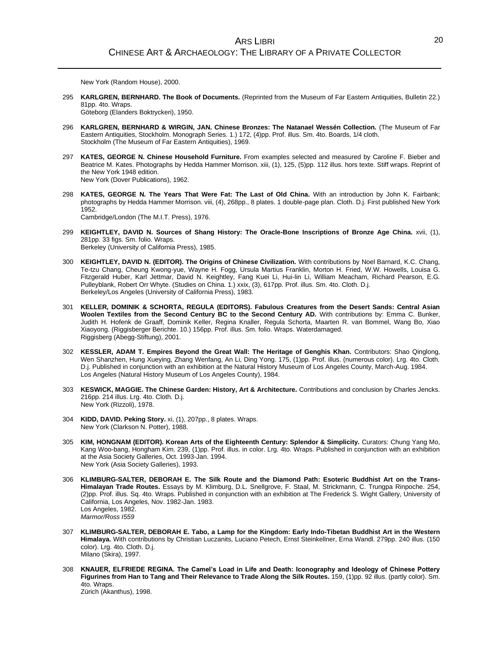New York (Random House), 2000.

295 **KARLGREN, BERNHARD. The Book of Documents.** (Reprinted from the Museum of Far Eastern Antiquities, Bulletin 22.) 81pp. 4to. Wraps.

Göteborg (Elanders Boktryckeri), 1950.

- 296 **KARLGREN, BERNHARD & WIRGIN, JAN. Chinese Bronzes: The Natanael Wessén Collection.** (The Museum of Far Eastern Antiquities, Stockholm. Monograph Series. 1.) 172, (4)pp. Prof. illus. Sm. 4to. Boards, 1/4 cloth. Stockholm (The Museum of Far Eastern Antiquities), 1969.
- 297 **KATES, GEORGE N. Chinese Household Furniture.** From examples selected and measured by Caroline F. Bieber and Beatrice M. Kates. Photographs by Hedda Hammer Morrison. xiii, (1), 125, (5)pp. 112 illus. hors texte. Stiff wraps. Reprint of the New York 1948 edition. New York (Dover Publications), 1962.
- 298 **KATES, GEORGE N. The Years That Were Fat: The Last of Old China.** With an introduction by John K. Fairbank; photographs by Hedda Hammer Morrison. viii, (4), 268pp., 8 plates. 1 double-page plan. Cloth. D.j. First published New York 1952. Cambridge/London (The M.I.T. Press), 1976.
- 299 **KEIGHTLEY, DAVID N. Sources of Shang History: The Oracle-Bone Inscriptions of Bronze Age China.** xvii, (1), 281pp. 33 figs. Sm. folio. Wraps. Berkeley (University of California Press), 1985.
- 300 **KEIGHTLEY, DAVID N. (EDITOR). The Origins of Chinese Civilization.** With contributions by Noel Barnard, K.C. Chang, Te-tzu Chang, Cheung Kwong-yue, Wayne H. Fogg, Ursula Martius Franklin, Morton H. Fried, W.W. Howells, Louisa G. Fitzgerald Huber, Karl Jettmar, David N. Keightley, Fang Kuei Li, Hui-lin Li, William Meacham, Richard Pearson, E.G. Pulleyblank, Robert Orr Whyte. (Studies on China. 1.) xxix, (3), 617pp. Prof. illus. Sm. 4to. Cloth. D.j. Berkeley/Los Angeles (University of California Press), 1983.
- 301 **KELLER, DOMINIK & SCHORTA, REGULA (EDITORS). Fabulous Creatures from the Desert Sands: Central Asian Woolen Textiles from the Second Century BC to the Second Century AD.** With contributions by: Emma C. Bunker, Judith H. Hofenk de Graaff, Dominik Keller, Regina Knaller, Regula Schorta, Maarten R. van Bommel, Wang Bo, Xiao Xiaoyong. (Riggisberger Berichte. 10.) 156pp. Prof. illus. Sm. folio. Wraps. Waterdamaged. Riggisberg (Abegg-Stiftung), 2001.
- 302 **KESSLER, ADAM T. Empires Beyond the Great Wall: The Heritage of Genghis Khan.** Contributors: Shao Qinglong, Wen Shanzhen, Hung Xueying, Zhang Wenfang, An Li, Ding Yong. 175, (1)pp. Prof. illus. (numerous color). Lrg. 4to. Cloth. D.j. Published in conjunction with an exhibition at the Natural History Museum of Los Angeles County, March-Aug. 1984. Los Angeles (Natural History Museum of Los Angeles County), 1984.
- 303 **KESWICK, MAGGIE. The Chinese Garden: History, Art & Architecture.** Contributions and conclusion by Charles Jencks. 216pp. 214 illus. Lrg. 4to. Cloth. D.j. New York (Rizzoli), 1978.
- 304 **KIDD, DAVID. Peking Story.** xi, (1), 207pp., 8 plates. Wraps. New York (Clarkson N. Potter), 1988.
- 305 **KIM, HONGNAM (EDITOR). Korean Arts of the Eighteenth Century: Splendor & Simplicity.** Curators: Chung Yang Mo, Kang Woo-bang, Hongham Kim. 239, (1)pp. Prof. illus. in color. Lrg. 4to. Wraps. Published in conjunction with an exhibition at the Asia Society Galleries, Oct. 1993-Jan. 1994. New York (Asia Society Galleries), 1993.
- 306 **KLIMBURG-SALTER, DEBORAH E. The Silk Route and the Diamond Path: Esoteric Buddhist Art on the Trans-Himalayan Trade Routes.** Essays by M. Klimburg, D.L. Snellgrove, F. Staal, M. Strickmann, C. Trungpa Rinpoche. 254, (2)pp. Prof. illus. Sq. 4to. Wraps. Published in conjunction with an exhibition at The Frederick S. Wight Gallery, University of California, Los Angeles, Nov. 1982-Jan. 1983. Los Angeles, 1982. *Marmor/Ross I559*
- 307 **KLIMBURG-SALTER, DEBORAH E. Tabo, a Lamp for the Kingdom: Early Indo-Tibetan Buddhist Art in the Western Himalaya.** With contributions by Christian Luczanits, Luciano Petech, Ernst Steinkellner, Erna Wandl. 279pp. 240 illus. (150 color). Lrg. 4to. Cloth. D.j. Milano (Skira), 1997.
- 308 **KNAUER, ELFRIEDE REGINA. The Camel's Load in Life and Death: Iconography and Ideology of Chinese Pottery Figurines from Han to Tang and Their Relevance to Trade Along the Silk Routes.** 159, (1)pp. 92 illus. (partly color). Sm. 4to. Wraps. Zürich (Akanthus), 1998.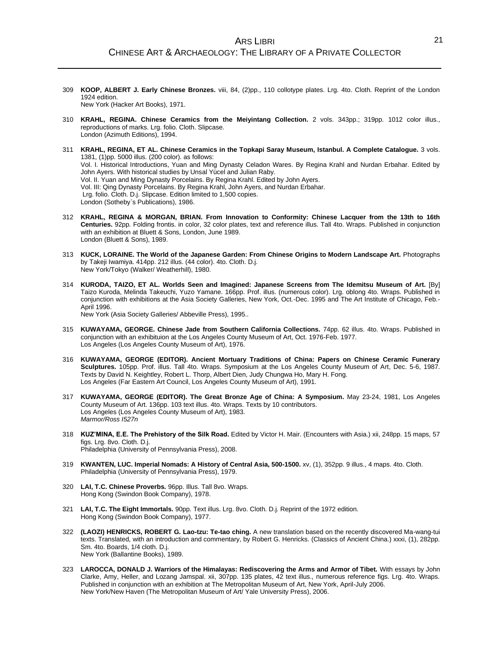- 309 **KOOP, ALBERT J. Early Chinese Bronzes.** viii, 84, (2)pp., 110 collotype plates. Lrg. 4to. Cloth. Reprint of the London 1924 edition. New York (Hacker Art Books), 1971.
- 310 **KRAHL, REGINA. Chinese Ceramics from the Meiyintang Collection.** 2 vols. 343pp.; 319pp. 1012 color illus., reproductions of marks. Lrg. folio. Cloth. Slipcase. London (Azimuth Editions), 1994.
- 311 **KRAHL, REGINA, ET AL. Chinese Ceramics in the Topkapi Saray Museum, Istanbul. A Complete Catalogue.** 3 vols. 1381, (1)pp. 5000 illus. (200 color). as follows: Vol. I. Historical Introductions, Yuan and Ming Dynasty Celadon Wares. By Regina Krahl and Nurdan Erbahar. Edited by John Ayers. With historical studies by Unsal Yücel and Julian Raby. Vol. II. Yuan and Ming Dynasty Porcelains. By Regina Krahl. Edited by John Ayers. Vol. III: Qing Dynasty Porcelains. By Regina Krahl, John Ayers, and Nurdan Erbahar. Lrg. folio. Cloth. D.j. Slipcase. Edition limited to 1,500 copies. London (Sotheby`s Publications), 1986.
- 312 **KRAHL, REGINA & MORGAN, BRIAN. From Innovation to Conformity: Chinese Lacquer from the 13th to 16th Centuries.** 92pp. Folding frontis. in color, 32 color plates, text and reference illus. Tall 4to. Wraps. Published in conjunction with an exhibition at Bluett & Sons, London, June 1989. London (Bluett & Sons), 1989.
- 313 **KUCK, LORAINE. The World of the Japanese Garden: From Chinese Origins to Modern Landscape Art.** Photographs by Takeji Iwamiya. 414pp. 212 illus. (44 color). 4to. Cloth. D.j. New York/Tokyo (Walker/ Weatherhill), 1980.
- 314 **KURODA, TAIZO, ET AL. Worlds Seen and Imagined: Japanese Screens from The Idemitsu Museum of Art.** [By] Taizo Kuroda, Melinda Takeuchi, Yuzo Yamane. 166pp. Prof. illus. (numerous color). Lrg. oblong 4to. Wraps. Published in conjunction with exhibitions at the Asia Society Galleries, New York, Oct.-Dec. 1995 and The Art Institute of Chicago, Feb.- April 1996.

New York (Asia Society Galleries/ Abbeville Press), 1995..

- 315 **KUWAYAMA, GEORGE. Chinese Jade from Southern California Collections.** 74pp. 62 illus. 4to. Wraps. Published in conjunction with an exhibituion at the Los Angeles County Museum of Art, Oct. 1976-Feb. 1977. Los Angeles (Los Angeles County Museum of Art), 1976.
- 316 **KUWAYAMA, GEORGE (EDITOR). Ancient Mortuary Traditions of China: Papers on Chinese Ceramic Funerary Sculptures.** 105pp. Prof. illus. Tall 4to. Wraps. Symposium at the Los Angeles County Museum of Art, Dec. 5-6, 1987. Texts by David N. Keightley, Robert L. Thorp, Albert Dien, Judy Chungwa Ho, Mary H. Fong. Los Angeles (Far Eastern Art Council, Los Angeles County Museum of Art), 1991.
- 317 **KUWAYAMA, GEORGE (EDITOR). The Great Bronze Age of China: A Symposium.** May 23-24, 1981, Los Angeles County Museum of Art. 136pp. 103 text illus. 4to. Wraps. Texts by 10 contributors. Los Angeles (Los Angeles County Museum of Art), 1983. *Marmor/Ross I527n*
- 318 **KUZ'MINA, E.E. The Prehistory of the Silk Road.** Edited by Victor H. Mair. (Encounters with Asia.) xii, 248pp. 15 maps, 57 figs. Lrg. 8vo. Cloth. D.j. Philadelphia (University of Pennsylvania Press), 2008.
- 319 **KWANTEN, LUC. Imperial Nomads: A History of Central Asia, 500-1500.** xv, (1), 352pp. 9 illus., 4 maps. 4to. Cloth. Philadelphia (University of Pennsylvania Press), 1979.
- 320 **LAI, T.C. Chinese Proverbs.** 96pp. Illus. Tall 8vo. Wraps. Hong Kong (Swindon Book Company), 1978.
- 321 **LAI, T.C. The Eight Immortals.** 90pp. Text illus. Lrg. 8vo. Cloth. D.j. Reprint of the 1972 edition. Hong Kong (Swindon Book Company), 1977.
- 322 **(LAOZI) HENRICKS, ROBERT G. Lao-tzu: Te-tao ching.** A new translation based on the recently discovered Ma-wang-tui texts. Translated, with an introduction and commentary, by Robert G. Henricks. (Classics of Ancient China.) xxxi, (1), 282pp. Sm. 4to. Boards, 1/4 cloth. D.j. New York (Ballantine Books), 1989.
- 323 **LAROCCA, DONALD J. Warriors of the Himalayas: Rediscovering the Arms and Armor of Tibet.** With essays by John Clarke, Amy, Heller, and Lozang Jamspal. xii, 307pp. 135 plates, 42 text illus., numerous reference figs. Lrg. 4to. Wraps. Published in conjunction with an exhibition at The Metropolitan Museum of Art, New York, April-July 2006. New York/New Haven (The Metropolitan Museum of Art/ Yale University Press), 2006.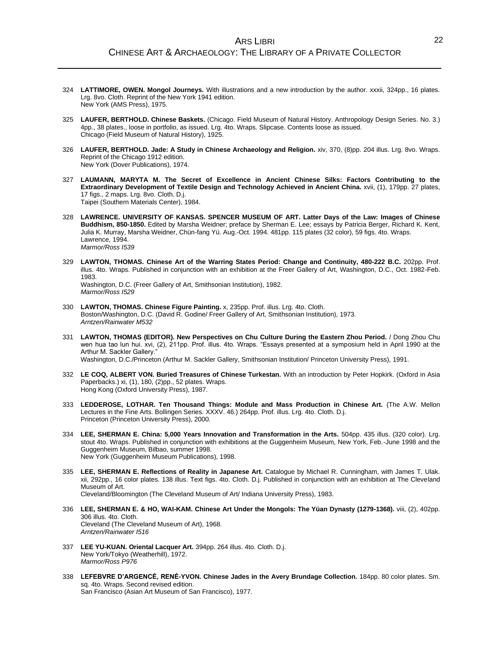- 324 **LATTIMORE, OWEN. Mongol Journeys.** With illustrations and a new introduction by the author. xxxii, 324pp., 16 plates. Lrg. 8vo. Cloth. Reprint of the New York 1941 edition. New York (AMS Press), 1975.
- 325 **LAUFER, BERTHOLD. Chinese Baskets.** (Chicago. Field Museum of Natural History. Anthropology Design Series. No. 3.) 4pp., 38 plates., loose in portfolio, as issued. Lrg. 4to. Wraps. Slipcase. Contents loose as issued. Chicago (Field Museum of Natural History), 1925.
- 326 **LAUFER, BERTHOLD. Jade: A Study in Chinese Archaeology and Religion.** xiv, 370, (8)pp. 204 illus. Lrg. 8vo. Wraps. Reprint of the Chicago 1912 edition. New York (Dover Publications), 1974.
- 327 **LAUMANN, MARYTA M. The Secret of Excellence in Ancient Chinese Silks: Factors Contributing to the Extraordinary Development of Textile Design and Technology Achieved in Ancient China.** xvii, (1), 179pp. 27 plates, 17 figs., 2 maps. Lrg. 8vo. Cloth. D.j. Taipei (Southern Materials Center), 1984.
- 328 **LAWRENCE. UNIVERSITY OF KANSAS. SPENCER MUSEUM OF ART. Latter Days of the Law: Images of Chinese Buddhism, 850-1850.** Edited by Marsha Weidner; preface by Sherman E. Lee; essays by Patricia Berger, Richard K. Kent, Julia K. Murray, Marsha Weidner, Chün-fang Yü. Aug.-Oct. 1994. 481pp. 115 plates (32 color), 59 figs. 4to. Wraps. Lawrence, 1994. *Marmor/Ross I539*
- 329 **LAWTON, THOMAS. Chinese Art of the Warring States Period: Change and Continuity, 480-222 B.C.** 202pp. Prof. illus. 4to. Wraps. Published in conjunction with an exhibition at the Freer Gallery of Art, Washington, D.C., Oct. 1982-Feb. 1983. Washington, D.C. (Freer Gallery of Art, Smithsonian Institution), 1982. *Marmor/Ross I529*
- 330 **LAWTON, THOMAS. Chinese Figure Painting.** x, 235pp. Prof. illus. Lrg. 4to. Cloth. Boston/Washington, D.C. (David R. Godine/ Freer Gallery of Art, Smithsonian Institution), 1973. *Arntzen/Rainwater M532*
- 331 **LAWTON, THOMAS (EDITOR). New Perspectives on Chu Culture During the Eastern Zhou Period.** / Dong Zhou Chu wen hua tao lun hui. xvi, (2), 211pp. Prof. illus. 4to. Wraps. "Essays presented at a symposium held in April 1990 at the Arthur M. Sackler Gallery." Washington, D.C./Princeton (Arthur M. Sackler Gallery, Smithsonian Institution/ Princeton University Press), 1991.
- 332 **LE COQ, ALBERT VON. Buried Treasures of Chinese Turkestan.** With an introduction by Peter Hopkirk. (Oxford in Asia Paperbacks.) xi, (1), 180, (2)pp., 52 plates. Wraps. Hong Kong (Oxford University Press), 1987.
- 333 **LEDDEROSE, LOTHAR. Ten Thousand Things: Module and Mass Production in Chinese Art.** (The A.W. Mellon Lectures in the Fine Arts. Bollingen Series. XXXV. 46.) 264pp. Prof. illus. Lrg. 4to. Cloth. D.j. Princeton (Princeton University Press), 2000.
- 334 **LEE, SHERMAN E. China: 5,000 Years Innovation and Transformation in the Arts.** 504pp. 435 illus. (320 color). Lrg. stout 4to. Wraps. Published in conjunction with exhibitions at the Guggenheim Museum, New York, Feb.-June 1998 and the Guggenheim Museum, Bilbao, summer 1998. New York (Guggenheim Museum Publications), 1998.
- 335 **LEE, SHERMAN E. Reflections of Reality in Japanese Art.** Catalogue by Michael R. Cunningham, with James T. Ulak. xii, 292pp., 16 color plates. 138 illus. Text figs. 4to. Cloth. D.j. Published in conjunction with an exhibition at The Cleveland Museum of Art. Cleveland/Bloomington (The Cleveland Museum of Art/ Indiana University Press), 1983.
- 336 **LEE, SHERMAN E. & HO, WAI-KAM. Chinese Art Under the Mongols: The Yüan Dynasty (1279-1368).** viii, (2), 402pp. 306 illus. 4to. Cloth. Cleveland (The Cleveland Museum of Art), 1968. *Arntzen/Rainwater I516*
- 337 **LEE YU-KUAN. Oriental Lacquer Art.** 394pp. 264 illus. 4to. Cloth. D.j. New York/Tokyo (Weatherhill), 1972. *Marmor/Ross P976*
- 338 **LEFEBVRE D'ARGENCÉ, RENÉ-YVON. Chinese Jades in the Avery Brundage Collection.** 184pp. 80 color plates. Sm. sq. 4to. Wraps. Second revised edition. San Francisco (Asian Art Museum of San Francisco), 1977.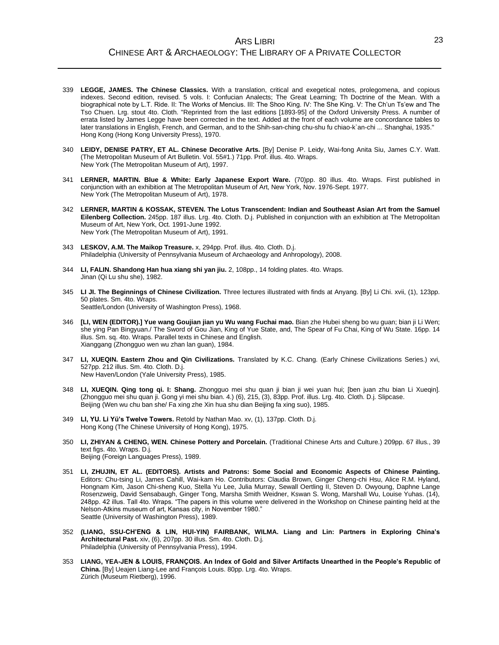- 339 **LEGGE, JAMES. The Chinese Classics.** With a translation, critical and exegetical notes, prolegomena, and copious indexes. Second edition, revised. 5 vols. I: Confucian Analects; The Great Learning; Th Doctrine of the Mean. With a biographical note by L.T. Ride. II: The Works of Mencius. III: The Shoo King. IV: The She King. V: The Ch'un Ts'ew and The Tso Chuen. Lrg. stout 4to. Cloth. "Reprinted from the last editions [1893-95] of the Oxford University Press. A number of errata listed by James Legge have been corrected in the text. Added at the front of each volume are concordance tables to later translations in English, French, and German, and to the Shih-san-ching chu-shu fu chiao-k`an-chi ... Shanghai, 1935." Hong Kong (Hong Kong University Press), 1970.
- 340 **LEIDY, DENISE PATRY, ET AL. Chinese Decorative Arts.** [By] Denise P. Leidy, Wai-fong Anita Siu, James C.Y. Watt. (The Metropolitan Museum of Art Bulletin. Vol. 55#1.) 71pp. Prof. illus. 4to. Wraps. New York (The Metropolitan Museum of Art), 1997.
- 341 **LERNER, MARTIN. Blue & White: Early Japanese Export Ware.** (70)pp. 80 illus. 4to. Wraps. First published in conjunction with an exhibition at The Metropolitan Museum of Art, New York, Nov. 1976-Sept. 1977. New York (The Metropolitan Museum of Art), 1978.
- 342 **LERNER, MARTIN & KOSSAK, STEVEN. The Lotus Transcendent: Indian and Southeast Asian Art from the Samuel Eilenberg Collection.** 245pp. 187 illus. Lrg. 4to. Cloth. D.j. Published in conjunction with an exhibition at The Metropolitan Museum of Art, New York, Oct. 1991-June 1992. New York (The Metropolitan Museum of Art), 1991.
- 343 **LESKOV, A.M. The Maikop Treasure.** x, 294pp. Prof. illus. 4to. Cloth. D.j. Philadelphia (University of Pennsylvania Museum of Archaeology and Anhropology), 2008.
- 344 **LI, FALIN. Shandong Han hua xiang shi yan jiu.** 2, 108pp., 14 folding plates. 4to. Wraps. Jinan (Qi Lu shu she), 1982.
- 345 **LI JI. The Beginnings of Chinese Civilization.** Three lectures illustrated with finds at Anyang. [By] Li Chi. xvii, (1), 123pp. 50 plates. Sm. 4to. Wraps. Seattle/London (University of Washington Press), 1968.
- 346 **[LI, WEN (EDITOR).] Yue wang Goujian jian yu Wu wang Fuchai mao.** Bian zhe Hubei sheng bo wu guan; bian ji Li Wen; she ying Pan Bingyuan./ The Sword of Gou Jian, King of Yue State, and, The Spear of Fu Chai, King of Wu State. 16pp. 14 illus. Sm. sq. 4to. Wraps. Parallel texts in Chinese and English. Xianggang (Zhongguo wen wu zhan lan guan), 1984.
- 347 **LI, XUEQIN. Eastern Zhou and Qin Civilizations.** Translated by K.C. Chang. (Early Chinese Civilizations Series.) xvi, 527pp. 212 illus. Sm. 4to. Cloth. D.j. New Haven/London (Yale University Press), 1985.
- 348 **LI, XUEQIN. Qing tong qi. I: Shang.** Zhongguo mei shu quan ji bian ji wei yuan hui; [ben juan zhu bian Li Xueqin]. (Zhongguo mei shu quan ji. Gong yi mei shu bian. 4.) (6), 215, (3), 83pp. Prof. illus. Lrg. 4to. Cloth. D.j. Slipcase. Beijing (Wen wu chu ban she/ Fa xing zhe Xin hua shu dian Beijing fa xing suo), 1985.
- 349 **LI, YU. Li Yü's Twelve Towers.** Retold by Nathan Mao. xv, (1), 137pp. Cloth. D.j. Hong Kong (The Chinese University of Hong Kong), 1975.
- 350 **LI, ZHIYAN & CHENG, WEN. Chinese Pottery and Porcelain.** (Traditional Chinese Arts and Culture.) 209pp. 67 illus., 39 text figs. 4to. Wraps. D.j. Beijing (Foreign Languages Press), 1989.
- 351 **LI, ZHUJIN, ET AL. (EDITORS). Artists and Patrons: Some Social and Economic Aspects of Chinese Painting.** Editors: Chu-tsing Li, James Cahill, Wai-kam Ho. Contributors: Claudia Brown, Ginger Cheng-chi Hsu, Alice R.M. Hyland, Hongnam Kim, Jason Chi-sheng Kuo, Stella Yu Lee, Julia Murray, Sewall Oertling II, Steven D. Owyoung, Daphne Lange Rosenzweig, David Sensabaugh, Ginger Tong, Marsha Smith Weidner, Kswan S. Wong, Marshall Wu, Louise Yuhas. (14), 248pp. 42 illus. Tall 4to. Wraps. "The papers in this volume were delivered in the Workshop on Chinese painting held at the Nelson-Atkins museum of art, Kansas city, in November 1980." Seattle (University of Washington Press), 1989.
- 352 **(LIANG, SSU-CH'ENG & LIN, HUI-YIN) FAIRBANK, WILMA. Liang and Lin: Partners in Exploring China's Architectural Past.** xiv, (6), 207pp. 30 illus. Sm. 4to. Cloth. D.j. Philadelphia (University of Pennsylvania Press), 1994.
- 353 **LIANG, YEA-JEN & LOUIS, FRANÇOIS. An Index of Gold and Silver Artifacts Unearthed in the People's Republic of China.** [By] Ueajen Liang-Lee and François Louis. 80pp. Lrg. 4to. Wraps. Zürich (Museum Rietberg), 1996.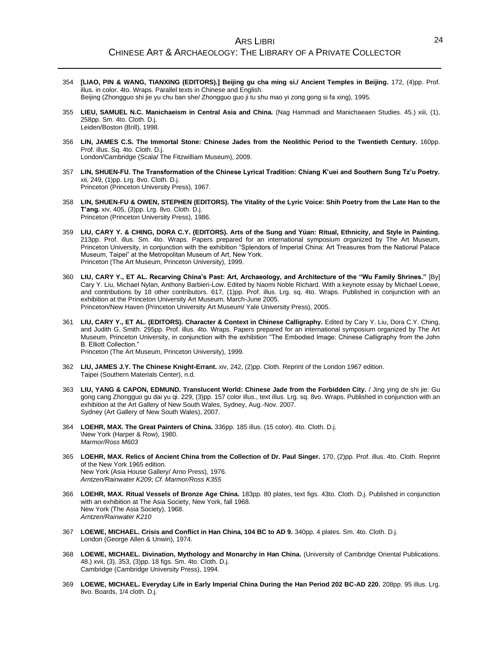- 354 **[LIAO, PIN & WANG, TIANXING (EDITORS).] Beijing gu cha ming si./ Ancient Temples in Beijing.** 172, (4)pp. Prof. illus. in color. 4to. Wraps. Parallel texts in Chinese and English. Beijing (Zhongguo shi jie yu chu ban she/ Zhongguo guo ji tu shu mao yi zong gong si fa xing), 1995.
- 355 **LIEU, SAMUEL N.C. Manichaeism in Central Asia and China.** (Nag Hammadi and Manichaeaen Studies. 45.) xiii, (1), 258pp. Sm. 4to. Cloth. D.j. Leiden/Boston (Brill), 1998.
- 356 **LIN, JAMES C.S. The Immortal Stone: Chinese Jades from the Neolithic Period to the Twentieth Century.** 160pp. Prof. illus. Sq. 4to. Cloth. D.j. London/Cambridge (Scala/ The Fitzwilliam Museum), 2009.
- 357 **LIN, SHUEN-FU. The Transformation of the Chinese Lyrical Tradition: Chiang K'uei and Southern Sung Tz'u Poetry.** xii, 249, (1)pp. Lrg. 8vo. Cloth. D.j. Princeton (Princeton University Press), 1967.
- 358 **LIN, SHUEN-FU & OWEN, STEPHEN (EDITORS). The Vitality of the Lyric Voice: Shih Poetry from the Late Han to the T'ang.** xiv, 405, (3)pp. Lrg. 8vo. Cloth. D.j. Princeton (Princeton University Press), 1986.
- 359 **LIU, CARY Y. & CHING, DORA C.Y. (EDITORS). Arts of the Sung and Yüan: Ritual, Ethnicity, and Style in Painting.** 213pp. Prof. illus. Sm. 4to. Wraps. Papers prepared for an international symposium organized by The Art Museum, Princeton University, in conjunction with the exhibition "Splendors of Imperial China: Art Treasures from the National Palace Museum, Taipei" at the Metropolitan Museum of Art, New York. Princeton (The Art Museum, Princeton University), 1999.
- 360 **LIU, CARY Y., ET AL. Recarving China's Past: Art, Archaeology, and Architecture of the "Wu Family Shrines."** [By] Cary Y. Liu, Michael Nylan, Anthony Barbieri-Low. Edited by Naomi Noble Richard. With a keynote essay by Michael Loewe, and contributions by 18 other contributors. 617, (1)pp. Prof. illus. Lrg. sq. 4to. Wraps. Published in conjunction with an exhibition at the Princeton University Art Museum, March-June 2005. Princeton/New Haven (Princeton University Art Museum/ Yale University Press), 2005.
- 361 **LIU, CARY Y., ET AL. (EDITORS). Character & Context in Chinese Calligraphy.** Edited by Cary Y. Liu, Dora C.Y. Ching, and Judith G. Smith. 295pp. Prof. illus. 4to. Wraps. Papers prepared for an international symposium organized by The Art Museum, Princeton University, in conjunction with the exhibition "The Embodied Image: Chinese Calligraphy from the John B. Elliott Collection."

Princeton (The Art Museum, Princeton University), 1999.

- 362 **LIU, JAMES J.Y. The Chinese Knight-Errant.** xiv, 242, (2)pp. Cloth. Reprint of the London 1967 edition. Taipei (Southern Materials Center), n.d.
- 363 **LIU, YANG & CAPON, EDMUND. Translucent World: Chinese Jade from the Forbidden City.** / Jing ying de shi jie: Gu gong cang Zhongguo gu dai yu qi. 229, (3)pp. 157 color illus., text illus. Lrg. sq. 8vo. Wraps. Published in conjunction with an exhibition at the Art Gallery of New South Wales, Sydney, Aug.-Nov. 2007. Sydney (Art Gallery of New South Wales), 2007.
- 364 **LOEHR, MAX. The Great Painters of China.** 336pp. 185 illus. (15 color). 4to. Cloth. D.j. \New York (Harper & Row), 1980. *Marmor/Ross M603*
- 365 **LOEHR, MAX. Relics of Ancient China from the Collection of Dr. Paul Singer.** 170, (2)pp. Prof. illus. 4to. Cloth. Reprint of the New York 1965 edition. New York (Asia House Gallery/ Arno Press), 1976. *Arntzen/Rainwater K209*; *Cf. Marmor/Ross K355*
- 366 **LOEHR, MAX. Ritual Vessels of Bronze Age China.** 183pp. 80 plates, text figs. 43to. Cloth. D.j. Published in conjunction with an exhibition at The Asia Society, New York, fall 1968. New York (The Asia Society), 1968. *Arntzen/Rainwater K210*
- 367 **LOEWE, MICHAEL. Crisis and Conflict in Han China, 104 BC to AD 9.** 340pp. 4 plates. Sm. 4to. Cloth. D.j. London (George Allen & Unwin), 1974.
- 368 **LOEWE, MICHAEL. Divination, Mythology and Monarchy in Han China.** (University of Cambridge Oriental Publications. 48.) xvii, (3), 353, (3)pp. 18 figs. Sm. 4to. Cloth. D.j. Cambridge (Cambridge University Press), 1994.
- 369 **LOEWE, MICHAEL. Everyday Life in Early Imperial China During the Han Period 202 BC-AD 220.** 208pp. 95 illus. Lrg. 8vo. Boards, 1/4 cloth. D.j.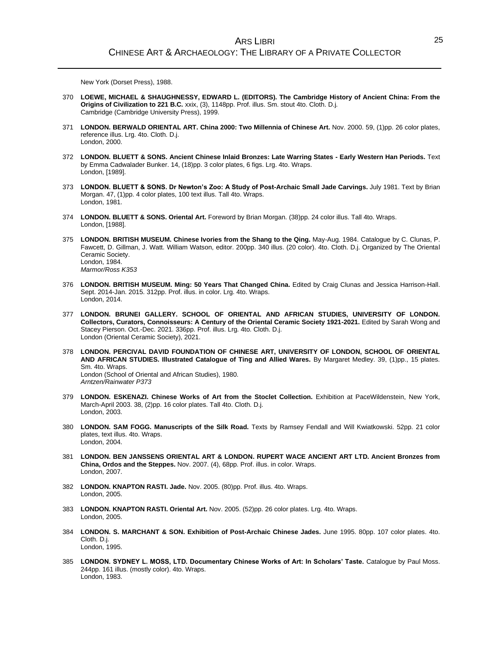New York (Dorset Press), 1988.

- 370 **LOEWE, MICHAEL & SHAUGHNESSY, EDWARD L. (EDITORS). The Cambridge History of Ancient China: From the Origins of Civilization to 221 B.C.** xxix, (3), 1148pp. Prof. illus. Sm. stout 4to. Cloth. D.j. Cambridge (Cambridge University Press), 1999.
- 371 **LONDON. BERWALD ORIENTAL ART. China 2000: Two Millennia of Chinese Art.** Nov. 2000. 59, (1)pp. 26 color plates, reference illus. Lrg. 4to. Cloth. D.j. London, 2000.
- 372 **LONDON. BLUETT & SONS. Ancient Chinese Inlaid Bronzes: Late Warring States - Early Western Han Periods.** Text by Emma Cadwalader Bunker. 14, (18)pp. 3 color plates, 6 figs. Lrg. 4to. Wraps. London, [1989].
- 373 **LONDON. BLUETT & SONS. Dr Newton's Zoo: A Study of Post-Archaic Small Jade Carvings.** July 1981. Text by Brian Morgan. 47, (1)pp. 4 color plates, 100 text illus. Tall 4to. Wraps. London, 1981.
- 374 **LONDON. BLUETT & SONS. Oriental Art.** Foreword by Brian Morgan. (38)pp. 24 color illus. Tall 4to. Wraps. London, [1988].
- 375 **LONDON. BRITISH MUSEUM. Chinese Ivories from the Shang to the Qing.** May-Aug. 1984. Catalogue by C. Clunas, P. Fawcett, D. Gillman, J. Watt. William Watson, editor. 200pp. 340 illus. (20 color). 4to. Cloth. D.j. Organized by The Oriental Ceramic Society. London, 1984. *Marmor/Ross K353*
- 376 **LONDON. BRITISH MUSEUM. Ming: 50 Years That Changed China.** Edited by Craig Clunas and Jessica Harrison-Hall. Sept. 2014-Jan. 2015. 312pp. Prof. illus. in color. Lrg. 4to. Wraps. London, 2014.
- 377 **LONDON. BRUNEI GALLERY. SCHOOL OF ORIENTAL AND AFRICAN STUDIES, UNIVERSITY OF LONDON. Collectors, Curators, Connoisseurs: A Century of the Oriental Ceramic Society 1921-2021.** Edited by Sarah Wong and Stacey Pierson. Oct.-Dec. 2021. 336pp. Prof. illus. Lrg. 4to. Cloth. D.j. London (Oriental Ceramic Society), 2021.
- 378 **LONDON. PERCIVAL DAVID FOUNDATION OF CHINESE ART, UNIVERSITY OF LONDON, SCHOOL OF ORIENTAL AND AFRICAN STUDIES. Illustrated Catalogue of Ting and Allied Wares.** By Margaret Medley. 39, (1)pp., 15 plates. Sm. 4to. Wraps. London (School of Oriental and African Studies), 1980. *Arntzen/Rainwater P373*
- 379 **LONDON. ESKENAZI. Chinese Works of Art from the Stoclet Collection.** Exhibition at PaceWildenstein, New York, March-April 2003. 38, (2)pp. 16 color plates. Tall 4to. Cloth. D.j. London, 2003.
- 380 **LONDON. SAM FOGG. Manuscripts of the Silk Road.** Texts by Ramsey Fendall and Will Kwiatkowski. 52pp. 21 color plates, text illus. 4to. Wraps. London, 2004.
- 381 **LONDON. BEN JANSSENS ORIENTAL ART & LONDON. RUPERT WACE ANCIENT ART LTD. Ancient Bronzes from China, Ordos and the Steppes.** Nov. 2007. (4), 68pp. Prof. illus. in color. Wraps. London, 2007.
- 382 **LONDON. KNAPTON RASTI. Jade.** Nov. 2005. (80)pp. Prof. illus. 4to. Wraps. London, 2005.
- 383 **LONDON. KNAPTON RASTI. Oriental Art.** Nov. 2005. (52)pp. 26 color plates. Lrg. 4to. Wraps. London, 2005.
- 384 **LONDON. S. MARCHANT & SON. Exhibition of Post-Archaic Chinese Jades.** June 1995. 80pp. 107 color plates. 4to. Cloth. D.j. London, 1995.
- 385 **LONDON. SYDNEY L. MOSS, LTD. Documentary Chinese Works of Art: In Scholars' Taste.** Catalogue by Paul Moss. 244pp. 161 illus. (mostly color). 4to. Wraps. London, 1983.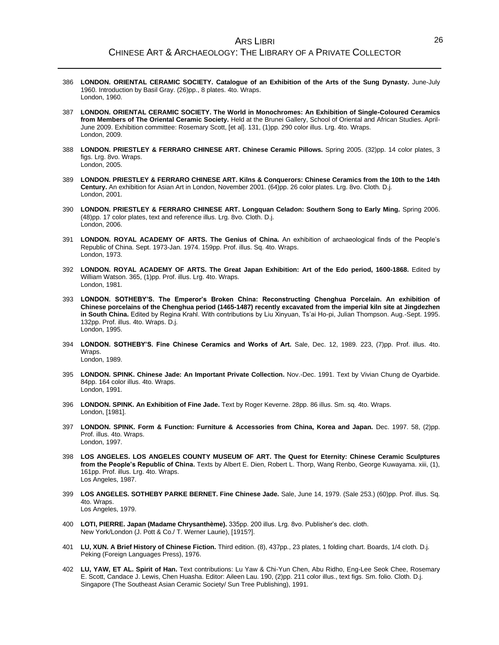- 386 **LONDON. ORIENTAL CERAMIC SOCIETY. Catalogue of an Exhibition of the Arts of the Sung Dynasty.** June-July 1960. Introduction by Basil Gray. (26)pp., 8 plates. 4to. Wraps. London, 1960.
- 387 **LONDON. ORIENTAL CERAMIC SOCIETY. The World in Monochromes: An Exhibition of Single-Coloured Ceramics from Members of The Oriental Ceramic Society.** Held at the Brunei Gallery, School of Oriental and African Studies. April-June 2009. Exhibition committee: Rosemary Scott, [et al]. 131, (1)pp. 290 color illus. Lrg. 4to. Wraps. London, 2009.
- 388 **LONDON. PRIESTLEY & FERRARO CHINESE ART. Chinese Ceramic Pillows.** Spring 2005. (32)pp. 14 color plates, 3 figs. Lrg. 8vo. Wraps. London, 2005.
- 389 **LONDON. PRIESTLEY & FERRARO CHINESE ART. Kilns & Conquerors: Chinese Ceramics from the 10th to the 14th Century.** An exhibition for Asian Art in London, November 2001. (64)pp. 26 color plates. Lrg. 8vo. Cloth. D.j. London, 2001.
- 390 **LONDON. PRIESTLEY & FERRARO CHINESE ART. Longquan Celadon: Southern Song to Early Ming.** Spring 2006. (48)pp. 17 color plates, text and reference illus. Lrg. 8vo. Cloth. D.j. London, 2006.
- 391 **LONDON. ROYAL ACADEMY OF ARTS. The Genius of China.** An exhibition of archaeological finds of the People's Republic of China. Sept. 1973-Jan. 1974. 159pp. Prof. illus. Sq. 4to. Wraps. London, 1973.
- 392 **LONDON. ROYAL ACADEMY OF ARTS. The Great Japan Exhibition: Art of the Edo period, 1600-1868.** Edited by William Watson. 365, (1)pp. Prof. illus. Lrg. 4to. Wraps. London, 1981.
- 393 **LONDON. SOTHEBY'S. The Emperor's Broken China: Reconstructing Chenghua Porcelain. An exhibition of Chinese porcelains of the Chenghua period (1465-1487) recently excavated from the imperial kiln site at Jingdezhen in South China.** Edited by Regina Krahl. With contributions by Liu Xinyuan, Ts'ai Ho-pi, Julian Thompson. Aug.-Sept. 1995. 132pp. Prof. illus. 4to. Wraps. D.j. London, 1995.
- 394 **LONDON. SOTHEBY'S. Fine Chinese Ceramics and Works of Art.** Sale, Dec. 12, 1989. 223, (7)pp. Prof. illus. 4to. Wraps.

London, 1989.

- 395 **LONDON. SPINK. Chinese Jade: An Important Private Collection.** Nov.-Dec. 1991. Text by Vivian Chung de Oyarbide. 84pp. 164 color illus. 4to. Wraps. London, 1991.
- 396 **LONDON. SPINK. An Exhibition of Fine Jade.** Text by Roger Keverne. 28pp. 86 illus. Sm. sq. 4to. Wraps. London, [1981].
- 397 **LONDON. SPINK. Form & Function: Furniture & Accessories from China, Korea and Japan.** Dec. 1997. 58, (2)pp. Prof. illus. 4to. Wraps. London, 1997.
- 398 **LOS ANGELES. LOS ANGELES COUNTY MUSEUM OF ART. The Quest for Eternity: Chinese Ceramic Sculptures from the People's Republic of China.** Texts by Albert E. Dien, Robert L. Thorp, Wang Renbo, George Kuwayama. xiii, (1), 161pp. Prof. illus. Lrg. 4to. Wraps. Los Angeles, 1987.
- 399 **LOS ANGELES. SOTHEBY PARKE BERNET. Fine Chinese Jade.** Sale, June 14, 1979. (Sale 253.) (60)pp. Prof. illus. Sq. 4to. Wraps. Los Angeles, 1979.
- 400 **LOTI, PIERRE. Japan (Madame Chrysanthème).** 335pp. 200 illus. Lrg. 8vo. Publisher's dec. cloth. New York/London (J. Pott & Co./ T. Werner Laurie), [1915?].
- 401 **LU, XUN. A Brief History of Chinese Fiction.** Third edition. (8), 437pp., 23 plates, 1 folding chart. Boards, 1/4 cloth. D.j. Peking (Foreign Languages Press), 1976.
- 402 **LU, YAW, ET AL. Spirit of Han.** Text contributions: Lu Yaw & Chi-Yun Chen, Abu Ridho, Eng-Lee Seok Chee, Rosemary E. Scott, Candace J. Lewis, Chen Huasha. Editor: Aileen Lau. 190, (2)pp. 211 color illus., text figs. Sm. folio. Cloth. D.j. Singapore (The Southeast Asian Ceramic Society/ Sun Tree Publishing), 1991.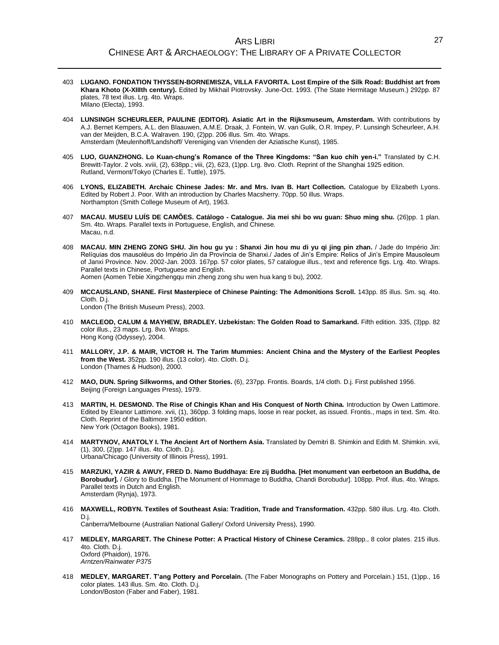- 403 **LUGANO. FONDATION THYSSEN-BORNEMISZA, VILLA FAVORITA. Lost Empire of the Silk Road: Buddhist art from Khara Khoto (X-XIIIth century).** Edited by Mikhail Piotrovsky. June-Oct. 1993. (The State Hermitage Museum.) 292pp. 87 plates, 78 text illus. Lrg. 4to. Wraps. Milano (Electa), 1993.
- 404 **LUNSINGH SCHEURLEER, PAULINE (EDITOR). Asiatic Art in the Rijksmuseum, Amsterdam.** With contributions by A.J. Bernet Kempers, A.L. den Blaauwen, A.M.E. Draak, J. Fontein, W. van Gulik, O.R. Impey, P. Lunsingh Scheurleer, A.H. van der Meijden, B.C.A. Walraven. 190, (2)pp. 206 illus. Sm. 4to. Wraps. Amsterdam (Meulenhoff/Landshoff/ Vereniging van Vrienden der Aziatische Kunst), 1985.
- 405 **LUO, GUANZHONG. Lo Kuan-chung's Romance of the Three Kingdoms: "San kuo chih yen-i."** Translated by C.H. Brewitt-Taylor. 2 vols. xviii, (2), 638pp.; viii, (2), 623, (1)pp. Lrg. 8vo. Cloth. Reprint of the Shanghai 1925 edition. Rutland, Vermont/Tokyo (Charles E. Tuttle), 1975.
- 406 **LYONS, ELIZABETH. Archaic Chinese Jades: Mr. and Mrs. Ivan B. Hart Collection.** Catalogue by Elizabeth Lyons. Edited by Robert J. Poor. With an introduction by Charles Macsherry. 70pp. 50 illus. Wraps. Northampton (Smith College Museum of Art), 1963.
- 407 **MACAU. MUSEU LUÍS DE CAMÕES. Catálogo - Catalogue. Jia mei shi bo wu guan: Shuo ming shu.** (26)pp. 1 plan. Sm. 4to. Wraps. Parallel texts in Portuguese, English, and Chinese. Macau, n.d.
- 408 **MACAU. MIN ZHENG ZONG SHU. Jin hou gu yu : Shanxi Jin hou mu di yu qi jing pin zhan.** / Jade do Império Jin: Relíquias dos mausoléus do Império Jin da Província de Shanxi./ Jades of Jin's Empire: Relics of Jin's Empire Mausoleum of Janxi Province. Nov. 2002-Jan. 2003. 167pp. 57 color plates, 57 catalogue illus., text and reference figs. Lrg. 4to. Wraps. Parallel texts in Chinese, Portuguese and English. Aomen (Aomen Tebie Xingzhengqu min zheng zong shu wen hua kang ti bu), 2002.
	-
- 409 **MCCAUSLAND, SHANE. First Masterpiece of Chinese Painting: The Admonitions Scroll.** 143pp. 85 illus. Sm. sq. 4to. Cloth. D.j. London (The British Museum Press), 2003.
- 410 **MACLEOD, CALUM & MAYHEW, BRADLEY. Uzbekistan: The Golden Road to Samarkand.** Fifth edition. 335, (3)pp. 82 color illus., 23 maps. Lrg. 8vo. Wraps. Hong Kong (Odyssey), 2004.
- 411 **MALLORY, J.P. & MAIR, VICTOR H. The Tarim Mummies: Ancient China and the Mystery of the Earliest Peoples from the West.** 352pp. 190 illus. (13 color). 4to. Cloth. D.j. London (Thames & Hudson), 2000.
- 412 **MAO, DUN. Spring Silkworms, and Other Stories.** (6), 237pp. Frontis. Boards, 1/4 cloth. D.j. First published 1956. Beijing (Foreign Languages Press), 1979.
- 413 **MARTIN, H. DESMOND. The Rise of Chingis Khan and His Conquest of North China.** Introduction by Owen Lattimore. Edited by Eleanor Lattimore. xvii, (1), 360pp. 3 folding maps, loose in rear pocket, as issued. Frontis., maps in text. Sm. 4to. Cloth. Reprint of the Baltimore 1950 edition. New York (Octagon Books), 1981.
- 414 **MARTYNOV, ANATOLY I. The Ancient Art of Northern Asia.** Translated by Demitri B. Shimkin and Edith M. Shimkin. xvii, (1), 300, (2)pp. 147 illus. 4to. Cloth. D.j. Urbana/Chicago (University of Illinois Press), 1991.
- 415 **MARZUKI, YAZIR & AWUY, FRED D. Namo Buddhaya: Ere zij Buddha. [Het monument van eerbetoon an Buddha, de Borobudur].** / Glory to Buddha. [The Monument of Hommage to Buddha, Chandi Borobudur]. 108pp. Prof. illus. 4to. Wraps. Parallel texts in Dutch and English. Amsterdam (Rynja), 1973.
- 416 **MAXWELL, ROBYN. Textiles of Southeast Asia: Tradition, Trade and Transformation.** 432pp. 580 illus. Lrg. 4to. Cloth. D.j.

Canberra/Melbourne (Australian National Gallery/ Oxford University Press), 1990.

- 417 **MEDLEY, MARGARET. The Chinese Potter: A Practical History of Chinese Ceramics.** 288pp., 8 color plates. 215 illus. 4to. Cloth. D.j. Oxford (Phaidon), 1976. *Arntzen/Rainwater P375*
- 418 **MEDLEY, MARGARET. T'ang Pottery and Porcelain.** (The Faber Monographs on Pottery and Porcelain.) 151, (1)pp., 16 color plates. 143 illus. Sm. 4to. Cloth. D.j. London/Boston (Faber and Faber), 1981.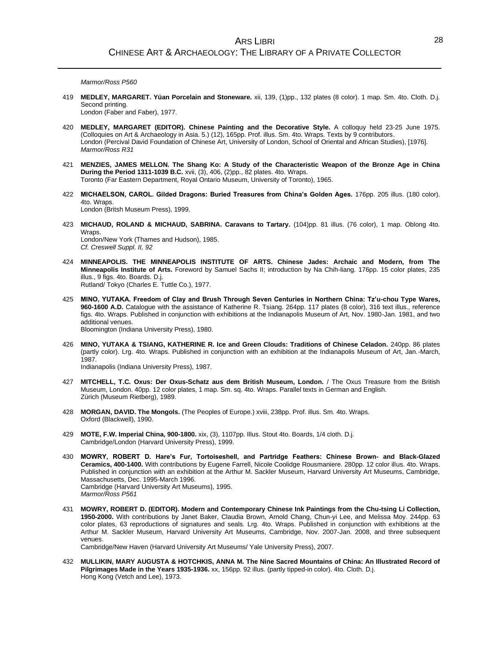*Marmor/Ross P560*

419 **MEDLEY, MARGARET. Yüan Porcelain and Stoneware.** xii, 139, (1)pp., 132 plates (8 color). 1 map. Sm. 4to. Cloth. D.j. Second printing.

London (Faber and Faber), 1977.

- 420 **MEDLEY, MARGARET (EDITOR). Chinese Painting and the Decorative Style.** A colloquy held 23-25 June 1975. (Colloquies on Art & Archaeology in Asia. 5.) (12), 165pp. Prof. illus. Sm. 4to. Wraps. Texts by 9 contributors. London (Percival David Foundation of Chinese Art, University of London, School of Oriental and African Studies), [1976]. *Marmor/Ross R31*
- 421 **MENZIES, JAMES MELLON. The Shang Ko: A Study of the Characteristic Weapon of the Bronze Age in China During the Period 1311-1039 B.C.** xvii, (3), 406, (2)pp., 82 plates. 4to. Wraps. Toronto (Far Eastern Department, Royal Ontario Museum, University of Toronto), 1965.
- 422 **MICHAELSON, CAROL. Gilded Dragons: Buried Treasures from China's Golden Ages.** 176pp. 205 illus. (180 color). 4to. Wraps. London (Britsh Museum Press), 1999.
- 423 **MICHAUD, ROLAND & MICHAUD, SABRINA. Caravans to Tartary.** (104)pp. 81 illus. (76 color), 1 map. Oblong 4to. Wraps. London/New York (Thames and Hudson), 1985. *Cf. Creswell Suppl. II, 92*
- 424 **MINNEAPOLIS. THE MINNEAPOLIS INSTITUTE OF ARTS. Chinese Jades: Archaic and Modern, from The Minneapolis Institute of Arts.** Foreword by Samuel Sachs II; introduction by Na Chih-liang. 176pp. 15 color plates, 235 illus., 9 figs. 4to. Boards. D.j. Rutland/ Tokyo (Charles E. Tuttle Co.), 1977.
- 425 **MINO, YUTAKA. Freedom of Clay and Brush Through Seven Centuries in Northern China: Tz'u-chou Type Wares, 960-1600 A.D.** Catalogue with the assistance of Katherine R. Tsiang. 264pp. 117 plates (8 color), 316 text illus., reference figs. 4to. Wraps. Published in conjunction with exhibitions at the Indianapolis Museum of Art, Nov. 1980-Jan. 1981, and two additional venues. Bloomington (Indiana University Press), 1980.
- 426 **MINO, YUTAKA & TSIANG, KATHERINE R. Ice and Green Clouds: Traditions of Chinese Celadon.** 240pp. 86 plates (partly color). Lrg. 4to. Wraps. Published in conjunction with an exhibition at the Indianapolis Museum of Art, Jan.-March, 1987.

Indianapolis (Indiana University Press), 1987.

- 427 **MITCHELL, T.C. Oxus: Der Oxus-Schatz aus dem British Museum, London.** / The Oxus Treasure from the British Museum, London. 40pp. 12 color plates, 1 map. Sm. sq. 4to. Wraps. Parallel texts in German and English. Zürich (Museum Rietberg), 1989.
- 428 **MORGAN, DAVID. The Mongols.** (The Peoples of Europe.) xviii, 238pp. Prof. illus. Sm. 4to. Wraps. Oxford (Blackwell), 1990.
- 429 **MOTE, F.W. Imperial China, 900-1800.** xix, (3), 1107pp. Illus. Stout 4to. Boards, 1/4 cloth. D.j. Cambridge/London (Harvard University Press), 1999.
- 430 **MOWRY, ROBERT D. Hare's Fur, Tortoiseshell, and Partridge Feathers: Chinese Brown- and Black-Glazed Ceramics, 400-1400.** With contributions by Eugene Farrell, Nicole Coolidge Rousmaniere. 280pp. 12 color illus. 4to. Wraps. Published in conjunction with an exhibition at the Arthur M. Sackler Museum, Harvard University Art Museums, Cambridge, Massachusetts, Dec. 1995-March 1996. Cambridge (Harvard University Art Museums), 1995. *Marmor/Ross P561*
- 431 **MOWRY, ROBERT D. (EDITOR). Modern and Contemporary Chinese Ink Paintings from the Chu-tsing Li Collection, 1950-2000.** With contributions by Janet Baker, Claudia Brown, Arnold Chang, Chun-yi Lee, and Melissa Moy. 244pp. 63 color plates, 63 reproductions of signatures and seals. Lrg. 4to. Wraps. Published in conjunction with exhibitions at the Arthur M. Sackler Museum, Harvard University Art Museums, Cambridge, Nov. 2007-Jan. 2008, and three subsequent venues. Cambridge/New Haven (Harvard University Art Museums/ Yale University Press), 2007.

432 **MULLIKIN, MARY AUGUSTA & HOTCHKIS, ANNA M. The Nine Sacred Mountains of China: An Illustrated Record of Pilgrimages Made in the Years 1935-1936.** xx, 156pp. 92 illus. (partly tipped-in color). 4to. Cloth. D.j. Hong Kong (Vetch and Lee), 1973.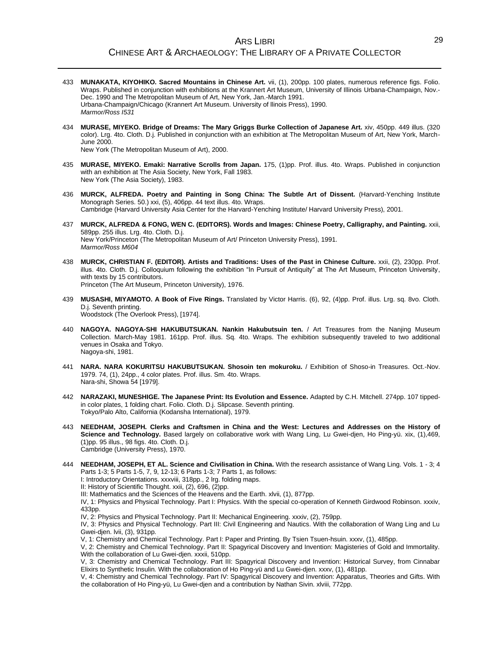- 433 **MUNAKATA, KIYOHIKO. Sacred Mountains in Chinese Art.** vii, (1), 200pp. 100 plates, numerous reference figs. Folio. Wraps. Published in conjunction with exhibitions at the Krannert Art Museum, University of Illinois Urbana-Champaign, Nov.- Dec. 1990 and The Metropolitan Museum of Art, New York, Jan.-March 1991. Urbana-Champaign/Chicago (Krannert Art Museum. University of llinois Press), 1990. *Marmor/Ross I531*
- 434 **MURASE, MIYEKO. Bridge of Dreams: The Mary Griggs Burke Collection of Japanese Art.** xiv, 450pp. 449 illus. (320 color). Lrg. 4to. Cloth. D.j. Published in conjunction with an exhibition at The Metropolitan Museum of Art, New York, March-June 2000.

New York (The Metropolitan Museum of Art), 2000.

- 435 **MURASE, MIYEKO. Emaki: Narrative Scrolls from Japan.** 175, (1)pp. Prof. illus. 4to. Wraps. Published in conjunction with an exhibition at The Asia Society, New York, Fall 1983. New York (The Asia Society), 1983.
- 436 **MURCK, ALFREDA. Poetry and Painting in Song China: The Subtle Art of Dissent.** (Harvard-Yenching Institute Monograph Series. 50.) xxi, (5), 406pp. 44 text illus. 4to. Wraps. Cambridge (Harvard University Asia Center for the Harvard-Yenching Institute/ Harvard University Press), 2001.
- 437 **MURCK, ALFREDA & FONG, WEN C. (EDITORS). Words and Images: Chinese Poetry, Calligraphy, and Painting.** xxii, 589pp. 255 illus. Lrg. 4to. Cloth. D.j. New York/Princeton (The Metropolitan Museum of Art/ Princeton University Press), 1991. *Marmor/Ross M604*
- 438 **MURCK, CHRISTIAN F. (EDITOR). Artists and Traditions: Uses of the Past in Chinese Culture.** xxii, (2), 230pp. Prof. illus. 4to. Cloth. D.j. Colloquium following the exhibition "In Pursuit of Antiquity" at The Art Museum, Princeton University, with texts by 15 contributors. Princeton (The Art Museum, Princeton University), 1976.
- 439 **MUSASHI, MIYAMOTO. A Book of Five Rings.** Translated by Victor Harris. (6), 92, (4)pp. Prof. illus. Lrg. sq. 8vo. Cloth. D.j. Seventh printing. Woodstock (The Overlook Press), [1974].
- 440 **NAGOYA. NAGOYA-SHI HAKUBUTSUKAN. Nankin Hakubutsuin ten.** / Art Treasures from the Nanjing Museum Collection. March-May 1981. 161pp. Prof. illus. Sq. 4to. Wraps. The exhibition subsequently traveled to two additional venues in Osaka and Tokyo. Nagoya-shi, 1981.
- 441 **NARA. NARA KOKURITSU HAKUBUTSUKAN. Shosoin ten mokuroku.** / Exhibition of Shoso-in Treasures. Oct.-Nov. 1979. 74, (1), 24pp., 4 color plates. Prof. illus. Sm. 4to. Wraps. Nara-shi, Showa 54 [1979].
- 442 **NARAZAKI, MUNESHIGE. The Japanese Print: Its Evolution and Essence.** Adapted by C.H. Mitchell. 274pp. 107 tippedin color plates, 1 folding chart. Folio. Cloth. D.j. Slipcase. Seventh printing. Tokyo/Palo Alto, California (Kodansha International), 1979.
- 443 **NEEDHAM, JOSEPH. Clerks and Craftsmen in China and the West: Lectures and Addresses on the History of Science and Technology.** Based largely on collaborative work with Wang Ling, Lu Gwei-djen, Ho Ping-yü. xix, (1),469, (1)pp. 95 illus., 98 figs. 4to. Cloth. D.j. Cambridge (University Press), 1970.
- 444 **NEEDHAM, JOSEPH, ET AL. Science and Civilisation in China.** With the research assistance of Wang Ling. Vols. 1 3; 4 Parts 1-3; 5 Parts 1-5, 7, 9, 12-13; 6 Parts 1-3; 7 Parts 1, as follows:

I: Introductory Orientations. xxxviii, 318pp., 2 lrg. folding maps.

II: History of Scientific Thought. xxii, (2), 696, (2)pp.

III: Mathematics and the Sciences of the Heavens and the Earth. xlvii, (1), 877pp.

IV, 1: Physics and Physical Technology. Part I: Physics. With the special co-operation of Kenneth Girdwood Robinson. xxxiv, 433pp.

IV, 2: Physics and Physical Technology. Part II: Mechanical Engineering. xxxiv, (2), 759pp.

IV, 3: Physics and Physical Technology. Part III: Civil Engineering and Nautics. With the collaboration of Wang Ling and Lu Gwei-djen. lvii, (3), 931pp.

V, 1: Chemistry and Chemical Technology. Part I: Paper and Printing. By Tsien Tsuen-hsuin. xxxv, (1), 485pp.

V, 2: Chemistry and Chemical Technology. Part II: Spagyrical Discovery and Invention: Magisteries of Gold and Immortality. With the collaboration of Lu Gwei-djen. xxxii, 510pp.

V, 3: Chemistry and Chemical Technology. Part III: Spagyrical Discovery and Invention: Historical Survey, from Cinnabar Elixirs to Synthetic Insulin. With the collaboration of Ho Ping-yü and Lu Gwei-djen. xxxv, (1), 481pp.

V, 4: Chemistry and Chemical Technology. Part IV: Spagyrical Discovery and Invention: Apparatus, Theories and Gifts. With the collaboration of Ho Ping-yü, Lu Gwei-djen and a contribution by Nathan Sivin. xlviii, 772pp.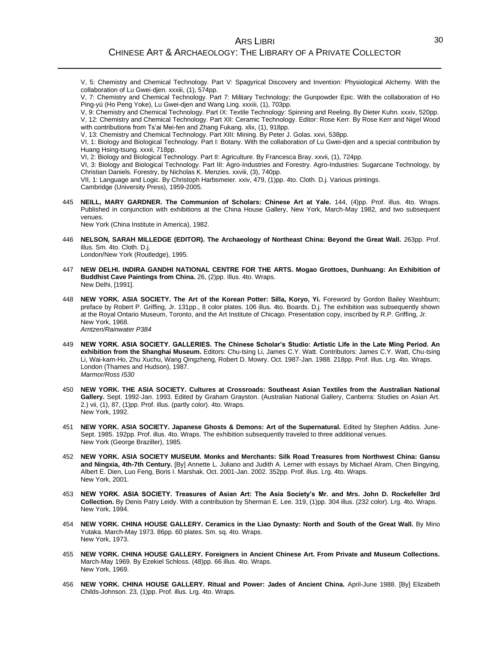# ARS LIBRI CHINESE ART & ARCHAEOLOGY: THE LIBRARY OF A PRIVATE COLLECTOR

V, 5: Chemistry and Chemical Technology. Part V: Spagyrical Discovery and Invention: Physiological Alchemy. With the collaboration of Lu Gwei-djen. xxxiii, (1), 574pp.

V, 7: Chemistry and Chemical Technology. Part 7: Military Technology; the Gunpowder Epic. With the collaboration of Ho Ping-yü (Ho Peng Yoke), Lu Gwei-djen and Wang Ling. xxxiii, (1), 703pp.

V, 9: Chemistry and Chemical Technology. Part IX: Textile Technology: Spinning and Reeling. By Dieter Kuhn. xxxiv, 520pp. V, 12: Chemistry and Chemical Technology. Part XII: Ceramic Technology. Editor: Rose Kerr. By Rose Kerr and Nigel Wood with contributions from Ts'ai Mei-fen and Zhang Fukang. xlix, (1), 918pp.

V, 13: Chemistry and Chemical Technology. Part XIII: Mining. By Peter J. Golas. xxvi, 538pp.

VI, 1: Biology and Biological Technology. Part I: Botany. With the collaboration of Lu Gwei-djen and a special contribution by Huang Hsing-tsung. xxxii, 718pp.

VI, 2: Biology and Biological Technology. Part II: Agriculture. By Francesca Bray. xxvii, (1), 724pp.

VI, 3: Biology and Biological Technology. Part III: Agro-Industries and Forestry. Agro-Industries: Sugarcane Technology, by Christian Daniels. Forestry, by Nicholas K. Menzies. xxviii, (3), 740pp.

VII, 1: Language and Logic. By Christoph Harbsmeier. xxiv, 479, (1)pp. 4to. Cloth. D.j. Various printings. Cambridge (University Press), 1959-2005.

445 **NEILL, MARY GARDNER. The Communion of Scholars: Chinese Art at Yale.** 144, (4)pp. Prof. illus. 4to. Wraps. Published in conjunction with exhibitions at the China House Gallery, New York, March-May 1982, and two subsequent venues.

New York (China Institute in America), 1982.

- 446 **NELSON, SARAH MILLEDGE (EDITOR). The Archaeology of Northeast China: Beyond the Great Wall.** 263pp. Prof. illus. Sm. 4to. Cloth. D.j. London/New York (Routledge), 1995.
- 447 **NEW DELHI. INDIRA GANDHI NATIONAL CENTRE FOR THE ARTS. Mogao Grottoes, Dunhuang: An Exhibition of Buddhist Cave Paintings from China.** 26, (2)pp. Illus. 4to. Wraps. New Delhi, [1991].
- 448 **NEW YORK. ASIA SOCIETY. The Art of the Korean Potter: Silla, Koryo, Yi.** Foreword by Gordon Bailey Washburn; preface by Robert P. Griffing, Jr. 131pp., 8 color plates. 106 illus. 4to. Boards. D.j. The exhibition was subsequently shown at the Royal Ontario Museum, Toronto, and the Art Institute of Chicago. Presentation copy, inscribed by R.P. Griffing, Jr. New York, 1968. *Arntzen/Rainwater P384*
- 449 **NEW YORK. ASIA SOCIETY. GALLERIES. The Chinese Scholar's Studio: Artistic Life in the Late Ming Period. An exhibition from the Shanghai Museum.** Editors: Chu-tsing Li, James C.Y. Watt. Contributors: James C.Y. Watt, Chu-tsing Li, Wai-kam-Ho, Zhu Xuchu, Wang Qingzheng, Robert D. Mowry. Oct. 1987-Jan. 1988. 218pp. Prof. illus. Lrg. 4to. Wraps. London (Thames and Hudson), 1987. *Marmor/Ross I530*
- 450 **NEW YORK. THE ASIA SOCIETY. Cultures at Crossroads: Southeast Asian Textiles from the Australian National Gallery.** Sept. 1992-Jan. 1993. Edited by Graham Grayston. (Australian National Gallery, Canberra: Studies on Asian Art. 2.) vii, (1), 87, (1)pp. Prof. illus. (partly color). 4to. Wraps. New York, 1992.
- 451 **NEW YORK. ASIA SOCIETY. Japanese Ghosts & Demons: Art of the Supernatural.** Edited by Stephen Addiss. June-Sept. 1985. 192pp. Prof. illus. 4to. Wraps. The exhibition subsequently traveled to three additional venues. New York (George Braziller), 1985.
- 452 **NEW YORK. ASIA SOCIETY MUSEUM. Monks and Merchants: Silk Road Treasures from Northwest China: Gansu and Ningxia, 4th-7th Century.** [By] Annette L. Juliano and Judith A. Lerner with essays by Michael Alram, Chen Bingying, Albert E. Dien, Luo Feng, Boris I. Marshak. Oct. 2001-Jan. 2002. 352pp. Prof. illus. Lrg. 4to. Wraps. New York, 2001.
- 453 **NEW YORK. ASIA SOCIETY. Treasures of Asian Art: The Asia Society's Mr. and Mrs. John D. Rockefeller 3rd Collection.** By Denis Patry Leidy. With a contribution by Sherman E. Lee. 319, (1)pp. 304 illus. (232 color). Lrg. 4to. Wraps. New York, 1994.
- 454 **NEW YORK. CHINA HOUSE GALLERY. Ceramics in the Liao Dynasty: North and South of the Great Wall.** By Mino Yutaka. March-May 1973. 86pp. 60 plates. Sm. sq. 4to. Wraps. New York, 1973.
- 455 **NEW YORK. CHINA HOUSE GALLERY. Foreigners in Ancient Chinese Art. From Private and Museum Collections.** March-May 1969. By Ezekiel Schloss. (48)pp. 66 illus. 4to. Wraps. New York, 1969.
- 456 **NEW YORK. CHINA HOUSE GALLERY. Ritual and Power: Jades of Ancient China.** April-June 1988. [By] Elizabeth Childs-Johnson. 23, (1)pp. Prof. illus. Lrg. 4to. Wraps.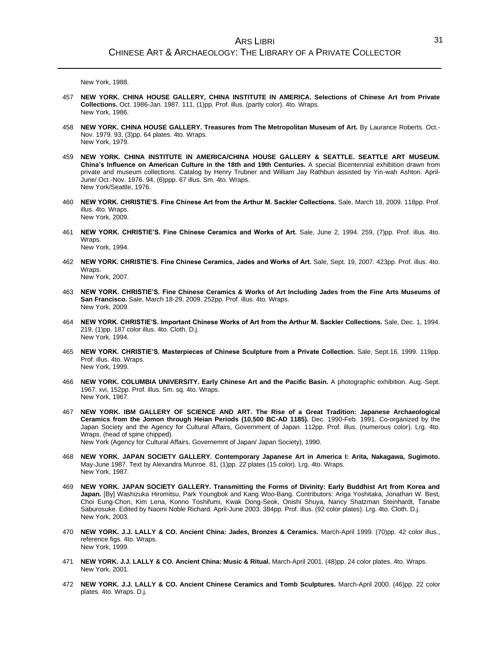New York, 1988.

- 457 **NEW YORK. CHINA HOUSE GALLERY, CHINA INSTITUTE IN AMERICA. Selections of Chinese Art from Private Collections.** Oct. 1986-Jan. 1987. 111, (1)pp. Prof. illus. (partly color). 4to. Wraps. New York, 1986.
- 458 **NEW YORK. CHINA HOUSE GALLERY. Treasures from The Metropolitan Museum of Art.** By Laurance Roberts. Oct.- Nov. 1979. 93, (3)pp. 64 plates. 4to. Wraps. New York, 1979.
- 459 **NEW YORK. CHINA INSTITUTE IN AMERICA/CHINA HOUSE GALLERY & SEATTLE. SEATTLE ART MUSEUM. China's Influence on American Culture in the 18th and 19th Centuries.** A special Bicentennial exhibition drawn from private and museum collections. Catalog by Henry Trubner and William Jay Rathbun assisted by Yin-wah Ashton. April-June/ Oct.-Nov. 1976. 94, (6)ppp. 67 illus. Sm. 4to. Wraps. New York/Seattle, 1976.
- 460 **NEW YORK. CHRISTIE'S. Fine Chinese Art from the Arthur M. Sackler Collections.** Sale, March 18, 2009. 118pp. Prof. illus. 4to. Wraps. New York, 2009.
- 461 **NEW YORK. CHRISTIE'S. Fine Chinese Ceramics and Works of Art.** Sale, June 2, 1994. 259, (7)pp. Prof. illus. 4to. Wraps.

New York, 1994.

462 **NEW YORK. CHRISTIE'S. Fine Chinese Ceramics, Jades and Works of Art.** Sale, Sept. 19, 2007. 423pp. Prof. illus. 4to. **Wraps**.

New York, 2007.

- 463 **NEW YORK. CHRISTIE'S. Fine Chinese Ceramics & Works of Art Including Jades from the Fine Arts Museums of San Francisco.** Sale, March 18-29, 2009. 252pp. Prof. illus. 4to. Wraps. New York, 2009.
- 464 **NEW YORK. CHRISTIE'S. Important Chinese Works of Art from the Arthur M. Sackler Collections.** Sale, Dec. 1, 1994. 219, (1)pp. 187 color illus. 4to. Cloth. D.j. New York, 1994.
- 465 **NEW YORK. CHRISTIE'S. Masterpieces of Chinese Sculpture from a Private Collection.** Sale, Sept.16, 1999. 119pp. Prof. illus. 4to. Wraps. New York, 1999.
- 466 **NEW YORK. COLUMBIA UNIVERSITY. Early Chinese Art and the Pacific Basin.** A photographic exhibition. Aug.-Sept. 1967. xvi, 152pp. Prof. illus. Sm. sq. 4to. Wraps. New York, 1967.
- 467 **NEW YORK. IBM GALLERY OF SCIENCE AND ART. The Rise of a Great Tradition: Japanese Archaeological Ceramics from the Jomon through Heian Periods (10,500 BC-AD 1185).** Dec. 1990-Feb. 1991. Co-organized by the Japan Society and the Agency for Cultural Affairs, Government of Japan. 112pp. Prof. illus. (numerous color). Lrg. 4to. Wraps. (head of spine chipped). New York (Agency for Cultural Affairs, Governemnt of Japan/ Japan Society), 1990.

- 468 **NEW YORK. JAPAN SOCIETY GALLERY. Contemporary Japanese Art in America I: Arita, Nakagawa, Sugimoto.** May-June 1987. Text by Alexandra Munroe. 81, (1)pp. 22 plates (15 color). Lrg. 4to. Wraps. New York, 1987.
- 469 **NEW YORK. JAPAN SOCIETY GALLERY. Transmitting the Forms of Divinity: Early Buddhist Art from Korea and Japan.** [By] Washizuka Hiromitsu, Park Youngbok and Kang Woo-Bang. Contributors: Ariga Yoshitaka, Jonathan W. Best, Choi Eung-Chon, Kim Lena, Konno Toshifumi, Kwak Dong-Seok, Onishi Shuya, Nancy Shatzman Steinhardt, Tanabe Saburosuke. Edited by Naomi Noble Richard. April-June 2003. 384pp. Prof. illus. (92 color plates). Lrg. 4to. Cloth. D.j. New York, 2003.
- 470 **NEW YORK. J.J. LALLY & CO. Ancient China: Jades, Bronzes & Ceramics.** March-April 1999. (70)pp. 42 color illus., reference figs. 4to. Wraps. New York, 1999.
- 471 **NEW YORK. J.J. LALLY & CO. Ancient China: Music & Ritual.** March-April 2001. (48)pp. 24 color plates. 4to. Wraps. New York, 2001.
- 472 **NEW YORK. J.J. LALLY & CO. Ancient Chinese Ceramics and Tomb Sculptures.** March-April 2000. (46)pp. 22 color plates. 4to. Wraps. D.j.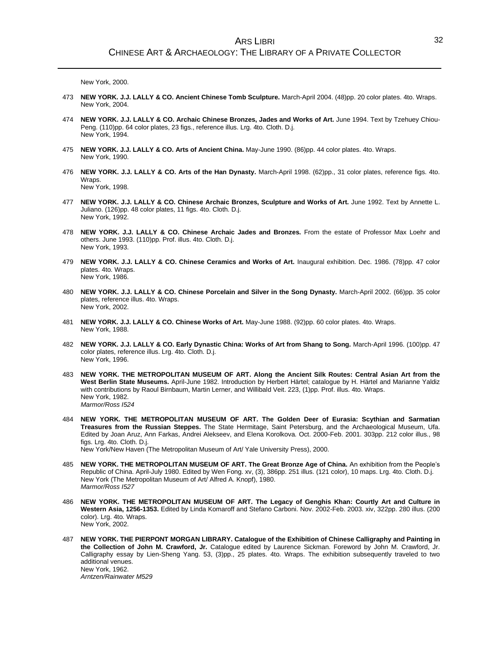New York, 2000.

- 473 **NEW YORK. J.J. LALLY & CO. Ancient Chinese Tomb Sculpture.** March-April 2004. (48)pp. 20 color plates. 4to. Wraps. New York, 2004.
- 474 **NEW YORK. J.J. LALLY & CO. Archaic Chinese Bronzes, Jades and Works of Art.** June 1994. Text by Tzehuey Chiou-Peng. (110)pp. 64 color plates, 23 figs., reference illus. Lrg. 4to. Cloth. D.j. New York, 1994.
- 475 **NEW YORK. J.J. LALLY & CO. Arts of Ancient China.** May-June 1990. (86)pp. 44 color plates. 4to. Wraps. New York, 1990.
- 476 **NEW YORK. J.J. LALLY & CO. Arts of the Han Dynasty.** March-April 1998. (62)pp., 31 color plates, reference figs. 4to. Wraps. New York, 1998.
- 477 **NEW YORK. J.J. LALLY & CO. Chinese Archaic Bronzes, Sculpture and Works of Art.** June 1992. Text by Annette L. Juliano. (126)pp. 48 color plates, 11 figs. 4to. Cloth. D.j. New York, 1992.
- 478 **NEW YORK. J.J. LALLY & CO. Chinese Archaic Jades and Bronzes.** From the estate of Professor Max Loehr and others. June 1993. (110)pp. Prof. illus. 4to. Cloth. D.j. New York, 1993.
- 479 **NEW YORK. J.J. LALLY & CO. Chinese Ceramics and Works of Art.** Inaugural exhibition. Dec. 1986. (78)pp. 47 color plates. 4to. Wraps. New York, 1986.
- 480 **NEW YORK. J.J. LALLY & CO. Chinese Porcelain and Silver in the Song Dynasty.** March-April 2002. (66)pp. 35 color plates, reference illus. 4to. Wraps. New York, 2002.
- 481 **NEW YORK. J.J. LALLY & CO. Chinese Works of Art.** May-June 1988. (92)pp. 60 color plates. 4to. Wraps. New York, 1988.
- 482 **NEW YORK. J.J. LALLY & CO. Early Dynastic China: Works of Art from Shang to Song.** March-April 1996. (100)pp. 47 color plates, reference illus. Lrg. 4to. Cloth. D.j. New York, 1996.
- 483 **NEW YORK. THE METROPOLITAN MUSEUM OF ART. Along the Ancient Silk Routes: Central Asian Art from the West Berlin State Museums.** April-June 1982. Introduction by Herbert Härtel; catalogue by H. Härtel and Marianne Yaldiz with contributions by Raoul Birnbaum, Martin Lerner, and Willibald Veit. 223, (1)pp. Prof. illus. 4to. Wraps. New York, 1982. *Marmor/Ross I524*
- 484 **NEW YORK. THE METROPOLITAN MUSEUM OF ART. The Golden Deer of Eurasia: Scythian and Sarmatian Treasures from the Russian Steppes.** The State Hermitage, Saint Petersburg, and the Archaeological Museum, Ufa. Edited by Joan Aruz, Ann Farkas, Andrei Alekseev, and Elena Korolkova. Oct. 2000-Feb. 2001. 303pp. 212 color illus., 98 figs. Lrg. 4to. Cloth. D.j. New York/New Haven (The Metropolitan Museum of Art/ Yale University Press), 2000.
	-
- 485 **NEW YORK. THE METROPOLITAN MUSEUM OF ART. The Great Bronze Age of China.** An exhibition from the People's Republic of China. April-July 1980. Edited by Wen Fong. xv, (3), 386pp. 251 illus. (121 color), 10 maps. Lrg. 4to. Cloth. D.j. New York (The Metropolitan Museum of Art/ Alfred A. Knopf), 1980. *Marmor/Ross I527*
- 486 **NEW YORK. THE METROPOLITAN MUSEUM OF ART. The Legacy of Genghis Khan: Courtly Art and Culture in Western Asia, 1256-1353.** Edited by Linda Komaroff and Stefano Carboni. Nov. 2002-Feb. 2003. xiv, 322pp. 280 illus. (200 color). Lrg. 4to. Wraps. New York, 2002.
- 487 **NEW YORK. THE PIERPONT MORGAN LIBRARY. Catalogue of the Exhibition of Chinese Calligraphy and Painting in the Collection of John M. Crawford, Jr.** Catalogue edited by Laurence Sickman. Foreword by John M. Crawford, Jr. Calligraphy essay by Lien-Sheng Yang. 53, (3)pp., 25 plates. 4to. Wraps. The exhibition subsequently traveled to two additional venues. New York, 1962. *Arntzen/Rainwater M529*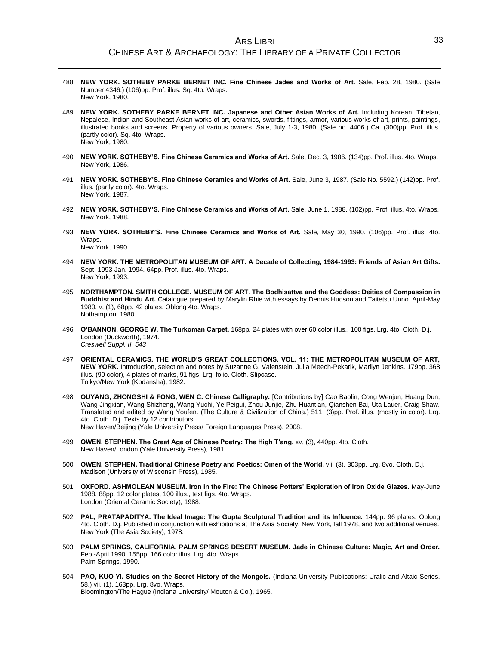#### ARS LIBRI CHINESE ART & ARCHAEOLOGY: THE LIBRARY OF A PRIVATE COLLECTOR

- 488 **NEW YORK. SOTHEBY PARKE BERNET INC. Fine Chinese Jades and Works of Art.** Sale, Feb. 28, 1980. (Sale Number 4346.) (106)pp. Prof. illus. Sq. 4to. Wraps. New York, 1980.
- 489 **NEW YORK. SOTHEBY PARKE BERNET INC. Japanese and Other Asian Works of Art.** Including Korean, Tibetan, Nepalese, Indian and Southeast Asian works of art, ceramics, swords, fittings, armor, various works of art, prints, paintings, illustrated books and screens. Property of various owners. Sale, July 1-3, 1980. (Sale no. 4406.) Ca. (300)pp. Prof. illus. (partly color). Sq. 4to. Wraps. New York, 1980.
- 490 **NEW YORK. SOTHEBY'S. Fine Chinese Ceramics and Works of Art.** Sale, Dec. 3, 1986. (134)pp. Prof. illus. 4to. Wraps. New York, 1986.
- 491 **NEW YORK. SOTHEBY'S. Fine Chinese Ceramics and Works of Art.** Sale, June 3, 1987. (Sale No. 5592.) (142)pp. Prof. illus. (partly color). 4to. Wraps. New York, 1987.
- 492 **NEW YORK. SOTHEBY'S. Fine Chinese Ceramics and Works of Art.** Sale, June 1, 1988. (102)pp. Prof. illus. 4to. Wraps. New York, 1988.
- 493 **NEW YORK. SOTHEBY'S. Fine Chinese Ceramics and Works of Art.** Sale, May 30, 1990. (106)pp. Prof. illus. 4to. Wraps.

New York, 1990.

- 494 **NEW YORK. THE METROPOLITAN MUSEUM OF ART. A Decade of Collecting, 1984-1993: Friends of Asian Art Gifts.** Sept. 1993-Jan. 1994. 64pp. Prof. illus. 4to. Wraps. New York, 1993.
- 495 **NORTHAMPTON. SMITH COLLEGE. MUSEUM OF ART. The Bodhisattva and the Goddess: Deities of Compassion in Buddhist and Hindu Art.** Catalogue prepared by Marylin Rhie with essays by Dennis Hudson and Taitetsu Unno. April-May 1980. v, (1), 68pp. 42 plates. Oblong 4to. Wraps. Nothampton, 1980.
- 496 **O'BANNON, GEORGE W. The Turkoman Carpet.** 168pp. 24 plates with over 60 color illus., 100 figs. Lrg. 4to. Cloth. D.j. London (Duckworth), 1974. *Creswell Suppl. II, 543*
- 497 **ORIENTAL CERAMICS. THE WORLD'S GREAT COLLECTIONS. VOL. 11: THE METROPOLITAN MUSEUM OF ART, NEW YORK.** Introduction, selection and notes by Suzanne G. Valenstein, Julia Meech-Pekarik, Marilyn Jenkins. 179pp. 368 illus. (90 color), 4 plates of marks, 91 figs. Lrg. folio. Cloth. Slipcase. Toikyo/New York (Kodansha), 1982.
- 498 **OUYANG, ZHONGSHI & FONG, WEN C. Chinese Calligraphy.** [Contributions by] Cao Baolin, Cong Wenjun, Huang Dun, Wang Jingxian, Wang Shizheng, Wang Yuchi, Ye Peigui, Zhou Junjie, Zhu Huantian, Qianshen Bai, Uta Lauer, Craig Shaw. Translated and edited by Wang Youfen. (The Culture & Civilization of China.) 511, (3)pp. Prof. illus. (mostly in color). Lrg. 4to. Cloth. D.j. Texts by 12 contributors. New Haven/Beijing (Yale University Press/ Foreign Languages Press), 2008.
- 499 **OWEN, STEPHEN. The Great Age of Chinese Poetry: The High T'ang.** xv, (3), 440pp. 4to. Cloth. New Haven/London (Yale University Press), 1981.
- 500 **OWEN, STEPHEN. Traditional Chinese Poetry and Poetics: Omen of the World.** vii, (3), 303pp. Lrg. 8vo. Cloth. D.j. Madison (University of Wisconsin Press), 1985.
- 501 **OXFORD. ASHMOLEAN MUSEUM. Iron in the Fire: The Chinese Potters' Exploration of Iron Oxide Glazes.** May-June 1988. 88pp. 12 color plates, 100 illus., text figs. 4to. Wraps. London (Oriental Ceramic Society), 1988.
- 502 **PAL, PRATAPADITYA. The Ideal Image: The Gupta Sculptural Tradition and its Influence.** 144pp. 96 plates. Oblong 4to. Cloth. D.j. Published in conjunction with exhibitions at The Asia Society, New York, fall 1978, and two additional venues. New York (The Asia Society), 1978.
- 503 **PALM SPRINGS, CALIFORNIA. PALM SPRINGS DESERT MUSEUM. Jade in Chinese Culture: Magic, Art and Order.** Feb.-April 1990. 155pp. 166 color illus. Lrg. 4to. Wraps. Palm Springs, 1990.
- 504 **PAO, KUO-YI. Studies on the Secret History of the Mongols.** (Indiana University Publications: Uralic and Altaic Series. 58.) vii, (1), 163pp. Lrg. 8vo. Wraps. Bloomington/The Hague (Indiana University/ Mouton & Co.), 1965.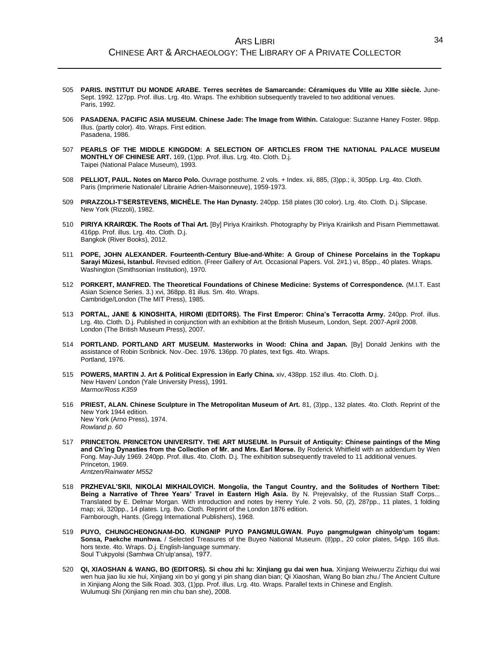- 505 **PARIS. INSTITUT DU MONDE ARABE. Terres secrètes de Samarcande: Céramiques du VIIIe au XIIIe siècle.** June-Sept. 1992. 127pp. Prof. illus. Lrg. 4to. Wraps. The exhibition subsequently traveled to two additional venues. Paris, 1992.
- 506 **PASADENA. PACIFIC ASIA MUSEUM. Chinese Jade: The Image from Within.** Catalogue: Suzanne Haney Foster. 98pp. Illus. (partly color). 4to. Wraps. First edition. Pasadena, 1986.
- 507 **PEARLS OF THE MIDDLE KINGDOM: A SELECTION OF ARTICLES FROM THE NATIONAL PALACE MUSEUM MONTHLY OF CHINESE ART.** 169, (1)pp. Prof. illus. Lrg. 4to. Cloth. D.j. Taipei (National Palace Museum), 1993.
- 508 **PELLIOT, PAUL. Notes on Marco Polo.** Ouvrage posthume. 2 vols. + Index. xii, 885, (3)pp.; ii, 305pp. Lrg. 4to. Cloth. Paris (Imprimerie Nationale/ Librairie Adrien-Maisonneuve), 1959-1973.
- 509 **PIRAZZOLI-T'SERSTEVENS, MICHÈLE. The Han Dynasty.** 240pp. 158 plates (30 color). Lrg. 4to. Cloth. D.j. Slipcase. New York (Rizzoli), 1982.
- 510 **PIRIYA KRAIRŒK. The Roots of Thai Art.** [By] Piriya Krairiksh. Photography by Piriya Krairiksh and Pisarn Piemmettawat. 416pp. Prof. illus. Lrg. 4to. Cloth. D.j. Bangkok (River Books), 2012.
- 511 **POPE, JOHN ALEXANDER. Fourteenth-Century Blue-and-White: A Group of Chinese Porcelains in the Topkapu Sarayi Müzesi, Istanbul.** Revised edition. (Freer Gallery of Art. Occasional Papers. Vol. 2#1.) vi, 85pp., 40 plates. Wraps. Washington (Smithsonian Institution), 1970.
- 512 **PORKERT, MANFRED. The Theoretical Foundations of Chinese Medicine: Systems of Correspondence.** (M.I.T. East Asian Science Series. 3.) xvi, 368pp. 81 illus. Sm. 4to. Wraps. Cambridge/London (The MIT Press), 1985.
- 513 **PORTAL, JANE & KINOSHITA, HIROMI (EDITORS). The First Emperor: China's Terracotta Army.** 240pp. Prof. illus. Lrg. 4to. Cloth. D.j. Published in conjunction with an exhibition at the British Museum, London, Sept. 2007-April 2008. London (The British Museum Press), 2007.
- 514 **PORTLAND. PORTLAND ART MUSEUM. Masterworks in Wood: China and Japan.** [By] Donald Jenkins with the assistance of Robin Scribnick. Nov.-Dec. 1976. 136pp. 70 plates, text figs. 4to. Wraps. Portland, 1976.
- 515 **POWERS, MARTIN J. Art & Political Expression in Early China.** xiv, 438pp. 152 illus. 4to. Cloth. D.j. New Haven/ London (Yale University Press), 1991. *Marmor/Ross K359*
- 516 **PRIEST, ALAN. Chinese Sculpture in The Metropolitan Museum of Art.** 81, (3)pp., 132 plates. 4to. Cloth. Reprint of the New York 1944 edition. New York (Arno Press), 1974. *Rowland p. 60*
- 517 **PRINCETON. PRINCETON UNIVERSITY. THE ART MUSEUM. In Pursuit of Antiquity: Chinese paintings of the Ming and Ch'ing Dynasties from the Collection of Mr. and Mrs. Earl Morse.** By Roderick Whitfield with an addendum by Wen Fong. May-July 1969. 240pp. Prof. illus. 4to. Cloth. D.j. The exhibition subsequently traveled to 11 additional venues. Princeton, 1969. *Arntzen/Rainwater M552*
- 518 **PRZHEVAL'SKII, NIKOLAI MIKHAILOVICH. Mongolia, the Tangut Country, and the Solitudes of Northern Tibet: Being a Narrative of Three Years' Travel in Eastern High Asia.** By N. Prejevalsky, of the Russian Staff Corps... Translated by E. Delmar Morgan. With introduction and notes by Henry Yule. 2 vols. 50, (2), 287pp., 11 plates, 1 folding map; xii, 320pp., 14 plates. Lrg. 8vo. Cloth. Reprint of the London 1876 edition. Farnborough, Hants. (Gregg International Publishers), 1968.
- 519 **PUYO, CHUNGCHEONGNAM-DO. KUNGNIP PUYO PANGMULGWAN. Puyo pangmulgwan chinyolp'um togam: Sonsa, Paekche munhwa.** / Selected Treasures of the Buyeo National Museum. (8)pp., 20 color plates, 54pp. 165 illus. hors texte. 4to. Wraps. D.j. English-language summary. Soul T'ukpyolsi (Samhwa Ch'ulp'ansa), 1977.
- 520 **QI, XIAOSHAN & WANG, BO (EDITORS). Si chou zhi lu: Xinjiang gu dai wen hua.** Xinjiang Weiwuerzu Zizhiqu dui wai wen hua jiao liu xie hui, Xinjiang xin bo yi gong yi pin shang dian bian; Qi Xiaoshan, Wang Bo bian zhu./ The Ancient Culture in Xinjiang Along the Silk Road. 303, (1)pp. Prof. illus. Lrg. 4to. Wraps. Parallel texts in Chinese and English. Wulumuqi Shi (Xinjiang ren min chu ban she), 2008.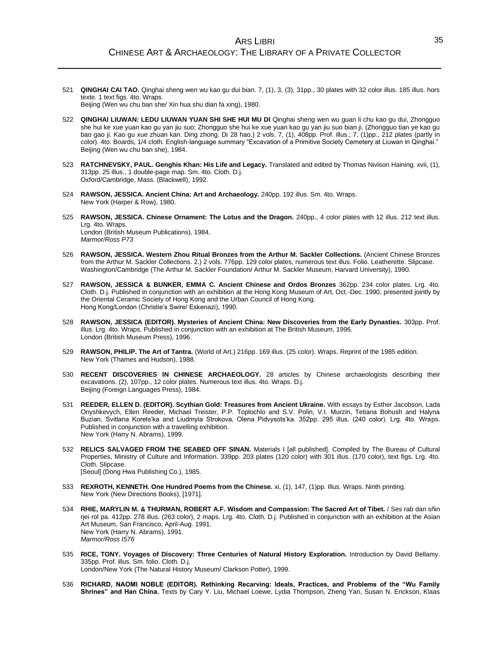- 521 **QINGHAI CAI TAO.** Qinghai sheng wen wu kao gu dui bian. 7, (1), 3, (3), 31pp., 30 plates with 32 color illus. 185 illus. hors texte. 1 text figs. 4to. Wraps. Beijing (Wen wu chu ban she/ Xin hua shu dian fa xing), 1980.
- 522 **QINGHAI LIUWAN: LEDU LIUWAN YUAN SHI SHE HUI MU DI** Qinghai sheng wen wu guan li chu kao gu dui, Zhongguo she hui ke xue yuan kao gu yan jiu suo; Zhongguo she hui ke xue yuan kao gu yan jiu suo bian ji. (Zhongguo tian ye kao gu bao gao ji. Kao gu xue zhuan kan. Ding zhong. Di 28 hao.) 2 vols. 7, (1), 408pp. Prof. illus.; 7, (1)pp., 212 plates (partly in color). 4to. Boards, 1/4 cloth. English-language summary "Excavation of a Primitive Society Cemetery at Liuwan in Qinghai." Beijing (Wen wu chu ban she), 1984.
- 523 **RATCHNEVSKY, PAUL. Genghis Khan: His Life and Legacy.** Translated and edited by Thomas Nivison Haining. xvii, (1), 313pp. 25 illus., 1 double-page map. Sm. 4to. Cloth. D.j. Oxford/Cambridge, Mass. (Blackwell), 1992.
- 524 **RAWSON, JESSICA. Ancient China: Art and Archaeology.** 240pp. 192 illus. Sm. 4to. Wraps. New York (Harper & Row), 1980.
- 525 **RAWSON, JESSICA. Chinese Ornament: The Lotus and the Dragon.** 240pp., 4 color plates with 12 illus. 212 text illus. Lrg. 4to. Wraps. London (British Museum Publications), 1984.

*Marmor/Ross P73*

- 526 **RAWSON, JESSICA. Western Zhou Ritual Bronzes from the Arthur M. Sackler Collections.** (Ancient Chinese Bronzes from the Arthur M. Sackler Collections. 2.) 2 vols. 776pp. 129 color plates, numerous text illus. Folio. Leatherette. Slipcase. Washington/Cambridge (The Arthur M. Sackler Foundation/ Arthur M. Sackler Museum, Harvard University), 1990.
- 527 **RAWSON, JESSICA & BUNKER, EMMA C. Ancient Chinese and Ordos Bronzes** 362pp. 234 color plates. Lrg. 4to. Cloth. D.j. Published in conjunction with an exhibition at the Hong Kong Museum of Art, Oct.-Dec. 1990, presented jointly by the Oriental Ceramic Society of Hong Kong and the Urban Council of Hong Kong. Hong Kong/London (Christie's Swire/ Eskenazi), 1990.
- 528 **RAWSON, JESSICA (EDITOR). Mysteries of Ancient China: New Discoveries from the Early Dynasties.** 303pp. Prof. illus. Lrg. 4to. Wraps. Published in conjunction with an exhibition at The British Museum, 1996. London (British Museum Press), 1996.
- 529 **RAWSON, PHILIP. The Art of Tantra.** (World of Art.) 216pp. 169 illus. (25 color). Wraps. Reprint of the 1985 edition. New York (Thames and Hudson), 1988.
- 530 **RECENT DISCOVERIES IN CHINESE ARCHAEOLOGY.** 28 articles by Chinese archaeologists describing their excavations. (2), 107pp., 12 color plates. Numerous text illus. 4to. Wraps. D.j. Beijing (Foreign Languages Press), 1984.
- 531 **REEDER, ELLEN D. (EDITOR). Scythian Gold: Treasures from Ancient Ukraine.** With essays by Esther Jacobson, Lada Onyshkevych, Ellen Reeder, Michael Treister, P.P. Toplochlo and S.V. Polin, V.I. Murzin, Tetiana Bohush and Halyna Buzian, Svitlana Korets'ka and Liudmyla Strokova, Olena Pidvysots'ka. 352pp. 295 illus. (240 color). Lrg. 4to. Wraps. Published in conjunction with a travelling exhibition. New York (Harry N. Abrams), 1999.
- 532 **RELICS SALVAGED FROM THE SEABED OFF SINAN.** Materials I [all published]. Compiled by The Bureau of Cultural Properties, Ministry of Culture and Information. 339pp. 203 plates (120 color) with 301 illus. (170 color), text figs. Lrg. 4to. Cloth. Slipcase. [Seoul] (Dong Hwa Publishing Co.), 1985.
- 533 **REXROTH, KENNETH. One Hundred Poems from the Chinese.** xi, (1), 147, (1)pp. Illus. Wraps. Ninth printing. New York (New Directions Books), [1971].
- 534 **RHIE, MARYLIN M. & THURMAN, ROBERT A.F. Wisdom and Compassion: The Sacred Art of Tibet.** / Ses rab dan sñin rjei rol pa. 412pp. 278 illus. (263 color), 2 maps. Lrg. 4to. Cloth. D.j. Published in conjunction with an exhibition at the Asian Art Museum, San Francisco, April-Aug. 1991. New York (Harry N. Abrams), 1991. *Marmor/Ross I576*
- 535 **RICE, TONY. Voyages of Discovery: Three Centuries of Natural History Exploration.** Introduction by David Bellamy. 335pp. Prof. illus. Sm. folio. Cloth. D.j.
	- London/New York (The Natural History Museum/ Clarkson Potter), 1999.
- 536 **RICHARD, NAOMI NOBLE (EDITOR). Rethinking Recarving: Ideals, Practices, and Problems of the "Wu Family Shrines" and Han China.** Texts by Cary Y. Liu, Michael Loewe, Lydia Thompson, Zheng Yan, Susan N. Erickson, Klaas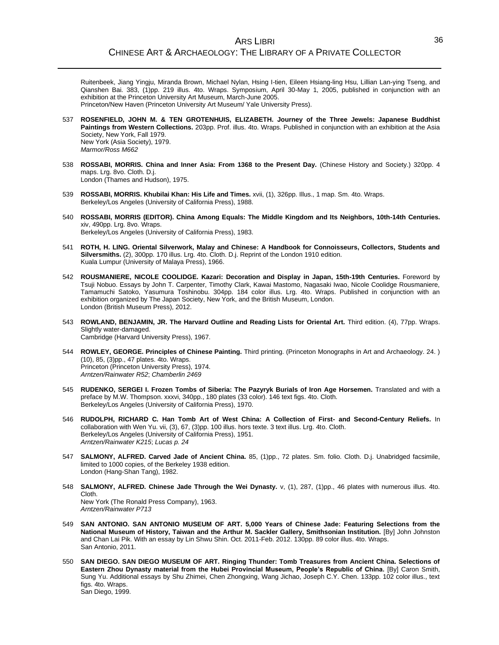Ruitenbeek, Jiang Yingju, Miranda Brown, Michael Nylan, Hsing I-tien, Eileen Hsiang-ling Hsu, Lillian Lan-ying Tseng, and Qianshen Bai. 383, (1)pp. 219 illus. 4to. Wraps. Symposium, April 30-May 1, 2005, published in conjunction with an exhibition at the Princeton University Art Museum, March-June 2005. Princeton/New Haven (Princeton University Art Museum/ Yale University Press).

- 537 **ROSENFIELD, JOHN M. & TEN GROTENHUIS, ELIZABETH. Journey of the Three Jewels: Japanese Buddhist Paintings from Western Collections.** 203pp. Prof. illus. 4to. Wraps. Published in conjunction with an exhibition at the Asia Society, New York, Fall 1979. New York (Asia Society), 1979. *Marmor/Ross M662*
- 538 **ROSSABI, MORRIS. China and Inner Asia: From 1368 to the Present Day.** (Chinese History and Society.) 320pp. 4 maps. Lrg. 8vo. Cloth. D.j. London (Thames and Hudson), 1975.
- 539 **ROSSABI, MORRIS. Khubilai Khan: His Life and Times.** xvii, (1), 326pp. Illus., 1 map. Sm. 4to. Wraps. Berkeley/Los Angeles (University of California Press), 1988.
- 540 **ROSSABI, MORRIS (EDITOR). China Among Equals: The Middle Kingdom and Its Neighbors, 10th-14th Centuries.** xiv, 490pp. Lrg. 8vo. Wraps. Berkeley/Los Angeles (University of California Press), 1983.
- 541 **ROTH, H. LING. Oriental Silverwork, Malay and Chinese: A Handbook for Connoisseurs, Collectors, Students and Silversmiths.** (2), 300pp. 170 illus. Lrg. 4to. Cloth. D.j. Reprint of the London 1910 edition. Kuala Lumpur (University of Malaya Press), 1966.
- 542 **ROUSMANIERE, NICOLE COOLIDGE. Kazari: Decoration and Display in Japan, 15th-19th Centuries.** Foreword by Tsuji Nobuo. Essays by John T. Carpenter, Timothy Clark, Kawai Mastomo, Nagasaki Iwao, Nicole Coolidge Rousmaniere, Tamamuchi Satoko, Yasumura Toshinobu. 304pp. 184 color illus. Lrg. 4to. Wraps. Published in conjunction with an exhibition organized by The Japan Society, New York, and the British Museum, London. London (British Museum Press), 2012.
- 543 **ROWLAND, BENJAMIN, JR. The Harvard Outline and Reading Lists for Oriental Art.** Third edition. (4), 77pp. Wraps. Slightly water-damaged. Cambridge (Harvard University Press), 1967.
- 544 **ROWLEY, GEORGE. Principles of Chinese Painting.** Third printing. (Princeton Monographs in Art and Archaeology. 24. ) (10), 85, (3)pp., 47 plates. 4to. Wraps. Princeton (Princeton University Press), 1974. *Arntzen/Rainwater R52*; *Chamberlin 2469*
- 545 **RUDENKO, SERGEI I. Frozen Tombs of Siberia: The Pazyryk Burials of Iron Age Horsemen.** Translated and with a preface by M.W. Thompson. xxxvi, 340pp., 180 plates (33 color). 146 text figs. 4to. Cloth. Berkeley/Los Angeles (University of California Press), 1970.
- 546 **RUDOLPH, RICHARD C. Han Tomb Art of West China: A Collection of First- and Second-Century Reliefs.** In collaboration with Wen Yu. vii, (3), 67, (3)pp. 100 illus. hors texte. 3 text illus. Lrg. 4to. Cloth. Berkeley/Los Angeles (University of California Press), 1951. *Arntzen/Rainwater K215*; *Lucas p. 24*
- 547 **SALMONY, ALFRED. Carved Jade of Ancient China.** 85, (1)pp., 72 plates. Sm. folio. Cloth. D.j. Unabridged facsimile, limited to 1000 copies, of the Berkeley 1938 edition. London (Hang-Shan Tang), 1982.
- 548 **SALMONY, ALFRED. Chinese Jade Through the Wei Dynasty.** v, (1), 287, (1)pp., 46 plates with numerous illus. 4to. Cloth. New York (The Ronald Press Company), 1963. *Arntzen/Rainwater P713*
- 549 **SAN ANTONIO. SAN ANTONIO MUSEUM OF ART. 5,000 Years of Chinese Jade: Featuring Selections from the National Museum of History, Taiwan and the Arthur M. Sackler Gallery, Smithsonian Institution.** [By] John Johnston and Chan Lai Pik. With an essay by Lin Shwu Shin. Oct. 2011-Feb. 2012. 130pp. 89 color illus. 4to. Wraps. San Antonio, 2011.
- 550 **SAN DIEGO. SAN DIEGO MUSEUM OF ART. Ringing Thunder: Tomb Treasures from Ancient China. Selections of Eastern Zhou Dynasty material from the Hubei Provincial Museum, People's Republic of China.** [By] Caron Smith, Sung Yu. Additional essays by Shu Zhimei, Chen Zhongxing, Wang Jichao, Joseph C.Y. Chen. 133pp. 102 color illus., text figs. 4to. Wraps. San Diego, 1999.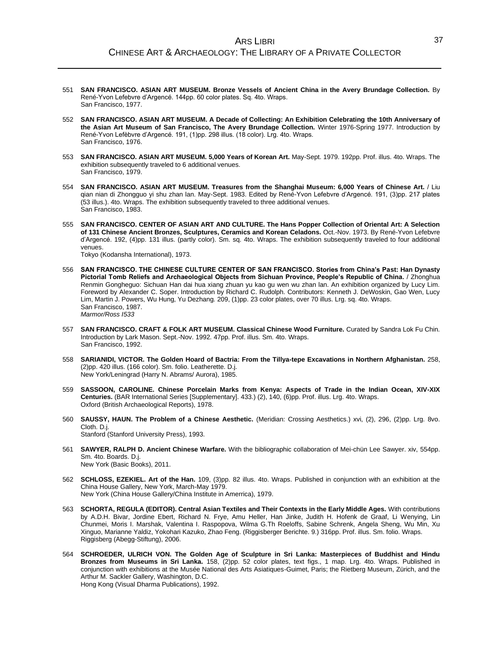- 551 **SAN FRANCISCO. ASIAN ART MUSEUM. Bronze Vessels of Ancient China in the Avery Brundage Collection.** By René-Yvon Lefebvre d'Argencé. 144pp. 60 color plates. Sq. 4to. Wraps. San Francisco, 1977.
- 552 **SAN FRANCISCO. ASIAN ART MUSEUM. A Decade of Collecting: An Exhibition Celebrating the 10th Anniversary of the Asian Art Museum of San Francisco, The Avery Brundage Collection.** Winter 1976-Spring 1977. Introduction by René-Yvon Lefèbvre d'Argencé. 191, (1)pp. 298 illus. (18 color). Lrg. 4to. Wraps. San Francisco, 1976.
- 553 **SAN FRANCISCO. ASIAN ART MUSEUM. 5,000 Years of Korean Art.** May-Sept. 1979. 192pp. Prof. illus. 4to. Wraps. The exhibition subsequently traveled to 6 additional venues. San Francisco, 1979.
- 554 **SAN FRANCISCO. ASIAN ART MUSEUM. Treasures from the Shanghai Museum: 6,000 Years of Chinese Art.** / Liu qian nian di Zhongguo yi shu zhan lan. May-Sept. 1983. Edited by René-Yvon Lefebvre d'Argencé. 191, (3)pp. 217 plates (53 illus.). 4to. Wraps. The exhibition subsequently traveled to three additional venues. San Francisco, 1983.
- 555 **SAN FRANCISCO. CENTER OF ASIAN ART AND CULTURE. The Hans Popper Collection of Oriental Art: A Selection of 131 Chinese Ancient Bronzes, Sculptures, Ceramics and Korean Celadons.** Oct.-Nov. 1973. By René-Yvon Lefebvre d'Argencé. 192, (4)pp. 131 illus. (partly color). Sm. sq. 4to. Wraps. The exhibition subsequently traveled to four additional venues.

Tokyo (Kodansha International), 1973.

- 556 **SAN FRANCISCO. THE CHINESE CULTURE CENTER OF SAN FRANCISCO. Stories from China's Past: Han Dynasty Pictorial Tomb Reliefs and Archaeological Objects from Sichuan Province, People's Republic of China.** / Zhonghua Renmin Gongheguo: Sichuan Han dai hua xiang zhuan yu kao gu wen wu zhan lan. An exhibition organized by Lucy Lim. Foreword by Alexander C. Soper. Introduction by Richard C. Rudolph. Contributors: Kenneth J. DeWoskin, Gao Wen, Lucy Lim, Martin J. Powers, Wu Hung, Yu Dezhang. 209, (1)pp. 23 color plates, over 70 illus. Lrg. sq. 4to. Wraps. San Francisco, 1987. *Marmor/Ross I533*
- 557 **SAN FRANCISCO. CRAFT & FOLK ART MUSEUM. Classical Chinese Wood Furniture.** Curated by Sandra Lok Fu Chin. Introduction by Lark Mason. Sept.-Nov. 1992. 47pp. Prof. illus. Sm. 4to. Wraps. San Francisco, 1992.
- 558 **SARIANIDI, VICTOR. The Golden Hoard of Bactria: From the Tillya-tepe Excavations in Northern Afghanistan.** 258, (2)pp. 420 illus. (166 color). Sm. folio. Leatherette. D.j. New York/Leningrad (Harry N. Abrams/ Aurora), 1985.
- 559 **SASSOON, CAROLINE. Chinese Porcelain Marks from Kenya: Aspects of Trade in the Indian Ocean, XIV-XIX Centuries.** (BAR International Series [Supplementary]. 433.) (2), 140, (6)pp. Prof. illus. Lrg. 4to. Wraps. Oxford (British Archaeological Reports), 1978.
- 560 **SAUSSY, HAUN. The Problem of a Chinese Aesthetic.** (Meridian: Crossing Aesthetics.) xvi, (2), 296, (2)pp. Lrg. 8vo. Cloth. D.j. Stanford (Stanford University Press), 1993.
- 561 **SAWYER, RALPH D. Ancient Chinese Warfare.** With the bibliographic collaboration of Mei-chün Lee Sawyer. xiv, 554pp.

Sm. 4to. Boards. D.j. New York (Basic Books), 2011.

- 562 **SCHLOSS, EZEKIEL. Art of the Han.** 109, (3)pp. 82 illus. 4to. Wraps. Published in conjunction with an exhibition at the China House Gallery, New York, March-May 1979. New York (China House Gallery/China Institute in Amerrica), 1979.
- 563 **SCHORTA, REGULA (EDITOR). Central Asian Textiles and Their Contexts in the Early Middle Ages.** With contributions by A.D.H. Bivar, Jordine Ebert, Richard N. Frye, Amu Heller, Han Jinke, Judith H. Hofenk de Graaf, Li Wenying, Lin Chunmei, Moris I. Marshak, Valentina I. Raspopova, Wilma G.Th Roeloffs, Sabine Schrenk, Angela Sheng, Wu Min, Xu Xinguo, Marianne Yaldiz, Yokohari Kazuko, Zhao Feng. (Riggisberger Berichte. 9.) 316pp. Prof. illus. Sm. folio. Wraps. Riggisberg (Abegg-Stiftung), 2006.
- 564 **SCHROEDER, ULRICH VON. The Golden Age of Sculpture in Sri Lanka: Masterpieces of Buddhist and Hindu Bronzes from Museums in Sri Lanka.** 158, (2)pp. 52 color plates, text figs., 1 map. Lrg. 4to. Wraps. Published in conjunction with exhibitions at the Musée National des Arts Asiatiques-Guimet, Paris; the Rietberg Museum, Zürich, and the Arthur M. Sackler Gallery, Washington, D.C. Hong Kong (Visual Dharma Publications), 1992.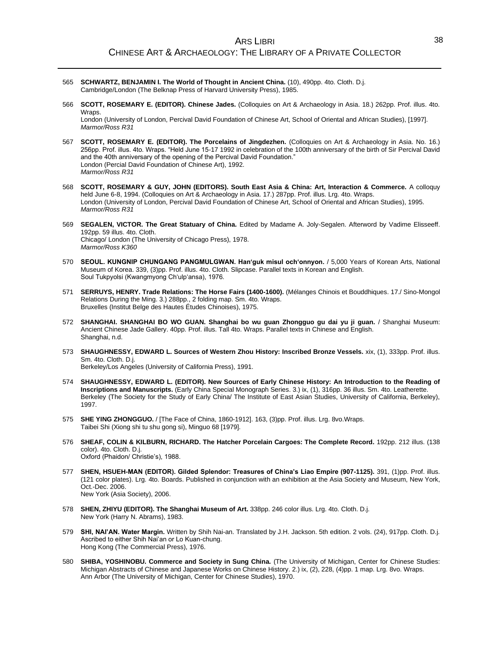- 565 **SCHWARTZ, BENJAMIN I. The World of Thought in Ancient China.** (10), 490pp. 4to. Cloth. D.j. Cambridge/London (The Belknap Press of Harvard University Press), 1985.
- 566 **SCOTT, ROSEMARY E. (EDITOR). Chinese Jades.** (Colloquies on Art & Archaeology in Asia. 18.) 262pp. Prof. illus. 4to. Wraps.

London (University of London, Percival David Foundation of Chinese Art, School of Oriental and African Studies), [1997]. *Marmor/Ross R31*

- 567 **SCOTT, ROSEMARY E. (EDITOR). The Porcelains of Jingdezhen.** (Colloquies on Art & Archaeology in Asia. No. 16.) 256pp. Prof. illus. 4to. Wraps. "Held June 15-17 1992 in celebration of the 100th anniversary of the birth of Sir Percival David and the 40th anniversary of the opening of the Percival David Foundation." London (Percial David Foundation of Chinese Art), 1992. *Marmor/Ross R31*
- 568 **SCOTT, ROSEMARY & GUY, JOHN (EDITORS). South East Asia & China: Art, Interaction & Commerce.** A colloquy held June 6-8, 1994. (Colloquies on Art & Archaeology in Asia. 17.) 287pp. Prof. illus. Lrg. 4to. Wraps. London (University of London, Percival David Foundation of Chinese Art, School of Oriental and African Studies), 1995. *Marmor/Ross R31*
- 569 **SEGALEN, VICTOR. The Great Statuary of China.** Edited by Madame A. Joly-Segalen. Afterword by Vadime Elisseeff. 192pp. 59 illus. 4to. Cloth. Chicago/ London (The University of Chicago Press), 1978. *Marmor/Ross K360*
- 570 **SEOUL. KUNGNIP CHUNGANG PANGMULGWAN. Han'guk misul och'onnyon.** / 5,000 Years of Korean Arts, National Museum of Korea. 339, (3)pp. Prof. illus. 4to. Cloth. Slipcase. Parallel texts in Korean and English. Soul Tukpyolsi (Kwangmyong Ch'ulp'ansa), 1976.
- 571 **SERRUYS, HENRY. Trade Relations: The Horse Fairs (1400-1600).** (Mélanges Chinois et Bouddhiques. 17./ Sino-Mongol Relations During the Ming. 3.) 288pp., 2 folding map. Sm. 4to. Wraps. Bruxelles (Institut Belge des Hautes Études Chinoises), 1975.
- 572 **SHANGHAI. SHANGHAI BO WO GUAN. Shanghai bo wu guan Zhongguo gu dai yu ji guan.** / Shanghai Museum: Ancient Chinese Jade Gallery. 40pp. Prof. illus. Tall 4to. Wraps. Parallel texts in Chinese and English. Shanghai, n.d.
- 573 **SHAUGHNESSY, EDWARD L. Sources of Western Zhou History: Inscribed Bronze Vessels.** xix, (1), 333pp. Prof. illus. Sm. 4to. Cloth. D.j.

Berkeley/Los Angeles (University of California Press), 1991.

- 574 **SHAUGHNESSY, EDWARD L. (EDITOR). New Sources of Early Chinese History: An Introduction to the Reading of Inscriptions and Manuscripts.** (Early China Special Monograph Series. 3.) ix, (1), 316pp. 36 illus. Sm. 4to. Leatherette. Berkeley (The Society for the Study of Early China/ The Institute of East Asian Studies, University of California, Berkeley), 1997.
- 575 **SHE YING ZHONGGUO.** / [The Face of China, 1860-1912]. 163, (3)pp. Prof. illus. Lrg. 8vo.Wraps. Taibei Shi (Xiong shi tu shu gong si), Minguo 68 [1979].
- 576 **SHEAF, COLIN & KILBURN, RICHARD. The Hatcher Porcelain Cargoes: The Complete Record.** 192pp. 212 illus. (138 color). 4to. Cloth. D.j. Oxford (Phaidon/ Christie's), 1988.
- 577 **SHEN, HSUEH-MAN (EDITOR). Gilded Splendor: Treasures of China's Liao Empire (907-1125).** 391, (1)pp. Prof. illus. (121 color plates). Lrg. 4to. Boards. Published in conjunction with an exhibition at the Asia Society and Museum, New York, Oct.-Dec. 2006. New York (Asia Society), 2006.
- 578 **SHEN, ZHIYU (EDITOR). The Shanghai Museum of Art.** 338pp. 246 color illus. Lrg. 4to. Cloth. D.j. New York (Harry N. Abrams), 1983.
- 579 **SHI, NAI'AN. Water Margin.** Written by Shih Nai-an. Translated by J.H. Jackson. 5th edition. 2 vols. (24), 917pp. Cloth. D.j. Ascribed to either Shih Nai'an or Lo Kuan-chung. Hong Kong (The Commercial Press), 1976.
- 580 **SHIBA, YOSHINOBU. Commerce and Society in Sung China.** (The University of Michigan, Center for Chinese Studies: Michigan Abstracts of Chinese and Japanese Works on Chinese History. 2.) ix, (2), 228, (4)pp. 1 map. Lrg. 8vo. Wraps. Ann Arbor (The University of Michigan, Center for Chinese Studies), 1970.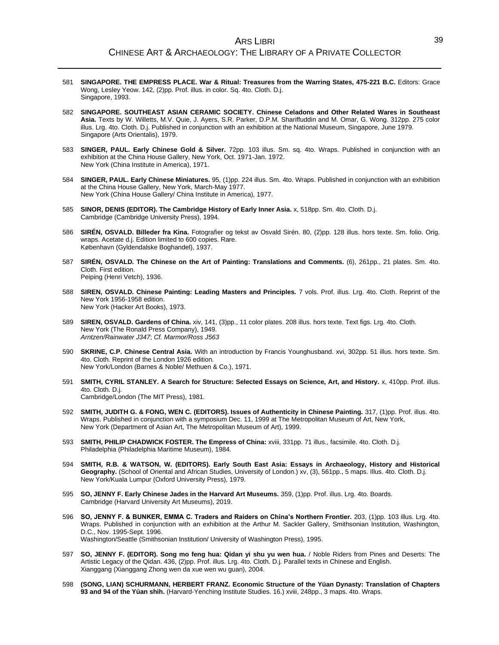- 581 **SINGAPORE. THE EMPRESS PLACE. War & Ritual: Treasures from the Warring States, 475-221 B.C.** Editors: Grace Wong, Lesley Yeow. 142, (2)pp. Prof. illus. in color. Sq. 4to. Cloth. D.j. Singapore, 1993.
- 582 **SINGAPORE. SOUTHEAST ASIAN CERAMIC SOCIETY. Chinese Celadons and Other Related Wares in Southeast Asia.** Texts by W. Willetts, M.V. Quie, J. Ayers, S.R. Parker, D.P.M. Shariffuddin and M. Omar, G. Wong. 312pp. 275 color illus. Lrg. 4to. Cloth. D.j. Published in conjunction with an exhibition at the National Museum, Singapore, June 1979. Singapore (Arts Orientalis), 1979.
- 583 **SINGER, PAUL. Early Chinese Gold & Silver.** 72pp. 103 illus. Sm. sq. 4to. Wraps. Published in conjunction with an exhibition at the China House Gallery, New York, Oct. 1971-Jan. 1972. New York (China Institute in America), 1971.
- 584 **SINGER, PAUL. Early Chinese Miniatures.** 95, (1)pp. 224 illus. Sm. 4to. Wraps. Published in conjunction with an exhibition at the China House Gallery, New York, March-May 1977. New York (China House Gallery/ China Institute in America), 1977.
- 585 **SINOR, DENIS (EDITOR). The Cambridge History of Early Inner Asia.** x, 518pp. Sm. 4to. Cloth. D.j. Cambridge (Cambridge University Press), 1994.
- 586 **SIRÉN, OSVALD. Billeder fra Kina.** Fotografier og tekst av Osvald Sirén. 80, (2)pp. 128 illus. hors texte. Sm. folio. Orig. wraps. Acetate d.j. Edition limited to 600 copies. Rare. København (Gyldendalske Boghandel), 1937.
- 587 **SIRÉN, OSVALD. The Chinese on the Art of Painting: Translations and Comments.** (6), 261pp., 21 plates. Sm. 4to. Cloth. First edition. Peiping (Henri Vetch), 1936.
- 588 **SIREN, OSVALD. Chinese Painting: Leading Masters and Principles.** 7 vols. Prof. illus. Lrg. 4to. Cloth. Reprint of the New York 1956-1958 edition. New York (Hacker Art Books), 1973.
- 589 **SIREN, OSVALD. Gardens of China.** xiv, 141, (3)pp., 11 color plates. 208 illus. hors texte. Text figs. Lrg. 4to. Cloth. New York (The Ronald Press Company), 1949. *Arntzen/Rainwater J347*; *Cf. Marmor/Ross J563*
- 590 **SKRINE, C.P. Chinese Central Asia.** With an introduction by Francis Younghusband. xvi, 302pp. 51 illus. hors texte. Sm. 4to. Cloth. Reprint of the London 1926 edition. New York/London (Barnes & Noble/ Methuen & Co.), 1971.
- 591 **SMITH, CYRIL STANLEY. A Search for Structure: Selected Essays on Science, Art, and History.** x, 410pp. Prof. illus. 4to. Cloth. D.j. Cambridge/London (The MIT Press), 1981.
- 592 **SMITH, JUDITH G. & FONG, WEN C. (EDITORS). Issues of Authenticity in Chinese Painting.** 317, (1)pp. Prof. illus. 4to. Wraps. Published in conjunction with a symposium Dec. 11, 1999 at The Metropolitan Museum of Art, New York, New York (Department of Asian Art, The Metropolitan Museum of Art), 1999.
- 593 **SMITH, PHILIP CHADWICK FOSTER. The Empress of China:** xviii, 331pp. 71 illus., facsimile. 4to. Cloth. D.j. Philadelphia (Philadelphia Maritime Museum), 1984.
- 594 **SMITH, R.B. & WATSON, W. (EDITORS). Early South East Asia: Essays in Archaeology, History and Historical Geography.** (School of Oriental and African Studies, University of London.) xv, (3), 561pp., 5 maps. Illus. 4to. Cloth. D.j. New York/Kuala Lumpur (Oxford University Press), 1979.
- 595 **SO, JENNY F. Early Chinese Jades in the Harvard Art Museums.** 359, (1)pp. Prof. illus. Lrg. 4to. Boards. Cambridge (Harvard University Art Museums), 2019.
- 596 **SO, JENNY F. & BUNKER, EMMA C. Traders and Raiders on China's Northern Frontier.** 203, (1)pp. 103 illus. Lrg. 4to. Wraps. Published in conjunction with an exhibition at the Arthur M. Sackler Gallery, Smithsonian Institution, Washington, D.C., Nov. 1995-Sept. 1996. Washington/Seattle (Smithsonian Institution/ University of Washington Press), 1995.
- 597 **SO, JENNY F. (EDITOR). Song mo feng hua: Qidan yi shu yu wen hua.** / Noble Riders from Pines and Deserts: The Artistic Legacy of the Qidan. 436, (2)pp. Prof. illus. Lrg. 4to. Cloth. D.j. Parallel texts in Chinese and English. Xianggang (Xianggang Zhong wen da xue wen wu guan), 2004.
- 598 **(SONG, LIAN) SCHURMANN, HERBERT FRANZ. Economic Structure of the Yüan Dynasty: Translation of Chapters 93 and 94 of the Yüan shih.** (Harvard-Yenching Institute Studies. 16.) xviii, 248pp., 3 maps. 4to. Wraps.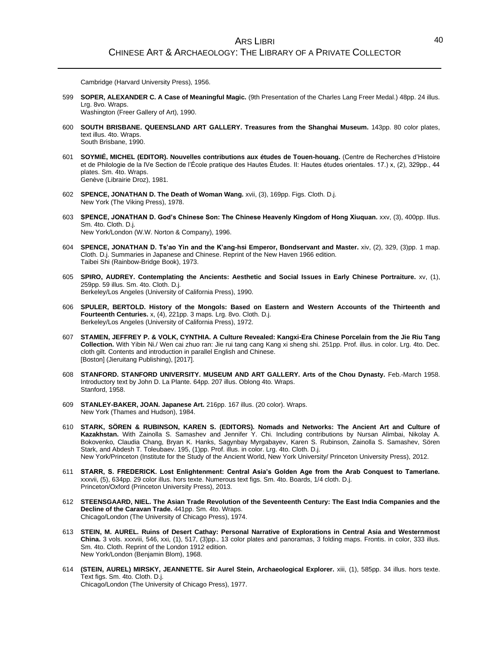Cambridge (Harvard University Press), 1956.

599 **SOPER, ALEXANDER C. A Case of Meaningful Magic.** (9th Presentation of the Charles Lang Freer Medal.) 48pp. 24 illus. Lrg. 8vo. Wraps.

Washington (Freer Gallery of Art), 1990.

- 600 **SOUTH BRISBANE. QUEENSLAND ART GALLERY. Treasures from the Shanghai Museum.** 143pp. 80 color plates, text illus. 4to. Wraps. South Brisbane, 1990.
- 601 **SOYMIÉ, MICHEL (EDITOR). Nouvelles contributions aux études de Touen-houang.** (Centre de Recherches d'Histoire et de Philologie de la IVe Section de l'École pratique des Hautes Études. II: Hautes études orientales. 17.) x, (2), 329pp., 44 plates. Sm. 4to. Wraps. Genève (Librairie Droz), 1981.
- 602 **SPENCE, JONATHAN D. The Death of Woman Wang.** xvii, (3), 169pp. Figs. Cloth. D.j. New York (The Viking Press), 1978.
- 603 **SPENCE, JONATHAN D. God's Chinese Son: The Chinese Heavenly Kingdom of Hong Xiuquan.** xxv, (3), 400pp. Illus. Sm. 4to. Cloth. D.j. New York/London (W.W. Norton & Company), 1996.
- 604 **SPENCE, JONATHAN D. Ts'ao Yin and the K'ang-hsi Emperor, Bondservant and Master.** xiv, (2), 329, (3)pp. 1 map. Cloth. D.j. Summaries in Japanese and Chinese. Reprint of the New Haven 1966 edition. Taibei Shi (Rainbow-Bridge Book), 1973.
- 605 **SPIRO, AUDREY. Contemplating the Ancients: Aesthetic and Social Issues in Early Chinese Portraiture.** xv, (1), 259pp. 59 illus. Sm. 4to. Cloth. D.j. Berkeley/Los Angeles (University of California Press), 1990.
- 606 **SPULER, BERTOLD. History of the Mongols: Based on Eastern and Western Accounts of the Thirteenth and Fourteenth Centuries.** x, (4), 221pp. 3 maps. Lrg. 8vo. Cloth. D.j. Berkeley/Los Angeles (University of California Press), 1972.
- 607 **STAMEN, JEFFREY P. & VOLK, CYNTHIA. A Culture Revealed: Kangxi-Era Chinese Porcelain from the Jie Riu Tang Collection.** With Yibin Ni./ Wen cai zhuo ran: Jie rui tang cang Kang xi sheng shi. 251pp. Prof. illus. in color. Lrg. 4to. Dec. cloth gilt. Contents and introduction in parallel English and Chinese. [Boston] (Jieruitang Publishing), [2017].
- 608 **STANFORD. STANFORD UNIVERSITY. MUSEUM AND ART GALLERY. Arts of the Chou Dynasty.** Feb.-March 1958. Introductory text by John D. La Plante. 64pp. 207 illus. Oblong 4to. Wraps. Stanford, 1958.
- 609 **STANLEY-BAKER, JOAN. Japanese Art.** 216pp. 167 illus. (20 color). Wraps. New York (Thames and Hudson), 1984.
- 610 **STARK, SÖREN & RUBINSON, KAREN S. (EDITORS). Nomads and Networks: The Ancient Art and Culture of Kazakhstan.** With Zainolla S. Samashev and Jennifer Y. Chi. Including contributions by Nursan Alimbai, Nikolay A. Bokovenko, Claudia Chang, Bryan K. Hanks, Sagynbay Myrgabayev, Karen S. Rubinson, Zainolla S. Samashev, Sören Stark, and Abdesh T. Toleubaev. 195, (1)pp. Prof. illus. in color. Lrg. 4to. Cloth. D.j. New York/Princeton (Institute for the Study of the Ancient World, New York University/ Princeton University Press), 2012.
- 611 **STARR, S. FREDERICK. Lost Enlightenment: Central Asia's Golden Age from the Arab Conquest to Tamerlane.** xxxvii, (5), 634pp. 29 color illus. hors texte. Numerous text figs. Sm. 4to. Boards, 1/4 cloth. D.j. Princeton/Oxford (Princeton University Press), 2013.
- 612 **STEENSGAARD, NIEL. The Asian Trade Revolution of the Seventeenth Century: The East India Companies and the Decline of the Caravan Trade.** 441pp. Sm. 4to. Wraps. Chicago/London (The University of Chicago Press), 1974.
- 613 **STEIN, M. AUREL. Ruins of Desert Cathay: Personal Narrative of Explorations in Central Asia and Westernmost China.** 3 vols. xxxviii, 546, xxi, (1), 517, (3)pp., 13 color plates and panoramas, 3 folding maps. Frontis. in color, 333 illus. Sm. 4to. Cloth. Reprint of the London 1912 edition. New York/London (Benjamin Blom), 1968.
- 614 **(STEIN, AUREL) MIRSKY, JEANNETTE. Sir Aurel Stein, Archaeological Explorer.** xiii, (1), 585pp. 34 illus. hors texte. Text figs. Sm. 4to. Cloth. D.j. Chicago/London (The University of Chicago Press), 1977.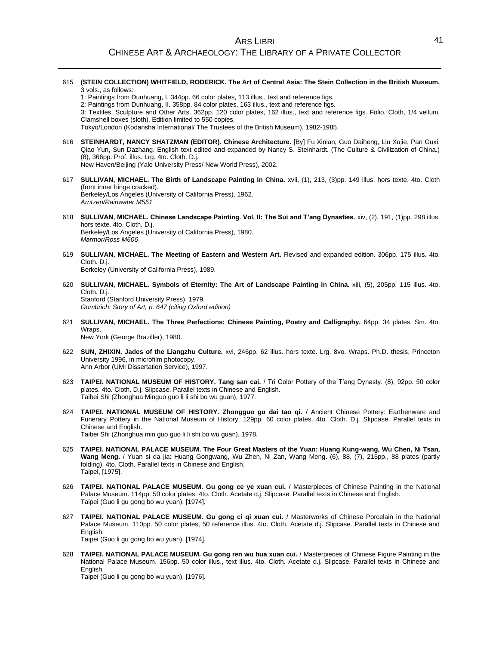- 615 **(STEIN COLLECTION) WHITFIELD, RODERICK. The Art of Central Asia: The Stein Collection in the British Museum.** 3 vols., as follows:
	- 1: Paintings from Dunhuang, I. 344pp. 66 color plates, 113 illus., text and reference figs.
	- 2: Paintings from Dunhuang, II. 358pp. 84 color plates, 163 illus., text and reference figs.

3: Textiles, Sculpture and Other Arts. 362pp. 120 color plates, 162 illus., text and reference figs. Folio. Cloth, 1/4 vellum. Clamshell boxes (sloth). Edition limited to 550 copies.

Tokyo/London (Kodansha International/ The Trustees of the British Museum), 1982-1985.

- 616 **STEINHARDT, NANCY SHATZMAN (EDITOR). Chinese Architecture.** [By] Fu Xinian, Guo Daiheng, Liu Xujie, Pan Guxi, Qiao Yun, Sun Dazhang. English text edited and expanded by Nancy S. Steinhardt. (The Culture & Civilization of China.) (8), 366pp. Prof. illus. Lrg. 4to. Cloth. D.j. New Haven/Beijing (Yale University Press/ New World Press), 2002.
- 617 **SULLIVAN, MICHAEL. The Birth of Landscape Painting in China.** xvii, (1), 213, (3)pp. 149 illus. hors texte. 4to. Cloth (front inner hinge cracked). Berkeley/Los Angeles (University of California Press), 1962. *Arntzen/Rainwater M551*
- 618 **SULLIVAN, MICHAEL. Chinese Landscape Painting. Vol. II: The Sui and T'ang Dynasties.** xiv, (2), 191, (1)pp. 298 illus. hors texte. 4to. Cloth. D.j. Berkeley/Los Angeles (University of California Press), 1980. *Marmor/Ross M606*
- 619 **SULLIVAN, MICHAEL. The Meeting of Eastern and Western Art.** Revised and expanded edition. 306pp. 175 illus. 4to. Cloth. D.j.

Berkeley (University of California Press), 1989.

620 **SULLIVAN, MICHAEL. Symbols of Eternity: The Art of Landscape Painting in China.** xiii, (5), 205pp. 115 illus. 4to. Cloth. D.j. Stanford (Stanford University Press), 1979.

*Gombrich: Story of Art, p. 647 (citing Oxford edition)*

- 621 **SULLIVAN, MICHAEL. The Three Perfections: Chinese Painting, Poetry and Calligraphy.** 64pp. 34 plates. Sm. 4to. Wraps. New York (George Braziller), 1980.
- 622 **SUN, ZHIXIN. Jades of the Liangzhu Culture.** xvi, 246pp. 62 illus. hors texte. Lrg. 8vo. Wraps. Ph.D. thesis, Princeton University 1996, in microfilm photocopy. Ann Arbor (UMI Dissertation Service), 1997.
- 623 **TAIPEI. NATIONAL MUSEUM OF HISTORY. Tang san cai.** / Tri Color Pottery of the T'ang Dynasty. (8), 92pp. 50 color plates. 4to. Cloth. D.j. Slipcase. Parallel texts in Chinese and English. Taibei Shi (Zhonghua Minguo guo li li shi bo wu guan), 1977.
- 624 **TAIPEI. NATIONAL MUSEUM OF HISTORY. Zhongguo gu dai tao qi.** / Ancient Chinese Pottery: Earthenware and Funerary Pottery in the National Museum of History. 129pp. 60 color plates. 4to. Cloth. D.j. Slipcase. Parallel texts in Chinese and English.

Taibei Shi (Zhonghua min guo guo li li shi bo wu guan), 1978.

- 625 **TAIPEI. NATIONAL PALACE MUSEUM. The Four Great Masters of the Yuan: Huang Kung-wang, Wu Chen, Ni Tsan, Wang Meng.** / Yuan si da jia: Huang Gongwang, Wu Zhen, Ni Zan, Wang Meng. (6), 88, (7), 215pp., 88 plates (partly folding). 4to. Cloth. Parallel texts in Chinese and English. Taipei, [1975].
- 626 **TAIPEI. NATIONAL PALACE MUSEUM. Gu gong ce ye xuan cui.** / Masterpieces of Chinese Painting in the National Palace Museum. 114pp. 50 color plates. 4to. Cloth. Acetate d.j. Slipcase. Parallel texts in Chinese and English. Taipei (Guo li gu gong bo wu yuan), [1974].
- 627 **TAIPEI. NATIONAL PALACE MUSEUM. Gu gong ci qi xuan cui.** / Masterworks of Chinese Porcelain in the National Palace Museum. 110pp. 50 color plates, 50 reference illus. 4to. Cloth. Acetate d.j. Slipcase. Parallel texts in Chinese and English. Taipei (Guo li gu gong bo wu yuan), [1974].
- 628 **TAIPEI. NATIONAL PALACE MUSEUM. Gu gong ren wu hua xuan cui.** / Masterpieces of Chinese Figure Painting in the National Palace Museum. 156pp. 50 color illus., text illus. 4to. Cloth. Acetate d.j. Slipcase. Parallel texts in Chinese and English.

Taipei (Guo li gu gong bo wu yuan), [1976].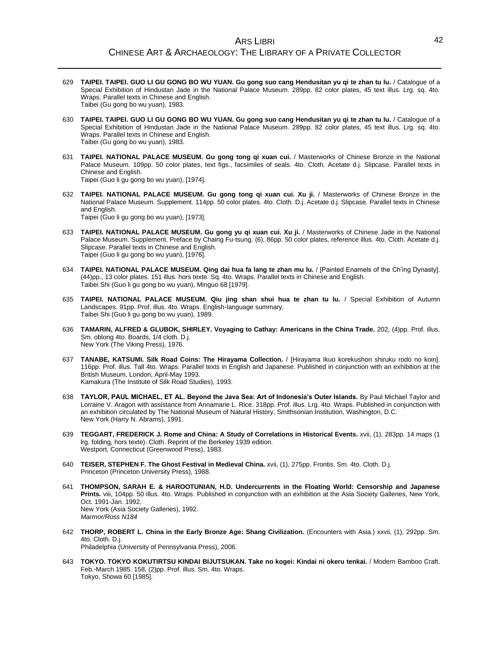- 629 **TAIPEI. TAIPEI. GUO LI GU GONG BO WU YUAN. Gu gong suo cang Hendusitan yu qi te zhan tu lu.** / Catalogue of a Special Exhibition of Hindustan Jade in the National Palace Museum. 289pp. 82 color plates, 45 text illus. Lrg. sq. 4to. Wraps. Parallel texts in Chinese and English. Taibei (Gu gong bo wu yuan), 1983.
- 630 **TAIPEI. TAIPEI. GUO LI GU GONG BO WU YUAN. Gu gong suo cang Hendusitan yu qi te zhan tu lu.** / Catalogue of a Special Exhibition of Hindustan Jade in the National Palace Museum. 289pp. 82 color plates, 45 text illus. Lrg. sq. 4to. Wraps. Parallel texts in Chinese and English. Taibei (Gu gong bo wu yuan), 1983.
- 631 **TAIPEI. NATIONAL PALACE MUSEUM. Gu gong tong qi xuan cui.** / Masterworks of Chinese Bronze in the National Palace Museum. 109pp. 50 color plates, text figs., facsimiles of seals. 4to. Cloth. Acetate d.j. Slipcase. Parallel texts in Chinese and English. Taipei (Guo li gu gong bo wu yuan), [1974].
- 632 **TAIPEI. NATIONAL PALACE MUSEUM. Gu gong tong qi xuan cui. Xu ji.** / Masterworks of Chinese Bronze in the National Palace Museum. Supplement. 114pp. 50 color plates. 4to. Cloth. D.j. Acetate d.j. Slipcase. Parallel texts in Chinese and English.

Taipei (Guo li gu gong bo wu yuan), [1973].

- 633 **TAIPEI. NATIONAL PALACE MUSEUM. Gu gong yu qi xuan cui. Xu ji.** / Masterworks of Chinese Jade in the National Palace Museum. Supplement. Preface by Chaing Fu-tsung. (6), 86pp. 50 color plates, reference illus. 4to. Cloth. Acetate d.j. Slipcase. Parallel texts in Chinese and English. Taipei (Guo li gu gong bo wu yuan), [1976].
- 634 **TAIPEI. NATIONAL PALACE MUSEUM. Qing dai hua fa lang te zhan mu lu.** / [Painted Enamels of the Ch'ing Dynasty]. (44)pp., 13 color plates. 151 illus. hors texte. Sq. 4to. Wraps. Parallel texts in Chinese and English. Taibei Shi (Guo li gu gong bo wu yuan), Minguo 68 [1979].
- 635 **TAIPEI. NATIONAL PALACE MUSEUM. Qiu jing shan shui hua te zhan tu lu.** / Special Exhibition of Autumn Landscapes. 91pp. Prof. illus. 4to. Wraps. English-language summary. Taibei Shi (Guo li gu gong bo wu yuan), 1989.
- 636 **TAMARIN, ALFRED & GLUBOK, SHIRLEY. Voyaging to Cathay: Americans in the China Trade.** 202, (4)pp. Prof. illus. Sm. oblong 4to. Boards, 1/4 cloth. D.j. New York (The Viking Press), 1976.
- 637 **TANABE, KATSUMI. Silk Road Coins: The Hirayama Collection.** / [Hirayama Ikuo korekushon shiruku rodo no koin]. 116pp. Prof. illus. Tall 4to. Wraps. Parallel texts in English and Japanese. Published in conjunction with an exhibition at the British Museum, London, April-May 1993. Kamakura (The Institute of Silk Road Studies), 1993.
- 638 **TAYLOR, PAUL MICHAEL, ET AL. Beyond the Java Sea: Art of Indonesia's Outer Islands.** By Paul Michael Taylor and Lorraine V. Aragon with assistance from Annamarie L. Rice. 318pp. Prof. illus. Lrg. 4to. Wraps. Published in conjunction with an exhibition circulated by The National Museum of Natural History, Smithsonian Institution, Washington, D.C. New York (Harry N. Abrams), 1991.
- 639 **TEGGART, FREDERICK J. Rome and China: A Study of Correlations in Historical Events.** xvii, (1), 283pp. 14 maps (1 lrg. folding, hors texte). Cloth. Reprint of the Berkeley 1939 edition. Westport, Connecticut (Greenwood Press), 1983.
- 640 **TEISER, STEPHEN F. The Ghost Festival in Medieval China.** xvii, (1), 275pp. Frontis. Sm. 4to. Cloth. D.j. Princeton (Princeton University Press), 1988.
- 641 **THOMPSON, SARAH E. & HAROOTUNIAN, H.D. Undercurrents in the Floating World: Censorship and Japanese Prints.** viii, 104pp. 50 illus. 4to. Wraps. Published in conjunction with an exhibition at the Asia Society Galleries, New York, Oct. 1991-Jan. 1992. New York (Asia Society Galleries), 1992. *Marmor/Ross N184*
- 642 **THORP, ROBERT L. China in the Early Bronze Age: Shang Civilization.** (Encounters with Asia.) xxvii, (1), 292pp. Sm. 4to. Cloth. D.j. Philadelphia (University of Pennsylvania Press), 2006.
- 643 **TOKYO. TOKYO KOKUTIRTSU KINDAI BIJUTSUKAN. Take no kogei: Kindai ni okeru tenkai.** / Modern Bamboo Craft. Feb.-March 1985. 158, (2)pp. Prof. illus. Sm. 4to. Wraps. Tokyo, Showa 60 [1985].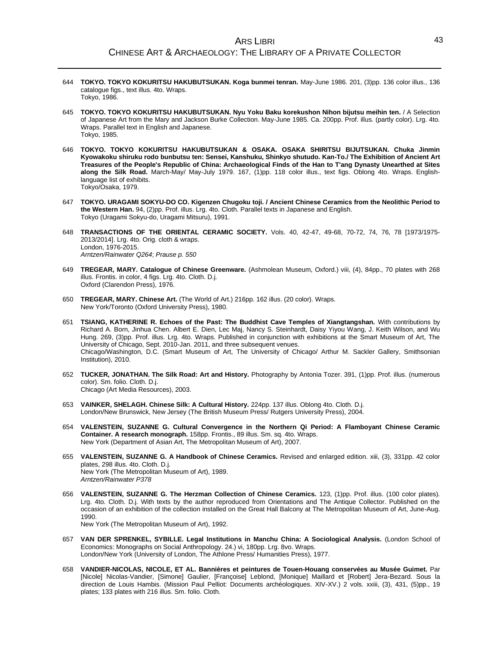- 644 **TOKYO. TOKYO KOKURITSU HAKUBUTSUKAN. Koga bunmei tenran.** May-June 1986. 201, (3)pp. 136 color illus., 136 catalogue figs., text illus. 4to. Wraps. Tokyo, 1986.
- 645 **TOKYO. TOKYO KOKURITSU HAKUBUTSUKAN. Nyu Yoku Baku korekushon Nihon bijutsu meihin ten.** / A Selection of Japanese Art from the Mary and Jackson Burke Collection. May-June 1985. Ca. 200pp. Prof. illus. (partly color). Lrg. 4to. Wraps. Parallel text in English and Japanese. Tokyo, 1985.
- 646 **TOKYO. TOKYO KOKURITSU HAKUBUTSUKAN & OSAKA. OSAKA SHIRITSU BIJUTSUKAN. Chuka Jinmin Kyowakoku shiruku rodo bunbutsu ten: Sensei, Kanshuku, Shinkyo shutudo. Kan-To./ The Exhibition of Ancient Art Treasures of the People's Republic of China: Archaeological Finds of the Han to T'ang Dynasty Unearthed at Sites along the Silk Road.** March-May/ May-July 1979. 167, (1)pp. 118 color illus., text figs. Oblong 4to. Wraps. Englishlanguage list of exhibits. Tokyo/Osaka, 1979.
- 647 **TOKYO. URAGAMI SOKYU-DO CO. Kigenzen Chugoku toji. / Ancient Chinese Ceramics from the Neolithic Period to the Western Han.** 94, (2)pp. Prof. illus. Lrg. 4to. Cloth. Parallel texts in Japanese and English. Tokyo (Uragami Sokyu-do, Uragami Mitsuru), 1991.
- 648 **TRANSACTIONS OF THE ORIENTAL CERAMIC SOCIETY.** Vols. 40, 42-47, 49-68, 70-72, 74, 76, 78 [1973/1975- 2013/2014]. Lrg. 4to. Orig. cloth & wraps. London, 1976-2015. *Arntzen/Rainwater Q264*; *Prause p. 550*
- 649 **TREGEAR, MARY. Catalogue of Chinese Greenware.** (Ashmolean Museum, Oxford.) viii, (4), 84pp., 70 plates with 268 illus. Frontis. in color, 4 figs. Lrg. 4to. Cloth. D.j. Oxford (Clarendon Press), 1976.
- 650 **TREGEAR, MARY. Chinese Art.** (The World of Art.) 216pp. 162 illus. (20 color). Wraps. New York/Toronto (Oxford University Press), 1980.
- 651 **TSIANG, KATHERINE R. Echoes of the Past: The Buddhist Cave Temples of Xiangtangshan.** With contributions by Richard A. Born, Jinhua Chen. Albert E. Dien, Lec Maj, Nancy S. Steinhardt, Daisy Yiyou Wang, J. Keith Wilson, and Wu Hung. 269, (3)pp. Prof. illus. Lrg. 4to. Wraps. Published in conjunction with exhibitions at the Smart Museum of Art, The University of Chicago, Sept. 2010-Jan. 2011, and three subsequent venues. Chicago/Washington, D.C. (Smart Museum of Art, The University of Chicago/ Arthur M. Sackler Gallery, Smithsonian Institution), 2010.
- 652 **TUCKER, JONATHAN. The Silk Road: Art and History.** Photography by Antonia Tozer. 391, (1)pp. Prof. illus. (numerous color). Sm. folio. Cloth. D.j. Chicago (Art Media Resources), 2003.
- 653 **VAINKER, SHELAGH. Chinese Silk: A Cultural History.** 224pp. 137 illus. Oblong 4to. Cloth. D.j. London/New Brunswick, New Jersey (The British Museum Press/ Rutgers University Press), 2004.
- 654 **VALENSTEIN, SUZANNE G. Cultural Convergence in the Northern Qi Period: A Flamboyant Chinese Ceramic Container. A research monograph.** 158pp. Frontis., 89 illus. Sm. sq. 4to. Wraps. New York (Department of Asian Art, The Metropolitan Museum of Art), 2007.
- 655 **VALENSTEIN, SUZANNE G. A Handbook of Chinese Ceramics.** Revised and enlarged edition. xiii, (3), 331pp. 42 color plates, 298 illus. 4to. Cloth. D.j. New York (The Metropolitan Museum of Art), 1989. *Arntzen/Rainwater P378*
- 656 **VALENSTEIN, SUZANNE G. The Herzman Collection of Chinese Ceramics.** 123, (1)pp. Prof. illus. (100 color plates). Lrg. 4to. Cloth. D.j. With texts by the author reproduced from Orientations and The Antique Collector. Published on the occasion of an exhibition of the collection installed on the Great Hall Balcony at The Metropolitan Museum of Art, June-Aug. 1990.

New York (The Metropolitan Museum of Art), 1992.

- 657 **VAN DER SPRENKEL, SYBILLE. Legal Institutions in Manchu China: A Sociological Analysis.** (London School of Economics: Monographs on Social Anthropology. 24.) vi, 180pp. Lrg. 8vo. Wraps. London/New York (University of London, The Athlone Press/ Humanities Press), 1977.
- 658 **VANDIER-NICOLAS, NICOLE, ET AL. Bannières et peintures de Touen-Houang conservées au Musée Guimet.** Par [Nicole] Nicolas-Vandier, [Simone] Gaulier, [Françoise] Leblond, [Monique] Maillard et [Robert] Jera-Bezard. Sous la direction de Louis Hambis. (Mission Paul Pelliot: Documents archéologiques. XIV-XV.) 2 vols. xxiii, (3), 431, (5)pp., 19 plates; 133 plates with 216 illus. Sm. folio. Cloth.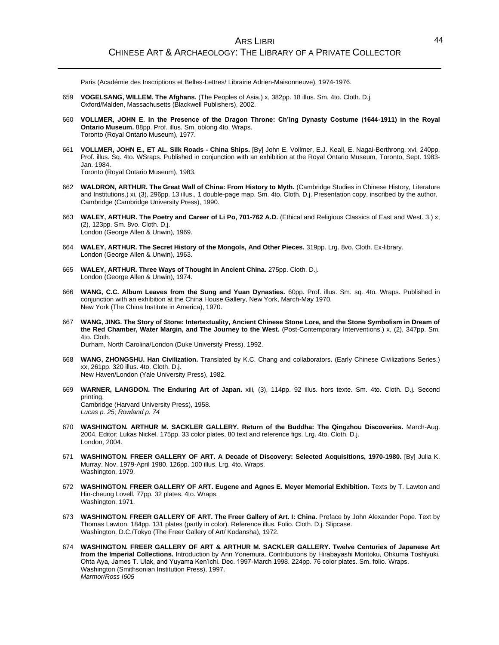Paris (Académie des Inscriptions et Belles-Lettres/ Librairie Adrien-Maisonneuve), 1974-1976.

- 659 **VOGELSANG, WILLEM. The Afghans.** (The Peoples of Asia.) x, 382pp. 18 illus. Sm. 4to. Cloth. D.j. Oxford/Malden, Massachusetts (Blackwell Publishers), 2002.
- 660 **VOLLMER, JOHN E. In the Presence of the Dragon Throne: Ch'ing Dynasty Costume (1644-1911) in the Royal Ontario Museum.** 88pp. Prof. illus. Sm. oblong 4to. Wraps. Toronto (Royal Ontario Museum), 1977.
- 661 **VOLLMER, JOHN E., ET AL. Silk Roads - China Ships.** [By] John E. Vollmer, E.J. Keall, E. Nagai-Berthrong. xvi, 240pp. Prof. illus. Sq. 4to. WSraps. Published in conjunction with an exhibition at the Royal Ontario Museum, Toronto, Sept. 1983- Jan. 1984. Toronto (Royal Ontario Museum), 1983.

662 **WALDRON, ARTHUR. The Great Wall of China: From History to Myth.** (Cambridge Studies in Chinese History, Literature and Institutions.) xi, (3), 296pp. 13 illus., 1 double-page map. Sm. 4to. Cloth. D.j. Presentation copy, inscribed by the author. Cambridge (Cambridge University Press), 1990.

- 663 **WALEY, ARTHUR. The Poetry and Career of Li Po, 701-762 A.D.** (Ethical and Religious Classics of East and West. 3.) x, (2), 123pp. Sm. 8vo. Cloth. D.j. London (George Allen & Unwin), 1969.
- 664 **WALEY, ARTHUR. The Secret History of the Mongols, And Other Pieces.** 319pp. Lrg. 8vo. Cloth. Ex-library. London (George Allen & Unwin), 1963.
- 665 **WALEY, ARTHUR. Three Ways of Thought in Ancient China.** 275pp. Cloth. D.j. London (George Allen & Unwin), 1974.
- 666 **WANG, C.C. Album Leaves from the Sung and Yuan Dynasties.** 60pp. Prof. illus. Sm. sq. 4to. Wraps. Published in conjunction with an exhibition at the China House Gallery, New York, March-May 1970. New York (The China Institute in America), 1970.
- 667 **WANG, JING. The Story of Stone: Intertextuality, Ancient Chinese Stone Lore, and the Stone Symbolism in Dream of the Red Chamber, Water Margin, and The Journey to the West.** (Post-Contemporary Interventions.) x, (2), 347pp. Sm. 4to. Cloth. Durham, North Carolina/London (Duke University Press), 1992.
- 668 **WANG, ZHONGSHU. Han Civilization.** Translated by K.C. Chang and collaborators. (Early Chinese Civilizations Series.) xx, 261pp. 320 illus. 4to. Cloth. D.j. New Haven/London (Yale University Press), 1982.
- 669 **WARNER, LANGDON. The Enduring Art of Japan.** xiii, (3), 114pp. 92 illus. hors texte. Sm. 4to. Cloth. D.j. Second printing. Cambridge (Harvard University Press), 1958. *Lucas p. 25*; *Rowland p. 74*
- 670 **WASHINGTON. ARTHUR M. SACKLER GALLERY. Return of the Buddha: The Qingzhou Discoveries.** March-Aug. 2004. Editor: Lukas Nickel. 175pp. 33 color plates, 80 text and reference figs. Lrg. 4to. Cloth. D.j. London, 2004.
- 671 **WASHINGTON. FREER GALLERY OF ART. A Decade of Discovery: Selected Acquisitions, 1970-1980.** [By] Julia K. Murray. Nov. 1979-April 1980. 126pp. 100 illus. Lrg. 4to. Wraps. Washington, 1979.
- 672 **WASHINGTON. FREER GALLERY OF ART. Eugene and Agnes E. Meyer Memorial Exhibition.** Texts by T. Lawton and Hin-cheung Lovell. 77pp. 32 plates. 4to. Wraps. Washington, 1971.
- 673 **WASHINGTON. FREER GALLERY OF ART. The Freer Gallery of Art. I: China.** Preface by John Alexander Pope. Text by Thomas Lawton. 184pp. 131 plates (partly in color). Reference illus. Folio. Cloth. D.j. Slipcase. Washington, D.C./Tokyo (The Freer Gallery of Art/ Kodansha), 1972.
- 674 **WASHINGTON. FREER GALLERY OF ART & ARTHUR M. SACKLER GALLERY. Twelve Centuries of Japanese Art from the Imperial Collections.** Introduction by Ann Yonemura. Contributions by Hirabayashi Moritoku, Ohkuma Toshiyuki, Ohta Aya, James T. Ulak, and Yuyama Ken'ichi. Dec. 1997-March 1998. 224pp. 76 color plates. Sm. folio. Wraps. Washington (Smithsonian Institution Press), 1997. *Marmor/Ross I605*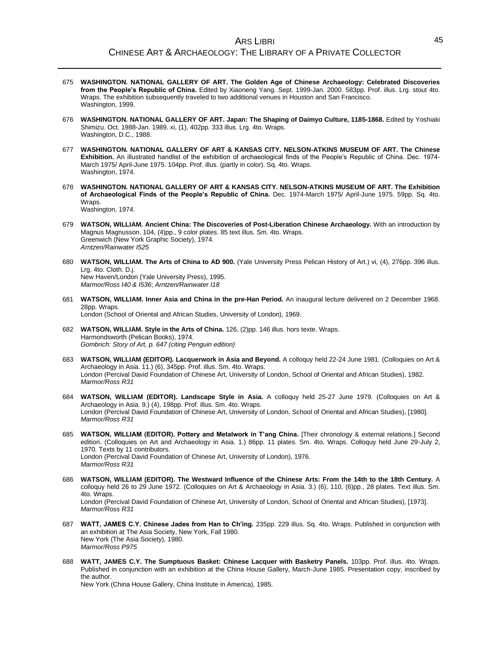- 675 **WASHINGTON. NATIONAL GALLERY OF ART. The Golden Age of Chinese Archaeology: Celebrated Discoveries from the People's Republic of China.** Edited by Xiaoneng Yang. Sept. 1999-Jan. 2000. 583pp. Prof. illus. Lrg. stout 4to. Wraps. The exhibition subsequently traveled to two additional venues in Houston and San Francisco. Washington, 1999.
- 676 **WASHINGTON. NATIONAL GALLERY OF ART. Japan: The Shaping of Daimyo Culture, 1185-1868.** Edited by Yoshiaki Shimizu. Oct. 1988-Jan. 1989. xi, (1), 402pp. 333 illus. Lrg. 4to. Wraps. Washington, D.C., 1988.
- 677 **WASHINGTON. NATIONAL GALLERY OF ART & KANSAS CITY. NELSON-ATKINS MUSEUM OF ART. The Chinese Exhibition.** An illustrated handlist of the exhibition of archaeological finds of the People's Republic of China. Dec. 1974- March 1975/ April-June 1975. 104pp. Prof. illus. (partly in color). Sq. 4to. Wraps. Washington, 1974.
- 678 **WASHINGTON. NATIONAL GALLERY OF ART & KANSAS CITY. NELSON-ATKINS MUSEUM OF ART. The Exhibition of Archaeological Finds of the People's Republic of China.** Dec. 1974-March 1975/ April-June 1975. 59pp. Sq. 4to. Wraps. Washington, 1974.
- 679 **WATSON, WILLIAM. Ancient China: The Discoveries of Post-Liberation Chinese Archaeology.** With an introduction by Magnus Magnusson. 104, (4)pp., 9 color plates. 85 text illus. Sm. 4to. Wraps. Greenwich (New York Graphic Society), 1974. *Arntzen/Rainwater I525*
- 680 **WATSON, WILLIAM. The Arts of China to AD 900.** (Yale University Press Pelican History of Art.) vi, (4), 276pp. 396 illus. Lrg. 4to. Cloth. D.j. New Haven/London (Yale University Press), 1995. *Marmor/Ross I40 & I536*; *Arntzen/Rainwater I18*
- 681 **WATSON, WILLIAM. Inner Asia and China in the pre-Han Period.** An inaugural lecture delivered on 2 December 1968. 28pp. Wraps.

London (School of Oriental and African Studies, University of London), 1969.

- 682 **WATSON, WILLIAM. Style in the Arts of China.** 126, (2)pp. 146 illus. hors texte. Wraps. Harmondsworth (Pelican Books), 1974. *Gombrich: Story of Art, p. 647 (citing Penguin edition)*
- 683 **WATSON, WILLIAM (EDITOR). Lacquerwork in Asia and Beyond.** A colloquy held 22-24 June 1981. (Colloquies on Art & Archaeology in Asia. 11.) (6), 345pp. Prof. illus. Sm. 4to. Wraps. London (Percival David Foundation of Chinese Art, University of London, School of Oriental and African Studies), 1982. *Marmor/Ross R31*
- 684 **WATSON, WILLIAM (EDITOR). Landscape Style in Asia.** A colloquy held 25-27 June 1979. (Colloquies on Art & Archaeology in Asia. 9.) (4), 198pp. Prof. illus. Sm. 4to. Wraps. London (Percival David Foundation of Chinese Art, University of London, School of Oriental and African Studies), [1980]. *Marmor/Ross R31*
- 685 **WATSON, WILLIAM (EDITOR). Pottery and Metalwork in T'ang China.** [Their chronology & external relations.] Second edition. (Colloquies on Art and Archaeology in Asia. 1.) 86pp. 11 plates. Sm. 4to. Wraps. Colloquy held June 29-July 2, 1970. Texts by 11 contributors. London (Percival David Foundation of Chinese Art, University of London), 1976. *Marmor/Ross R31*
- 686 **WATSON, WILLIAM (EDITOR). The Westward Influence of the Chinese Arts: From the 14th to the 18th Century.** A colloquy held 26 to 29 June 1972. (Colloquies on Art & Archaeology in Asia. 3.) (6), 110, (6)pp., 28 plates. Text illus. Sm. 4to. Wraps. London (Percival David Foundation of Chinese Art, University of London, School of Oriental and African Studies), [1973]. *Marmor/Ross R31*
- 687 **WATT, JAMES C.Y. Chinese Jades from Han to Ch'ing.** 235pp. 229 illus. Sq. 4to. Wraps. Published in conjunction with an exhibition at The Asia Society, New York, Fall 1980. New York (The Asia Society), 1980. *Marmor/Ross P975*
- 688 **WATT, JAMES C.Y. The Sumptuous Basket: Chinese Lacquer with Basketry Panels.** 103pp. Prof. illus. 4to. Wraps. Published in conjunction with an exhibition at the China House Gallery, March-June 1985. Presentation copy, inscribed by the author.

New York (China House Gallery, China Institute in America), 1985.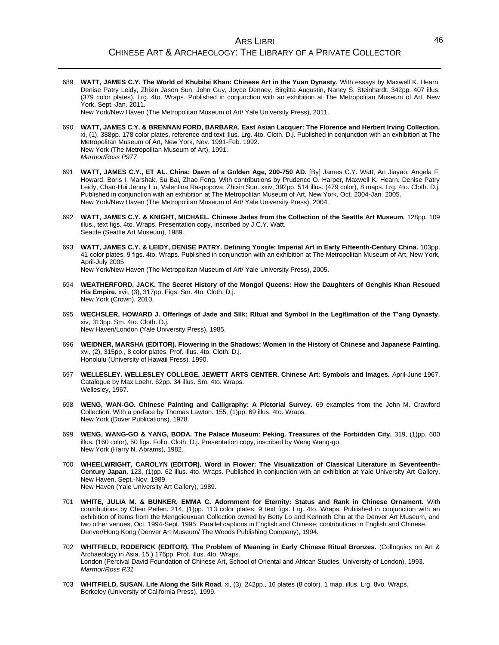689 **WATT, JAMES C.Y. The World of Khubilai Khan: Chinese Art in the Yuan Dynasty.** With essays by Maxwell K. Hearn, Denise Patry Leidy, Zhixin Jason Sun, John Guy, Joyce Denney, Birgitta Augustin, Nancy S. Steinhardt. 342pp. 407 illus. (379 color plates). Lrg. 4to. Wraps. Published in conjunction with an exhibition at The Metropolitan Museum of Art, New York, Sept.-Jan. 2011.

New York/New Haven (The Metropolitan Museum of Art/ Yale University Press), 2011.

- 690 **WATT, JAMES C.Y. & BRENNAN FORD, BARBARA. East Asian Lacquer: The Florence and Herbert Irving Collection.**  xi, (1), 388pp. 178 color plates, reference and text illus. Lrg. 4to. Cloth. D.j. Published in conjunction with an exhibition at The Metropolitan Museum of Art, New York, Nov. 1991-Feb. 1992. New York (The Metropolitan Museum of Art), 1991. *Marmor/Ross P977*
- 691 **WATT, JAMES C.Y., ET AL. China: Dawn of a Golden Age, 200-750 AD.** [By] James C.Y. Watt, An Jiayao, Angela F. Howard, Boris I. Marshak, Su Bai, Zhao Feng. With contributions by Prudence O. Harper, Maxwell K. Hearn, Denise Patry Leidy, Chao-Hui Jenny Liu, Valentina Raspopova, Zhixin Sun. xxiv, 392pp. 514 illus. (479 color), 8 maps. Lrg. 4to. Cloth. D.j. Published in conjunction with an exhibition at The Metropolitan Museum of Art, New York, Oct. 2004-Jan. 2005. New York/New Haven (The Metropolitan Museum of Art/ Yale University Press), 2004.
- 692 **WATT, JAMES C.Y. & KNIGHT, MICHAEL. Chinese Jades from the Collection of the Seattle Art Museum.** 128pp. 109 illus., text figs. 4to. Wraps. Presentation copy, inscribed by J.C.Y. Watt. Seattle (Seattle Art Museum), 1989.
- 693 **WATT, JAMES C.Y. & LEIDY, DENISE PATRY. Defining Yongle: Imperial Art in Early Fifteenth-Century China.** 103pp. 41 color plates, 9 figs. 4to. Wraps. Published in conjunction with an exhibition at The Metropolitan Museum of Art, New York, April-July 2005

New York/New Haven (The Metropolitan Museum of Art/ Yale University Press), 2005.

- 694 **WEATHERFORD, JACK. The Secret History of the Mongol Queens: How the Daughters of Genghis Khan Rescued His Empire.** xvii, (3), 317pp. Figs. Sm. 4to. Cloth. D.j. New York (Crown), 2010.
- 695 **WECHSLER, HOWARD J. Offerings of Jade and Silk: Ritual and Symbol in the Legitimation of the T'ang Dynasty.** xiv, 313pp. Sm. 4to. Cloth. D.j. New Haven/London (Yale University Press), 1985.
- 696 **WEIDNER, MARSHA (EDITOR). Flowering in the Shadows: Women in the History of Chinese and Japanese Painting.** xvi, (2), 315pp., 8 color plates. Prof. illus. 4to. Cloth. D.j. Honolulu (University of Hawaii Press), 1990.
- 697 **WELLESLEY. WELLESLEY COLLEGE. JEWETT ARTS CENTER. Chinese Art: Symbols and Images.** April-June 1967. Catalogue by Max Loehr. 62pp. 34 illus. Sm. 4to. Wraps. Wellesley, 1967.
- 698 **WENG, WAN-GO. Chinese Painting and Calligraphy: A Pictorial Survey.** 69 examples from the John M. Crawford Collection. With a preface by Thomas Lawton. 155, (1)pp. 69 illus. 4to. Wraps. New York (Dover Publications), 1978.
- 699 **WENG, WANG-GO & YANG, BODA. The Palace Museum: Peking. Treasures of the Forbidden City.** 319, (1)pp. 600 illus. (160 color), 50 figs. Folio. Cloth. D.j. Presentation copy, inscribed by Weng Wang-go. New York (Harry N. Abrams), 1982.
- 700 **WHEELWRIGHT, CAROLYN (EDITOR). Word in Flower: The Visualization of Classical Literature in Seventeenth-Century Japan.** 123, (1)pp. 62 illus. 4to. Wraps. Published in conjunction with an exhibition at Yale University Art Gallery, New Haven, Sept.-Nov. 1989. New Haven (Yale University Art Gallery), 1989.
- 701 **WHITE, JULIA M. & BUNKER, EMMA C. Adornment for Eternity: Status and Rank in Chinese Ornament.** With contributions by Chen Peifen. 214, (1)pp. 113 color plates, 9 text figs. Lrg. 4to. Wraps. Published in conjunction with an exhibition of items from the Mengdieuxuan Collection owned by Betty Lo and Kenneth Chu at the Denver Art Museum, and two other venues, Oct. 1994-Sept. 1995. Parallel captions in English and Chinese; contributions in English and Chinese. Denver/Hong Kong (Denver Art Museum/ The Woods Publishing Company), 1994.
- 702 **WHITFIELD, RODERICK (EDITOR). The Problem of Meaning in Early Chinese Ritual Bronzes.** (Colloquies on Art & Archaeology in Asia. 15.) 176pp. Prof. illus. 4to. Wraps. London (Percival David Foundation of Chinese Art, School of Oriental and African Studies, University of London), 1993. *Marmor/Ross R31*
- 703 **WHITFIELD, SUSAN. Life Along the Silk Road.** xi, (3), 242pp., 16 plates (8 color). 1 map, illus. Lrg. 8vo. Wraps. Berkeley (University of California Press), 1999.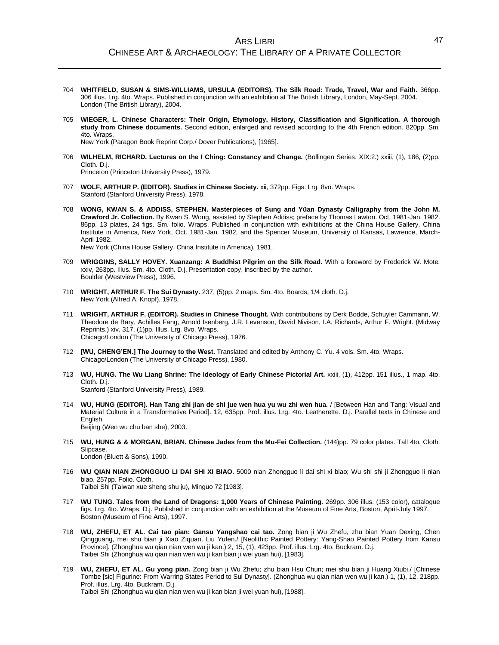- 704 **WHITFIELD, SUSAN & SIMS-WILLIAMS, URSULA (EDITORS). The Silk Road: Trade, Travel, War and Faith.** 366pp. 306 illus. Lrg. 4to. Wraps. Published in conjunction with an exhibition at The British Library, London, May-Sept. 2004. London (The British Library), 2004.
- 705 **WIEGER, L. Chinese Characters: Their Origin, Etymology, History, Classification and Signification. A thorough study from Chinese documents.** Second edition, enlarged and revised according to the 4th French edition. 820pp. Sm. 4to. Wraps.

New York (Paragon Book Reprint Corp./ Dover Publications), [1965].

706 **WILHELM, RICHARD. Lectures on the I Ching: Constancy and Change.** (Bollingen Series. XIX:2.) xxiii, (1), 186, (2)pp. Cloth. D.j.

Princeton (Princeton University Press), 1979.

- 707 **WOLF, ARTHUR P. (EDITOR). Studies in Chinese Society.** xii, 372pp. Figs. Lrg. 8vo. Wraps. Stanford (Stanford University Press), 1978.
- 708 **WONG, KWAN S. & ADDISS, STEPHEN. Masterpieces of Sung and Yüan Dynasty Calligraphy from the John M. Crawford Jr. Collection.** By Kwan S. Wong, assisted by Stephen Addiss; preface by Thomas Lawton. Oct. 1981-Jan. 1982. 86pp. 13 plates, 24 figs. Sm. folio. Wraps. Published in conjunction with exhibitions at the China House Gallery, China Institute in America, New York, Oct. 1981-Jan. 1982, and the Spencer Museum, University of Kansas, Lawrence, March-April 1982.

New York (China House Gallery, China Institute in America), 1981.

- 709 **WRIGGINS, SALLY HOVEY. Xuanzang: A Buddhist Pilgrim on the Silk Road.** With a foreword by Frederick W. Mote. xxiv, 263pp. Illus. Sm. 4to. Cloth. D.j. Presentation copy, inscribed by the author. Boulder (Westview Press), 1996.
- 710 **WRIGHT, ARTHUR F. The Sui Dynasty.** 237, (5)pp. 2 maps. Sm. 4to. Boards, 1/4 cloth. D.j. New York (Alfred A. Knopf), 1978.
- 711 **WRIGHT, ARTHUR F. (EDITOR). Studies in Chinese Thought.** With contributions by Derk Bodde, Schuyler Cammann, W. Theodore de Bary, Achilles Fang, Arnold Isenberg, J.R. Levenson, David Nivison, I.A. Richards, Arthur F. Wright. (Midway Reprints.) xiv, 317, (1)pp. Illus. Lrg. 8vo. Wraps. Chicago/London (The University of Chicago Press), 1976.
- 712 **[WU, CHENG'EN.] The Journey to the West.** Translated and edited by Anthony C. Yu. 4 vols. Sm. 4to. Wraps. Chicago/London (The University of Chicago Press), 1980.
- 713 **WU, HUNG. The Wu Liang Shrine: The Ideology of Early Chinese Pictorial Art.** xxiii, (1), 412pp. 151 illus., 1 map. 4to. Cloth. D.j. Stanford (Stanford University Press), 1989.
- 714 **WU, HUNG (EDITOR). Han Tang zhi jian de shi jue wen hua yu wu zhi wen hua.** / [Between Han and Tang: Visual and Material Culture in a Transformative Period]. 12, 635pp. Prof. illus. Lrg. 4to. Leatherette. D.j. Parallel texts in Chinese and **English** Beijing (Wen wu chu ban she), 2003.
- 715 **WU, HUNG & & MORGAN, BRIAN. Chinese Jades from the Mu-Fei Collection.** (144)pp. 79 color plates. Tall 4to. Cloth. Slipcase. London (Bluett & Sons), 1990.
	-
- 716 **WU QIAN NIAN ZHONGGUO LI DAI SHI XI BIAO.** 5000 nian Zhongguo li dai shi xi biao; Wu shi shi ji Zhongguo li nian biao. 257pp. Folio. Cloth.

Taibei Shi (Taiwan xue sheng shu ju), Minguo 72 [1983].

- 717 **WU TUNG. Tales from the Land of Dragons: 1,000 Years of Chinese Painting.** 269pp. 306 illus. (153 color), catalogue figs. Lrg. 4to. Wraps. D.j. Published in conjunction with an exhibition at the Museum of Fine Arts, Boston, April-July 1997. Boston (Museum of Fine Arts), 1997.
- 718 **WU, ZHEFU, ET AL. Cai tao pian: Gansu Yangshao cai tao.** Zong bian ji Wu Zhefu, zhu bian Yuan Dexing, Chen Qingguang, mei shu bian ji Xiao Ziquan, Liu Yufen./ [Neolithic Painted Pottery: Yang-Shao Painted Pottery from Kansu Province]. (Zhonghua wu qian nian wen wu ji kan.) 2, 15, (1), 423pp. Prof. illus. Lrg. 4to. Buckram. D.j. Taibei Shi (Zhonghua wu qian nian wen wu ji kan bian ji wei yuan hui), [1983].
- 719 **WU, ZHEFU, ET AL. Gu yong pian.** Zong bian ji Wu Zhefu; zhu bian Hsu Chun; mei shu bian ji Huang Xiubi./ [Chinese Tombe [sic] Figurine: From Warring States Period to Sui Dynasty]. (Zhonghua wu qian nian wen wu ji kan.) 1, (1), 12, 218pp. Prof. illus. Lrg. 4to. Buckram. D.j. Taibei Shi (Zhonghua wu qian nian wen wu ji kan bian ji wei yuan hui), [1988].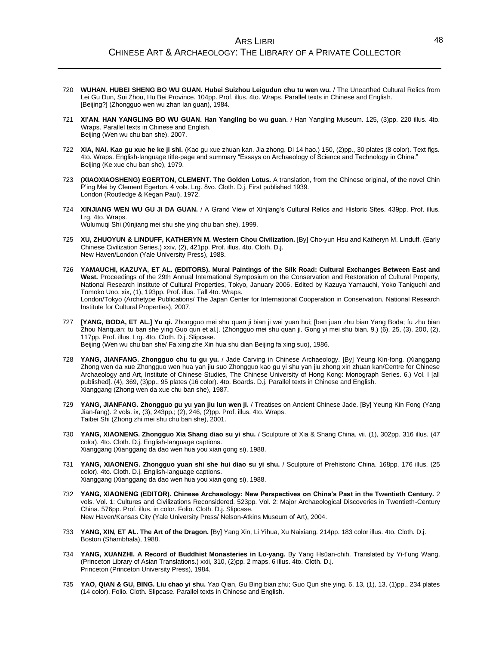- 720 **WUHAN. HUBEI SHENG BO WU GUAN. Hubei Suizhou Leigudun chu tu wen wu.** / The Unearthed Cultural Relics from Lei Gu Dun, Sui Zhou, Hu Bei Province. 104pp. Prof. illus. 4to. Wraps. Parallel texts in Chinese and English. [Beijing?] (Zhongguo wen wu zhan lan guan), 1984.
- 721 **XI'AN. HAN YANGLING BO WU GUAN. Han Yangling bo wu guan.** / Han Yangling Museum. 125, (3)pp. 220 illus. 4to. Wraps. Parallel texts in Chinese and English. Beijing (Wen wu chu ban she), 2007.
- 722 **XIA, NAI. Kao gu xue he ke ji shi.** (Kao gu xue zhuan kan. Jia zhong. Di 14 hao.) 150, (2)pp., 30 plates (8 color). Text figs. 4to. Wraps. English-language title-page and summary "Essays on Archaeology of Science and Technology in China." Beijing (Ke xue chu ban she), 1979.
- 723 **(XIAOXIAOSHENG) EGERTON, CLEMENT. The Golden Lotus.** A translation, from the Chinese original, of the novel Chin P'ing Mei by Clement Egerton. 4 vols. Lrg. 8vo. Cloth. D.j. First published 1939. London (Routledge & Kegan Paul), 1972.
- 724 **XINJIANG WEN WU GU JI DA GUAN.** / A Grand View of Xinjiang's Cultural Relics and Historic Sites. 439pp. Prof. illus. Lrg. 4to. Wraps.

Wulumuqi Shi (Xinjiang mei shu she ying chu ban she), 1999.

- 725 **XU, ZHUOYUN & LINDUFF, KATHERYN M. Western Chou Civilization.** [By] Cho-yun Hsu and Katheryn M. Linduff. (Early Chinese Civilization Series.) xxiv, (2), 421pp. Prof. illus. 4to. Cloth. D.j. New Haven/London (Yale University Press), 1988.
- 726 **YAMAUCHI, KAZUYA, ET AL. (EDITORS). Mural Paintings of the Silk Road: Cultural Exchanges Between East and West.** Proceedings of the 29th Annual International Symposium on the Conservation and Restoration of Cultural Property, National Research Institute of Cultural Properties, Tokyo, January 2006. Edited by Kazuya Yamauchi, Yoko Taniguchi and Tomoko Uno. xix, (1), 193pp. Prof. illus. Tall 4to. Wraps. London/Tokyo (Archetype Publications/ The Japan Center for International Cooperation in Conservation, National Research Institute for Cultural Properties), 2007.
- 727 **[YANG, BODA, ET AL.] Yu qi.** Zhongguo mei shu quan ji bian ji wei yuan hui; [ben juan zhu bian Yang Boda; fu zhu bian Zhou Nanquan; tu ban she ying Guo qun et al.]. (Zhongguo mei shu quan ji. Gong yi mei shu bian. 9.) (6), 25, (3), 200, (2), 117pp. Prof. illus. Lrg. 4to. Cloth. D.j. Slipcase. Beijing (Wen wu chu ban she/ Fa xing zhe Xin hua shu dian Beijing fa xing suo), 1986.
- 728 **YANG, JIANFANG. Zhongguo chu tu gu yu.** / Jade Carving in Chinese Archaeology. [By] Yeung Kin-fong. (Xianggang Zhong wen da xue Zhongguo wen hua yan jiu suo Zhongguo kao gu yi shu yan jiu zhong xin zhuan kan/Centre for Chinese Archaeology and Art, Institute of Chinese Studies, The Chinese University of Hong Kong: Monograph Series. 6.) Vol. I [all published]. (4), 369, (3)pp., 95 plates (16 color). 4to. Boards. D.j. Parallel texts in Chinese and English. Xianggang (Zhong wen da xue chu ban she), 1987.
- 729 **YANG, JIANFANG. Zhongguo gu yu yan jiu lun wen ji.** / Treatises on Ancient Chinese Jade. [By] Yeung Kin Fong (Yang Jian-fang). 2 vols. ix, (3), 243pp.; (2), 246, (2)pp. Prof. illus. 4to. Wraps. Taibei Shi (Zhong zhi mei shu chu ban she), 2001.
- 730 **YANG, XIAONENG. Zhongguo Xia Shang diao su yi shu.** / Sculpture of Xia & Shang China. vii, (1), 302pp. 316 illus. (47 color). 4to. Cloth. D.j. English-language captions. Xianggang (Xianggang da dao wen hua you xian gong si), 1988.
- 731 **YANG, XIAONENG. Zhongguo yuan shi she hui diao su yi shu.** / Sculpture of Prehistoric China. 168pp. 176 illus. (25 color). 4to. Cloth. D.j. English-language captions. Xianggang (Xianggang da dao wen hua you xian gong si), 1988.
- 732 **YANG, XIAONENG (EDITOR). Chinese Archaeology: New Perspectives on China's Past in the Twentieth Century.** 2 vols. Vol. 1: Cultures and Civilizations Reconsidered. 523pp. Vol. 2: Major Archaeological Discoveries in Twentieth-Century China. 576pp. Prof. illus. in color. Folio. Cloth. D.j. Slipcase. New Haven/Kansas City (Yale University Press/ Nelson-Atkins Museum of Art), 2004.
- 733 **YANG, XIN, ET AL. The Art of the Dragon.** [By] Yang Xin, Li Yihua, Xu Naixiang. 214pp. 183 color illus. 4to. Cloth. D.j. Boston (Shambhala), 1988.
- 734 **YANG, XUANZHI. A Record of Buddhist Monasteries in Lo-yang.** By Yang Hsüan-chih. Translated by Yi-t'ung Wang. (Princeton Library of Asian Translations.) xxii, 310, (2)pp. 2 maps, 6 illus. 4to. Cloth. D.j. Princeton (Princeton University Press), 1984.
- 735 **YAO, QIAN & GU, BING. Liu chao yi shu.** Yao Qian, Gu Bing bian zhu; Guo Qun she ying. 6, 13, (1), 13, (1)pp., 234 plates (14 color). Folio. Cloth. Slipcase. Parallel texts in Chinese and English.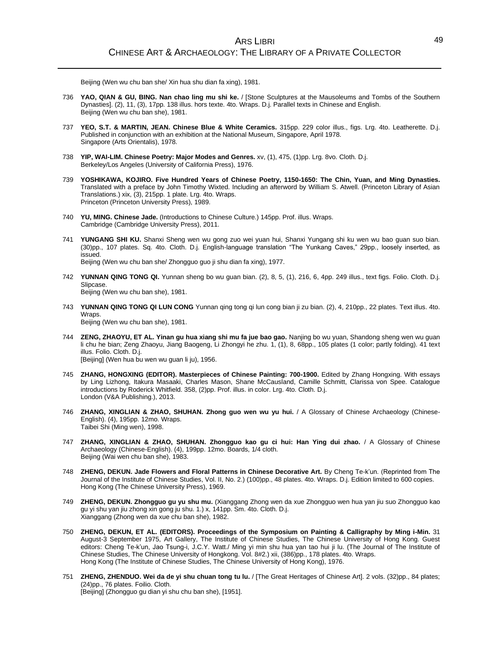Beijing (Wen wu chu ban she/ Xin hua shu dian fa xing), 1981.

- 736 **YAO, QIAN & GU, BING. Nan chao ling mu shi ke.** / [Stone Sculptures at the Mausoleums and Tombs of the Southern Dynasties]. (2), 11, (3), 17pp. 138 illus. hors texte. 4to. Wraps. D.j. Parallel texts in Chinese and English. Beijing (Wen wu chu ban she), 1981.
- 737 **YEO, S.T. & MARTIN, JEAN. Chinese Blue & White Ceramics.** 315pp. 229 color illus., figs. Lrg. 4to. Leatherette. D.j. Published in conjunction with an exhibition at the National Museum, Singapore, April 1978. Singapore (Arts Orientalis), 1978.
- 738 **YIP, WAI-LIM. Chinese Poetry: Major Modes and Genres.** xv, (1), 475, (1)pp. Lrg. 8vo. Cloth. D.j. Berkeley/Los Angeles (University of California Press), 1976.
- 739 **YOSHIKAWA, KOJIRO. Five Hundred Years of Chinese Poetry, 1150-1650: The Chin, Yuan, and Ming Dynasties.** Translated with a preface by John Timothy Wixted. Including an afterword by William S. Atwell. (Princeton Library of Asian Translations.) xix, (3), 215pp. 1 plate. Lrg. 4to. Wraps. Princeton (Princeton University Press), 1989.
- 740 **YU, MING. Chinese Jade.** (Introductions to Chinese Culture.) 145pp. Prof. illus. Wraps. Cambridge (Cambridge University Press), 2011.
- 741 **YUNGANG SHI KU.** Shanxi Sheng wen wu gong zuo wei yuan hui, Shanxi Yungang shi ku wen wu bao guan suo bian. (30)pp., 107 plates. Sq. 4to. Cloth. D.j. English-language translation "The Yunkang Caves," 29pp., loosely inserted, as issued. Beijing (Wen wu chu ban she/ Zhongguo guo ji shu dian fa xing), 1977.
- 742 **YUNNAN QING TONG QI.** Yunnan sheng bo wu guan bian. (2), 8, 5, (1), 216, 6, 4pp. 249 illus., text figs. Folio. Cloth. D.j. Slipcase. Beijing (Wen wu chu ban she), 1981.
- 743 **YUNNAN QING TONG QI LUN CONG** Yunnan qing tong qi lun cong bian ji zu bian. (2), 4, 210pp., 22 plates. Text illus. 4to. Wraps.

Beijing (Wen wu chu ban she), 1981.

- 744 **ZENG, ZHAOYU, ET AL. Yinan gu hua xiang shi mu fa jue bao gao.** Nanjing bo wu yuan, Shandong sheng wen wu guan li chu he bian; Zeng Zhaoyu, Jiang Baogeng, Li Zhongyi he zhu. 1, (1), 8, 68pp., 105 plates (1 color; partly folding). 41 text illus. Folio. Cloth. D.j. [Beijing] (Wen hua bu wen wu guan li ju), 1956.
- 745 **ZHANG, HONGXING (EDITOR). Masterpieces of Chinese Painting: 700-1900.** Edited by Zhang Hongxing. With essays by Ling Lizhong, Itakura Masaaki, Charles Mason, Shane McCausland, Camille Schmitt, Clarissa von Spee. Catalogue introductions by Roderick Whitfield. 358, (2)pp. Prof. illus. in color. Lrg. 4to. Cloth. D.j. London (V&A Publishing.), 2013.
- 746 **ZHANG, XINGLIAN & ZHAO, SHUHAN. Zhong guo wen wu yu hui.** / A Glossary of Chinese Archaeology (Chinese-English). (4), 195pp. 12mo. Wraps. Taibei Shi (Ming wen), 1998.
- 747 **ZHANG, XINGLIAN & ZHAO, SHUHAN. Zhongguo kao gu ci hui: Han Ying dui zhao.** / A Glossary of Chinese Archaeology (Chinese-English). (4), 199pp. 12mo. Boards, 1/4 cloth. Beijing (Wai wen chu ban she), 1983.
- 748 **ZHENG, DEKUN. Jade Flowers and Floral Patterns in Chinese Decorative Art.** By Cheng Te-k'un. (Reprinted from The Journal of the Institute of Chinese Studies, Vol. II, No. 2.) (100)pp., 48 plates. 4to. Wraps. D.j. Edition limited to 600 copies. Hong Kong (The Chinese University Press), 1969.
- 749 **ZHENG, DEKUN. Zhongguo gu yu shu mu.** (Xianggang Zhong wen da xue Zhongguo wen hua yan jiu suo Zhongguo kao gu yi shu yan jiu zhong xin gong ju shu. 1.) x, 141pp. Sm. 4to. Cloth. D.j. Xianggang (Zhong wen da xue chu ban she), 1982.
- 750 **ZHENG, DEKUN, ET AL. (EDITORS). Proceedings of the Symposium on Painting & Calligraphy by Ming i-Min.** 31 August-3 September 1975, Art Gallery, The Institute of Chinese Studies, The Chinese University of Hong Kong. Guest editors: Cheng Te-k'un, Jao Tsung-i, J.C.Y. Watt./ Ming yi min shu hua yan tao hui ji lu. (The Journal of The Institute of Chinese Studies, The Chinese University of Hongkong. Vol. 8#2.) xii, (386)pp., 178 plates. 4to. Wraps. Hong Kong (The Institute of Chinese Studies, The Chinese University of Hong Kong), 1976.
- 751 **ZHENG, ZHENDUO. Wei da de yi shu chuan tong tu lu.** / [The Great Heritages of Chinese Art]. 2 vols. (32)pp., 84 plates; (24)pp., 76 plates. Foilio. Cloth. [Beijing] (Zhongguo gu dian yi shu chu ban she), [1951].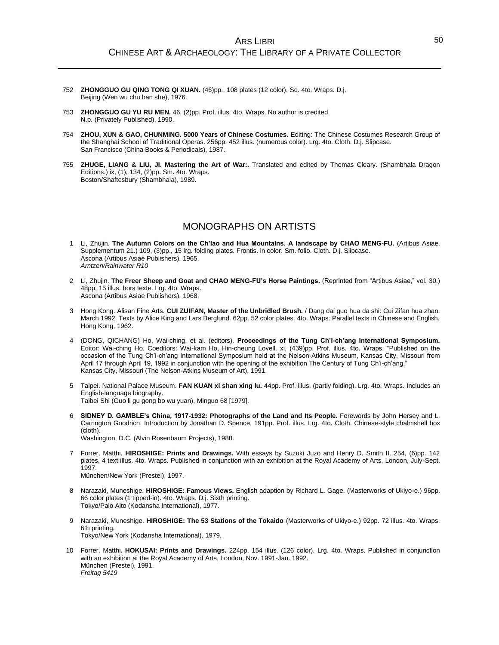- 752 **ZHONGGUO GU QING TONG QI XUAN.** (46)pp., 108 plates (12 color). Sq. 4to. Wraps. D.j. Beijing (Wen wu chu ban she), 1976.
- 753 **ZHONGGUO GU YU RU MEN.** 46, (2)pp. Prof. illus. 4to. Wraps. No author is credited. N.p. (Privately Published), 1990.
- 754 **ZHOU, XUN & GAO, CHUNMING. 5000 Years of Chinese Costumes.** Editing: The Chinese Costumes Research Group of the Shanghai School of Traditional Operas. 256pp. 452 illus. (numerous color). Lrg. 4to. Cloth. D.j. Slipcase. San Francisco (China Books & Periodicals), 1987.
- 755 **ZHUGE, LIANG & LIU, JI. Mastering the Art of War:.** Translated and edited by Thomas Cleary. (Shambhala Dragon Editions.) ix, (1), 134, (2)pp. Sm. 4to. Wraps. Boston/Shaftesbury (Shambhala), 1989.

# MONOGRAPHS ON ARTISTS

- 1 Li, Zhujin. **The Autumn Colors on the Ch'iao and Hua Mountains. A landscape by CHAO MENG-FU.** (Artibus Asiae. Supplementum 21.) 109, (3)pp., 15 lrg. folding plates. Frontis. in color. Sm. folio. Cloth. D.j. Slipcase. Ascona (Artibus Asiae Publishers), 1965. *Arntzen/Rainwater R10*
- 2 Li, Zhujin. **The Freer Sheep and Goat and CHAO MENG-FU's Horse Paintings.** (Reprinted from "Artibus Asiae," vol. 30.) 48pp. 15 illus. hors texte. Lrg. 4to. Wraps. Ascona (Artibus Asiae Publishers), 1968.
- 3 Hong Kong. Alisan Fine Arts. **CUI ZUIFAN, Master of the Unbridled Brush.** / Dang dai guo hua da shi: Cui Zifan hua zhan. March 1992. Texts by Alice King and Lars Berglund. 62pp. 52 color plates. 4to. Wraps. Parallel texts in Chinese and English. Hong Kong, 1962.
- 4 (DONG, QICHANG) Ho, Wai-ching, et al. (editors). **Proceedings of the Tung Ch'i-ch'ang International Symposium.** Editor: Wai-ching Ho. Coeditors: Wai-kam Ho, Hin-cheung Lovell. xi, (439)pp. Prof. illus. 4to. Wraps. "Published on the occasion of the Tung Ch'i-ch'ang International Symposium held at the Nelson-Atkins Museum, Kansas City, Missouri from April 17 through April 19, 1992 in conjunction with the opening of the exhibition The Century of Tung Ch'i-ch'ang." Kansas City, Missouri (The Nelson-Atkins Museum of Art), 1991.
- 5 Taipei. National Palace Museum. **FAN KUAN xi shan xing lu.** 44pp. Prof. illus. (partly folding). Lrg. 4to. Wraps. Includes an English-language biography. Taibei Shi (Guo li gu gong bo wu yuan), Minguo 68 [1979].
- 6 **SIDNEY D. GAMBLE's China, 1917-1932: Photographs of the Land and Its People.** Forewords by John Hersey and L. Carrington Goodrich. Introduction by Jonathan D. Spence. 191pp. Prof. illus. Lrg. 4to. Cloth. Chinese-style chalmshell box (cloth). Washington, D.C. (Alvin Rosenbaum Projects), 1988.
- 7 Forrer, Matthi. **HIROSHIGE: Prints and Drawings.** With essays by Suzuki Juzo and Henry D. Smith II. 254, (6)pp. 142 plates, 4 text illus. 4to. Wraps. Published in conjunction with an exhibition at the Royal Academy of Arts, London, July-Sept. 1997.

München/New York (Prestel), 1997.

- 8 Narazaki, Muneshige. **HIROSHIGE: Famous Views.** English adaption by Richard L. Gage. (Masterworks of Ukiyo-e.) 96pp. 66 color plates (1 tipped-in). 4to. Wraps. D.j. Sixth printing. Tokyo/Palo Alto (Kodansha International), 1977.
- 9 Narazaki, Muneshige. **HIROSHIGE: The 53 Stations of the Tokaido** (Masterworks of Ukiyo-e.) 92pp. 72 illus. 4to. Wraps. 6th printing. Tokyo/New York (Kodansha International), 1979.
- 10 Forrer, Matthi. **HOKUSAI: Prints and Drawings.** 224pp. 154 illus. (126 color). Lrg. 4to. Wraps. Published in conjunction with an exhibition at the Royal Academy of Arts, London, Nov. 1991-Jan. 1992. München (Prestel), 1991. *Freitag 5419*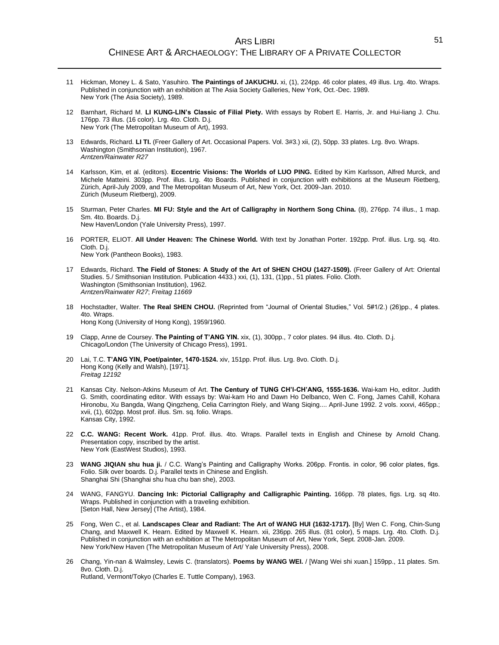### ARS LIBRI CHINESE ART & ARCHAEOLOGY: THE LIBRARY OF A PRIVATE COLLECTOR

- 11 Hickman, Money L. & Sato, Yasuhiro. **The Paintings of JAKUCHU.** xi, (1), 224pp. 46 color plates, 49 illus. Lrg. 4to. Wraps. Published in conjunction with an exhibition at The Asia Society Galleries, New York, Oct.-Dec. 1989. New York (The Asia Society), 1989.
- 12 Barnhart, Richard M. **LI KUNG-LIN's Classic of Filial Piety.** With essays by Robert E. Harris, Jr. and Hui-liang J. Chu. 176pp. 73 illus. (16 color). Lrg. 4to. Cloth. D.j. New York (The Metropolitan Museum of Art), 1993.
- 13 Edwards, Richard. **LI TI.** (Freer Gallery of Art. Occasional Papers. Vol. 3#3.) xii, (2), 50pp. 33 plates. Lrg. 8vo. Wraps. Washington (Smithsonian Institution), 1967. *Arntzen/Rainwater R27*
- 14 Karlsson, Kim, et al. (editors). **Eccentric Visions: The Worlds of LUO PING.** Edited by Kim Karlsson, Alfred Murck, and Michele Matteini. 303pp. Prof. illus. Lrg. 4to Boards. Published in conjunction with exhibitions at the Museum Rietberg, Zürich, April-July 2009, and The Metropolitan Museum of Art, New York, Oct. 2009-Jan. 2010. Zürich (Museum Rietberg), 2009.
- 15 Sturman, Peter Charles. **MI FU: Style and the Art of Calligraphy in Northern Song China.** (8), 276pp. 74 illus., 1 map. Sm. 4to. Boards. D.j. New Haven/London (Yale University Press), 1997.
	-
- 16 PORTER, ELIOT. **All Under Heaven: The Chinese World.** With text by Jonathan Porter. 192pp. Prof. illus. Lrg. sq. 4to. Cloth. D.j. New York (Pantheon Books), 1983.
- 17 Edwards, Richard. **The Field of Stones: A Study of the Art of SHEN CHOU (1427-1509).** (Freer Gallery of Art: Oriental Studies. 5./ Smithsonian Institution. Publication 4433.) xxi, (1), 131, (1)pp., 51 plates. Folio. Cloth. Washington (Smithsonian Institution), 1962. *Arntzen/Rainwater R27*; *Freitag 11669*
- 18 Hochstadter, Walter. **The Real SHEN CHOU.** (Reprinted from "Journal of Oriental Studies," Vol. 5#1/2.) (26)pp., 4 plates. 4to. Wraps. Hong Kong (University of Hong Kong), 1959/1960.
- 19 Clapp, Anne de Coursey. **The Painting of T'ANG YIN.** xix, (1), 300pp., 7 color plates. 94 illus. 4to. Cloth. D.j. Chicago/London (The University of Chicago Press), 1991.
- 20 Lai, T.C. **T'ANG YIN, Poet/painter, 1470-1524.** xiv, 151pp. Prof. illus. Lrg. 8vo. Cloth. D.j. Hong Kong (Kelly and Walsh), [1971]. *Freitag 12192*
- 21 Kansas City. Nelson-Atkins Museum of Art. **The Century of TUNG CH'I-CH'ANG, 1555-1636.** Wai-kam Ho, editor. Judith G. Smith, coordinating editor. With essays by: Wai-kam Ho and Dawn Ho Delbanco, Wen C. Fong, James Cahill, Kohara Hironobu, Xu Bangda, Wang Qingzheng, Celia Carrington Riely, and Wang Siqing.... April-June 1992. 2 vols. xxxvi, 465pp.; xvii, (1), 602pp. Most prof. illus. Sm. sq. folio. Wraps. Kansas City, 1992.
- 22 **C.C. WANG: Recent Work.** 41pp. Prof. illus. 4to. Wraps. Parallel texts in English and Chinese by Arnold Chang. Presentation copy, inscribed by the artist. New York (EastWest Studios), 1993.
- 23 **WANG JIQIAN shu hua ji.** / C.C. Wang's Painting and Calligraphy Works. 206pp. Frontis. in color, 96 color plates, figs. Folio. Silk over boards. D.j. Parallel texts in Chinese and English. Shanghai Shi (Shanghai shu hua chu ban she), 2003.
- 24 WANG, FANGYU. **Dancing Ink: Pictorial Calligraphy and Calligraphic Painting.** 166pp. 78 plates, figs. Lrg. sq 4to. Wraps. Published in conjunction with a traveling exhibition. [Seton Hall, New Jersey] (The Artist), 1984.
- 25 Fong, Wen C., et al. **Landscapes Clear and Radiant: The Art of WANG HUI (1632-1717).** [By] Wen C. Fong, Chin-Sung Chang, and Maxwell K. Hearn. Edited by Maxwell K. Hearn. xii, 236pp. 265 illus. (81 color), 5 maps. Lrg. 4to. Cloth. D.j. Published in conjunction with an exhibition at The Metropolitan Museum of Art, New York, Sept. 2008-Jan. 2009. New York/New Haven (The Metropolitan Museum of Art/ Yale University Press), 2008.
- 26 Chang, Yin-nan & Walmsley, Lewis C. (translators). **Poems by WANG WEI.** / [Wang Wei shi xuan.] 159pp., 11 plates. Sm. 8vo. Cloth. D.j. Rutland, Vermont/Tokyo (Charles E. Tuttle Company), 1963.